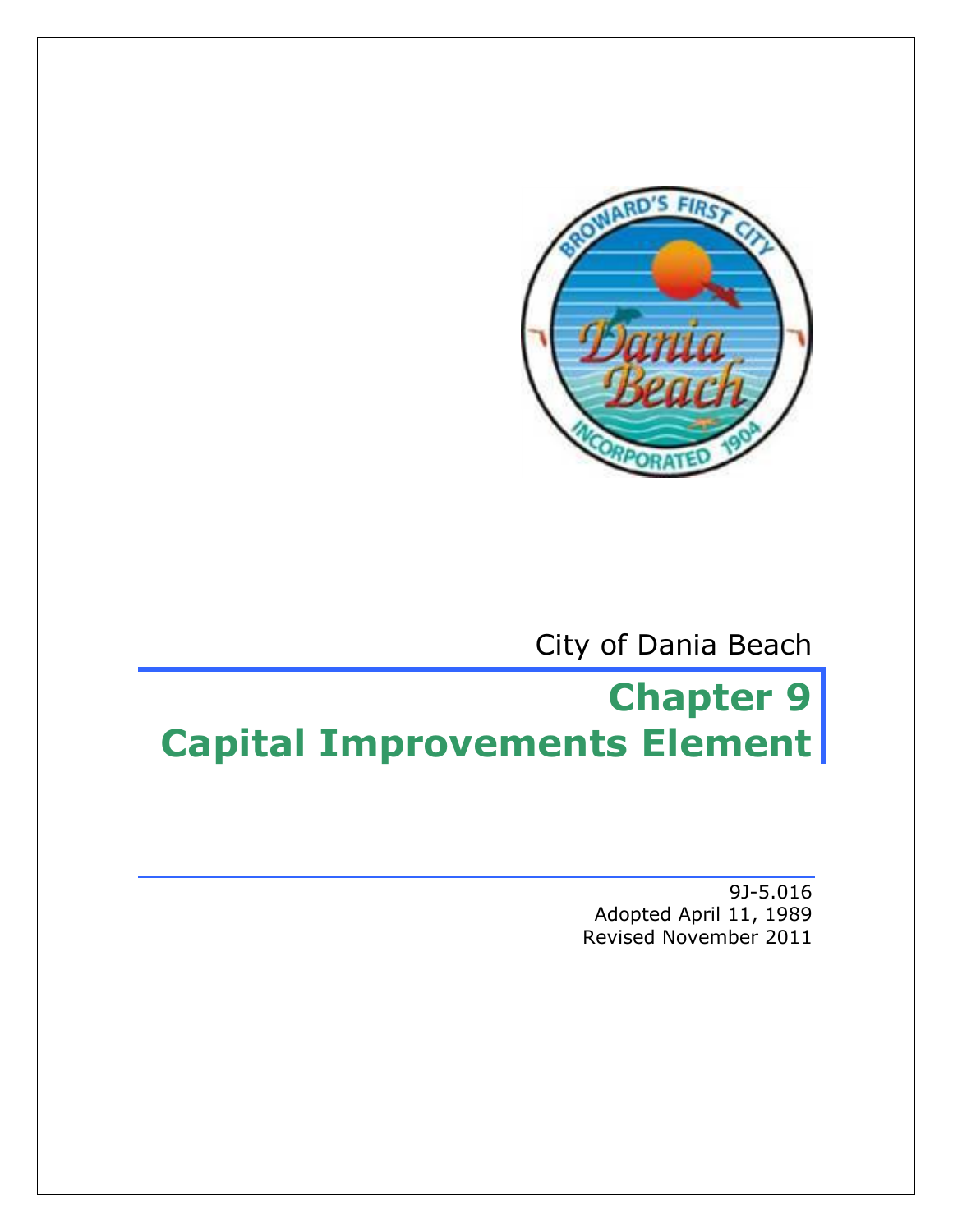

City of Dania Beach

# **Chapter 9 Capital Improvements Element**

9J-5.016 Adopted April 11, 1989 Revised November 2011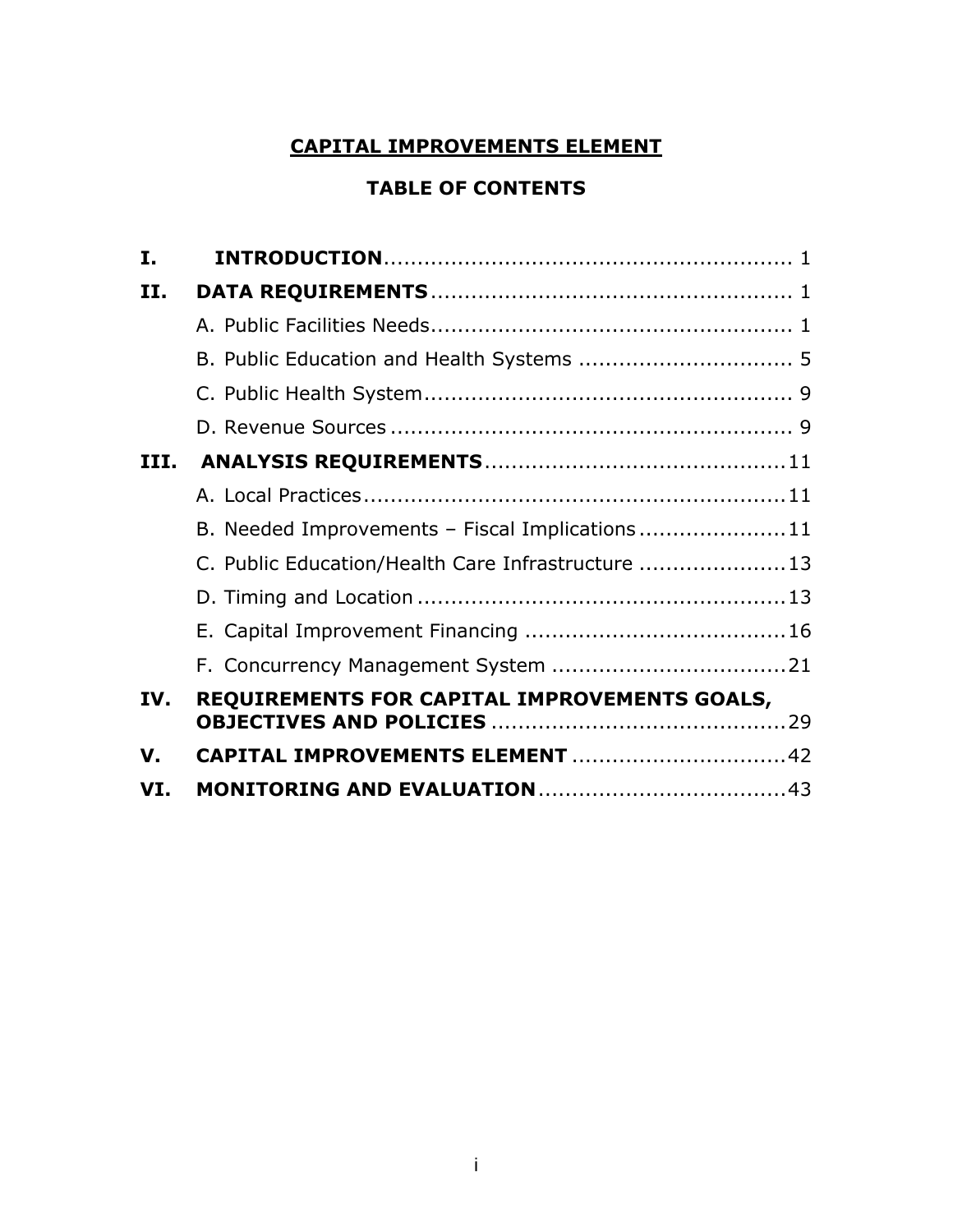# **CAPITAL IMPROVEMENTS ELEMENT**

# **TABLE OF CONTENTS**

| I.          |                                                    |  |
|-------------|----------------------------------------------------|--|
| II.         |                                                    |  |
|             |                                                    |  |
|             |                                                    |  |
|             |                                                    |  |
|             |                                                    |  |
|             |                                                    |  |
|             |                                                    |  |
|             | B. Needed Improvements - Fiscal Implications11     |  |
|             | C. Public Education/Health Care Infrastructure  13 |  |
|             |                                                    |  |
|             |                                                    |  |
|             |                                                    |  |
| IV.         | REQUIREMENTS FOR CAPITAL IMPROVEMENTS GOALS,       |  |
| $V_{\cdot}$ | CAPITAL IMPROVEMENTS ELEMENT 42                    |  |
| VI.         |                                                    |  |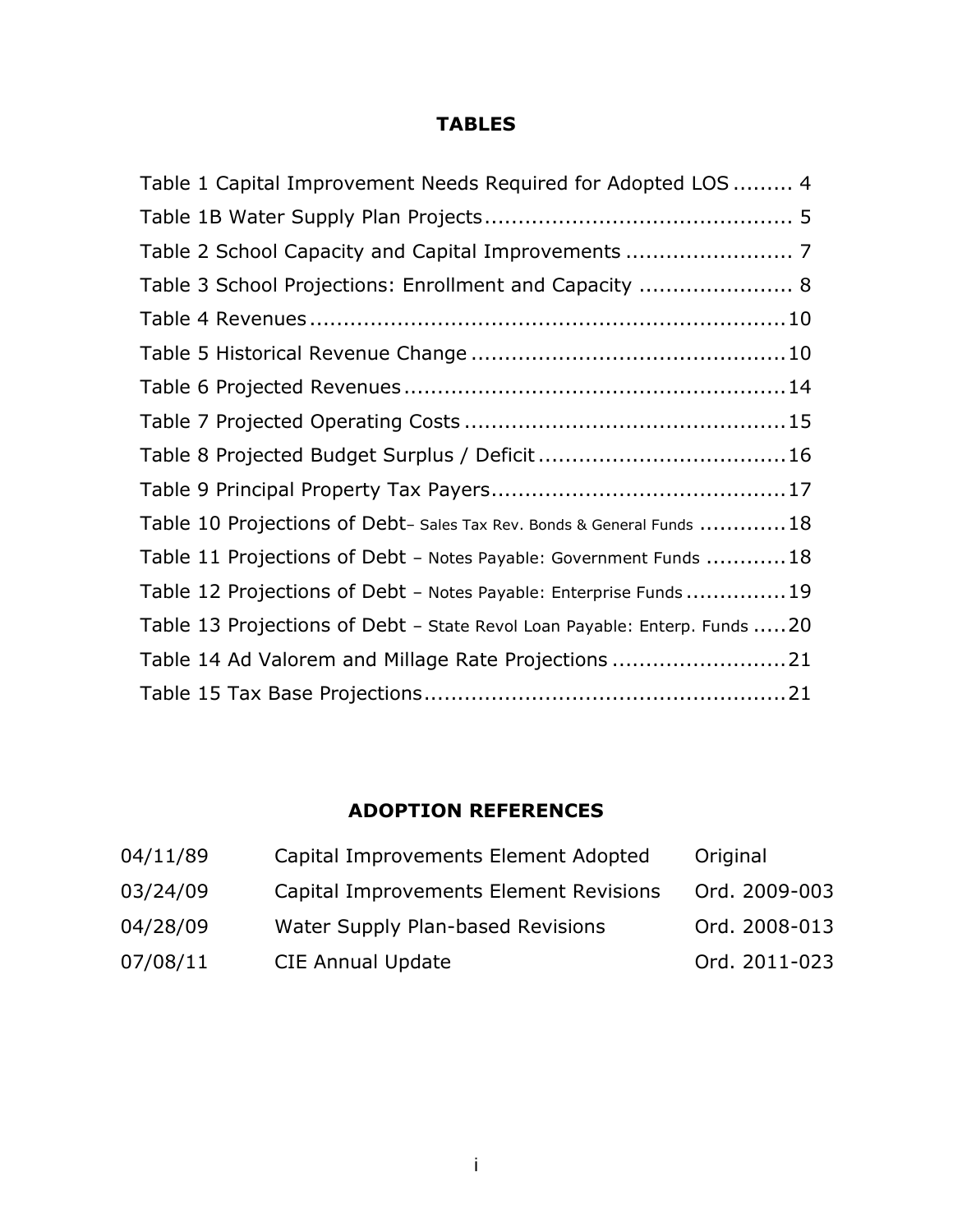# **TABLES**

| Table 1 Capital Improvement Needs Required for Adopted LOS  4              |  |
|----------------------------------------------------------------------------|--|
|                                                                            |  |
|                                                                            |  |
| Table 3 School Projections: Enrollment and Capacity  8                     |  |
|                                                                            |  |
|                                                                            |  |
|                                                                            |  |
|                                                                            |  |
|                                                                            |  |
|                                                                            |  |
| Table 10 Projections of Debt- Sales Tax Rev. Bonds & General Funds 18      |  |
| Table 11 Projections of Debt - Notes Payable: Government Funds  18         |  |
| Table 12 Projections of Debt - Notes Payable: Enterprise Funds  19         |  |
| Table 13 Projections of Debt - State Revol Loan Payable: Enterp. Funds  20 |  |
| Table 14 Ad Valorem and Millage Rate Projections 21                        |  |
|                                                                            |  |

# **ADOPTION REFERENCES**

| 04/11/89 | Capital Improvements Element Adopted   | Original      |
|----------|----------------------------------------|---------------|
| 03/24/09 | Capital Improvements Element Revisions | Ord. 2009-003 |
| 04/28/09 | Water Supply Plan-based Revisions      | Ord. 2008-013 |
| 07/08/11 | <b>CIE Annual Update</b>               | Ord. 2011-023 |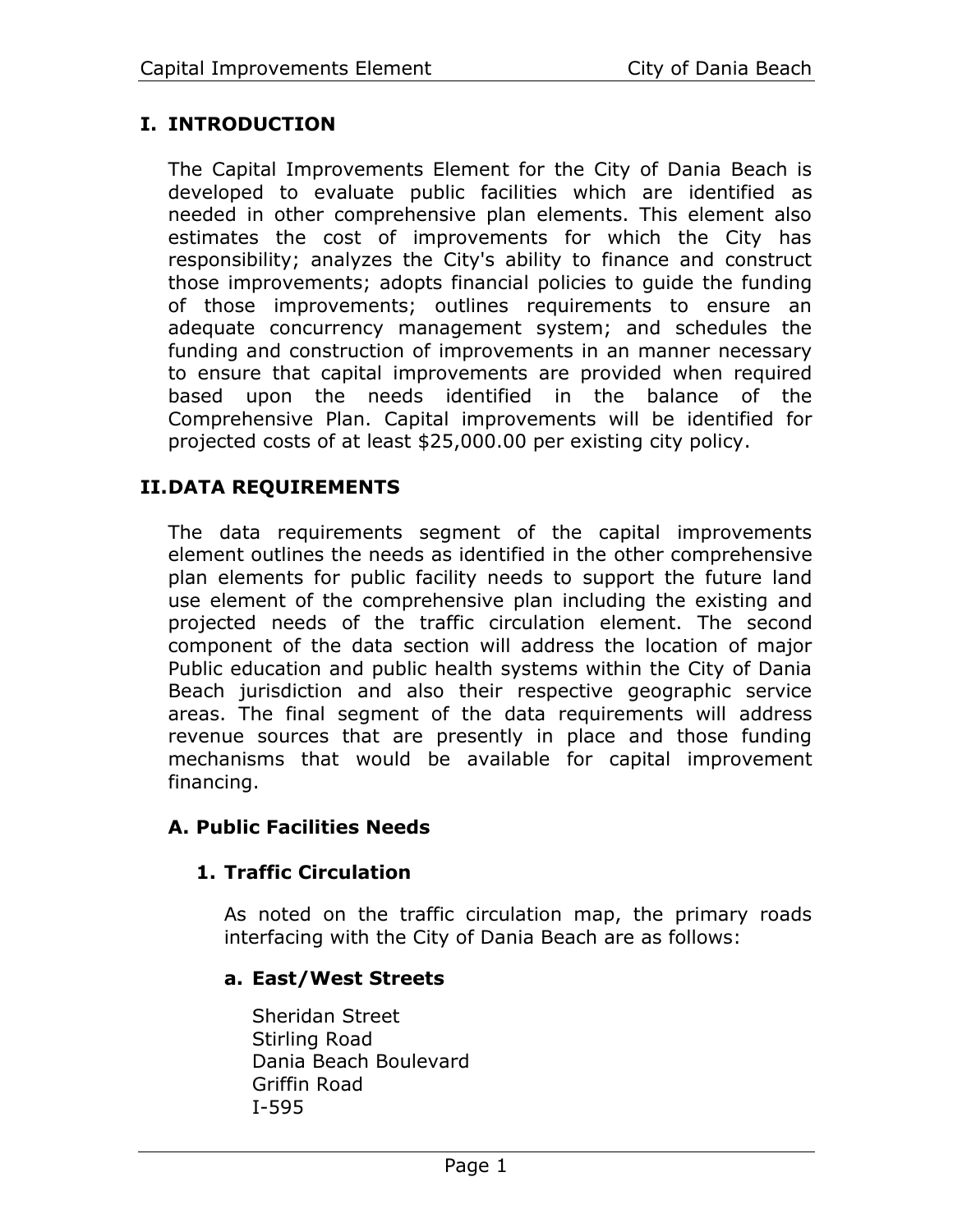# **I. INTRODUCTION**

The Capital Improvements Element for the City of Dania Beach is developed to evaluate public facilities which are identified as needed in other comprehensive plan elements. This element also estimates the cost of improvements for which the City has responsibility; analyzes the City's ability to finance and construct those improvements; adopts financial policies to guide the funding of those improvements; outlines requirements to ensure an adequate concurrency management system; and schedules the funding and construction of improvements in an manner necessary to ensure that capital improvements are provided when required based upon the needs identified in the balance of the Comprehensive Plan. Capital improvements will be identified for projected costs of at least \$25,000.00 per existing city policy.

# **II.DATA REQUIREMENTS**

The data requirements segment of the capital improvements element outlines the needs as identified in the other comprehensive plan elements for public facility needs to support the future land use element of the comprehensive plan including the existing and projected needs of the traffic circulation element. The second component of the data section will address the location of major Public education and public health systems within the City of Dania Beach jurisdiction and also their respective geographic service areas. The final segment of the data requirements will address revenue sources that are presently in place and those funding mechanisms that would be available for capital improvement financing.

# **A. Public Facilities Needs**

# **1. Traffic Circulation**

As noted on the traffic circulation map, the primary roads interfacing with the City of Dania Beach are as follows:

# **a. East/West Streets**

Sheridan Street Stirling Road Dania Beach Boulevard Griffin Road I-595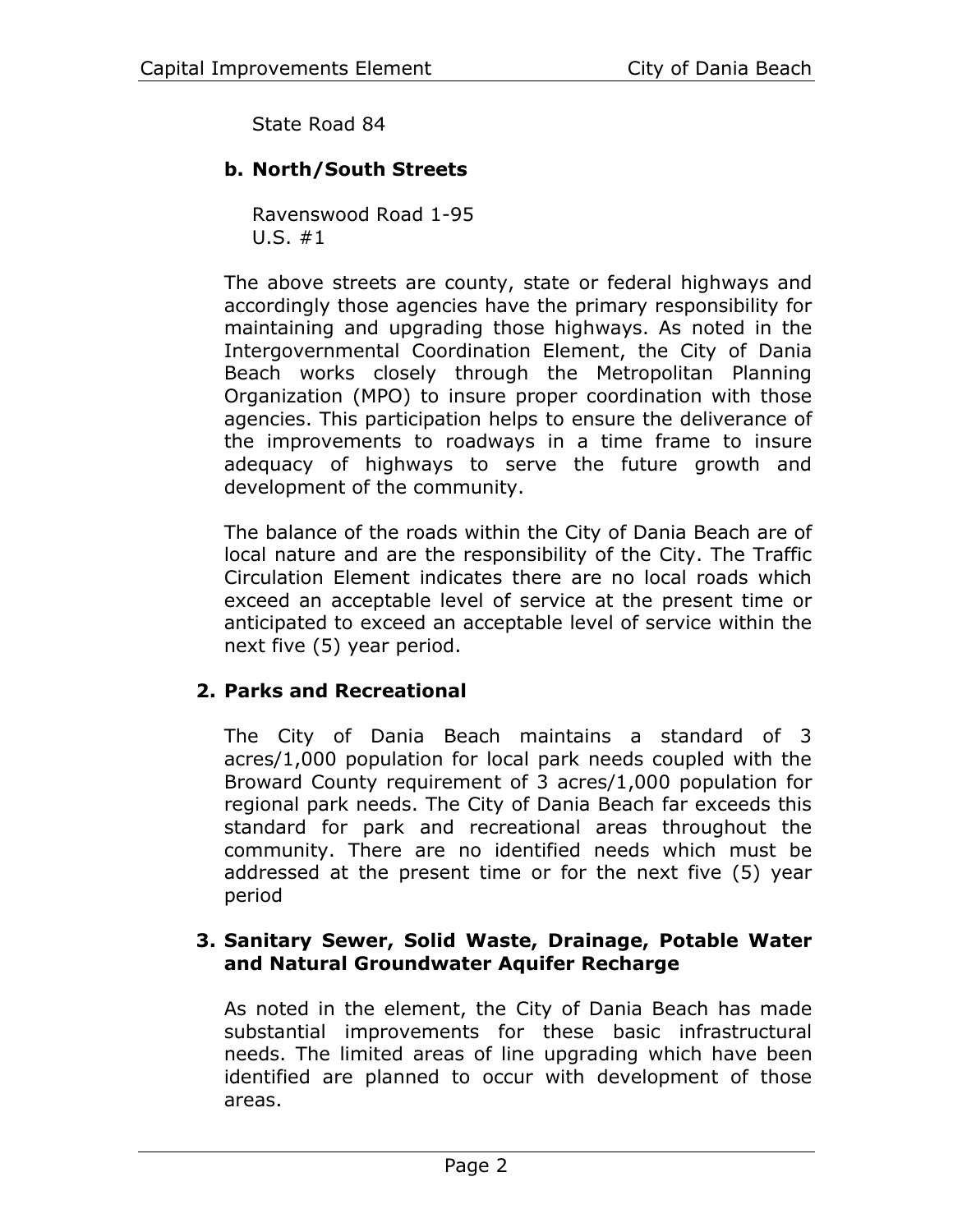State Road 84

# **b. North/South Streets**

Ravenswood Road 1-95 U.S. #1

The above streets are county, state or federal highways and accordingly those agencies have the primary responsibility for maintaining and upgrading those highways. As noted in the Intergovernmental Coordination Element, the City of Dania Beach works closely through the Metropolitan Planning Organization (MPO) to insure proper coordination with those agencies. This participation helps to ensure the deliverance of the improvements to roadways in a time frame to insure adequacy of highways to serve the future growth and development of the community.

The balance of the roads within the City of Dania Beach are of local nature and are the responsibility of the City. The Traffic Circulation Element indicates there are no local roads which exceed an acceptable level of service at the present time or anticipated to exceed an acceptable level of service within the next five (5) year period.

# **2. Parks and Recreational**

The City of Dania Beach maintains a standard of 3 acres/1,000 population for local park needs coupled with the Broward County requirement of 3 acres/1,000 population for regional park needs. The City of Dania Beach far exceeds this standard for park and recreational areas throughout the community. There are no identified needs which must be addressed at the present time or for the next five (5) year period

#### **3. Sanitary Sewer, Solid Waste, Drainage, Potable Water and Natural Groundwater Aquifer Recharge**

As noted in the element, the City of Dania Beach has made substantial improvements for these basic infrastructural needs. The limited areas of line upgrading which have been identified are planned to occur with development of those areas.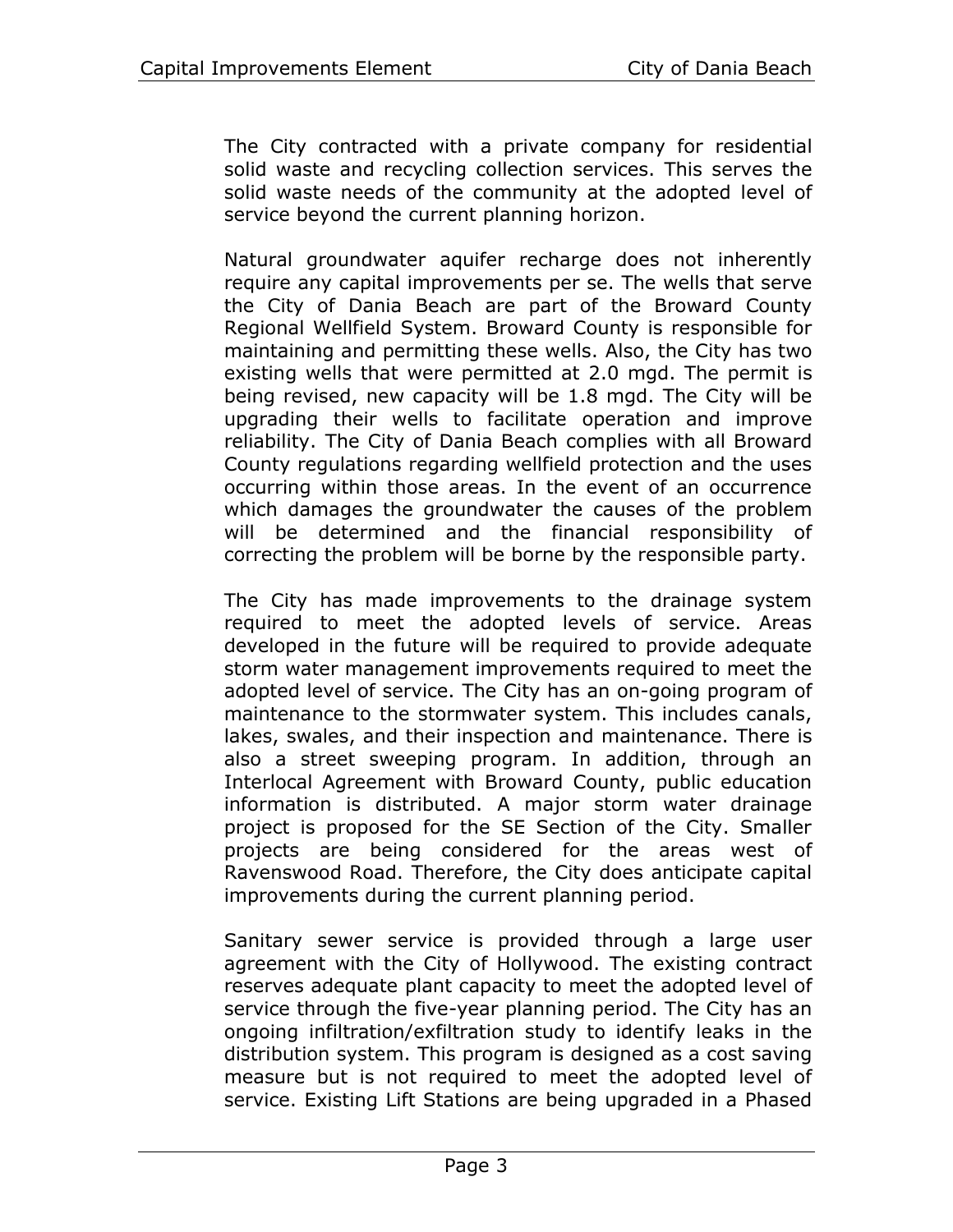The City contracted with a private company for residential solid waste and recycling collection services. This serves the solid waste needs of the community at the adopted level of service beyond the current planning horizon.

Natural groundwater aquifer recharge does not inherently require any capital improvements per se. The wells that serve the City of Dania Beach are part of the Broward County Regional Wellfield System. Broward County is responsible for maintaining and permitting these wells. Also, the City has two existing wells that were permitted at 2.0 mgd. The permit is being revised, new capacity will be 1.8 mgd. The City will be upgrading their wells to facilitate operation and improve reliability. The City of Dania Beach complies with all Broward County regulations regarding wellfield protection and the uses occurring within those areas. In the event of an occurrence which damages the groundwater the causes of the problem will be determined and the financial responsibility of correcting the problem will be borne by the responsible party.

The City has made improvements to the drainage system required to meet the adopted levels of service. Areas developed in the future will be required to provide adequate storm water management improvements required to meet the adopted level of service. The City has an on-going program of maintenance to the stormwater system. This includes canals, lakes, swales, and their inspection and maintenance. There is also a street sweeping program. In addition, through an Interlocal Agreement with Broward County, public education information is distributed. A major storm water drainage project is proposed for the SE Section of the City. Smaller projects are being considered for the areas west of Ravenswood Road. Therefore, the City does anticipate capital improvements during the current planning period.

Sanitary sewer service is provided through a large user agreement with the City of Hollywood. The existing contract reserves adequate plant capacity to meet the adopted level of service through the five-year planning period. The City has an ongoing infiltration/exfiltration study to identify leaks in the distribution system. This program is designed as a cost saving measure but is not required to meet the adopted level of service. Existing Lift Stations are being upgraded in a Phased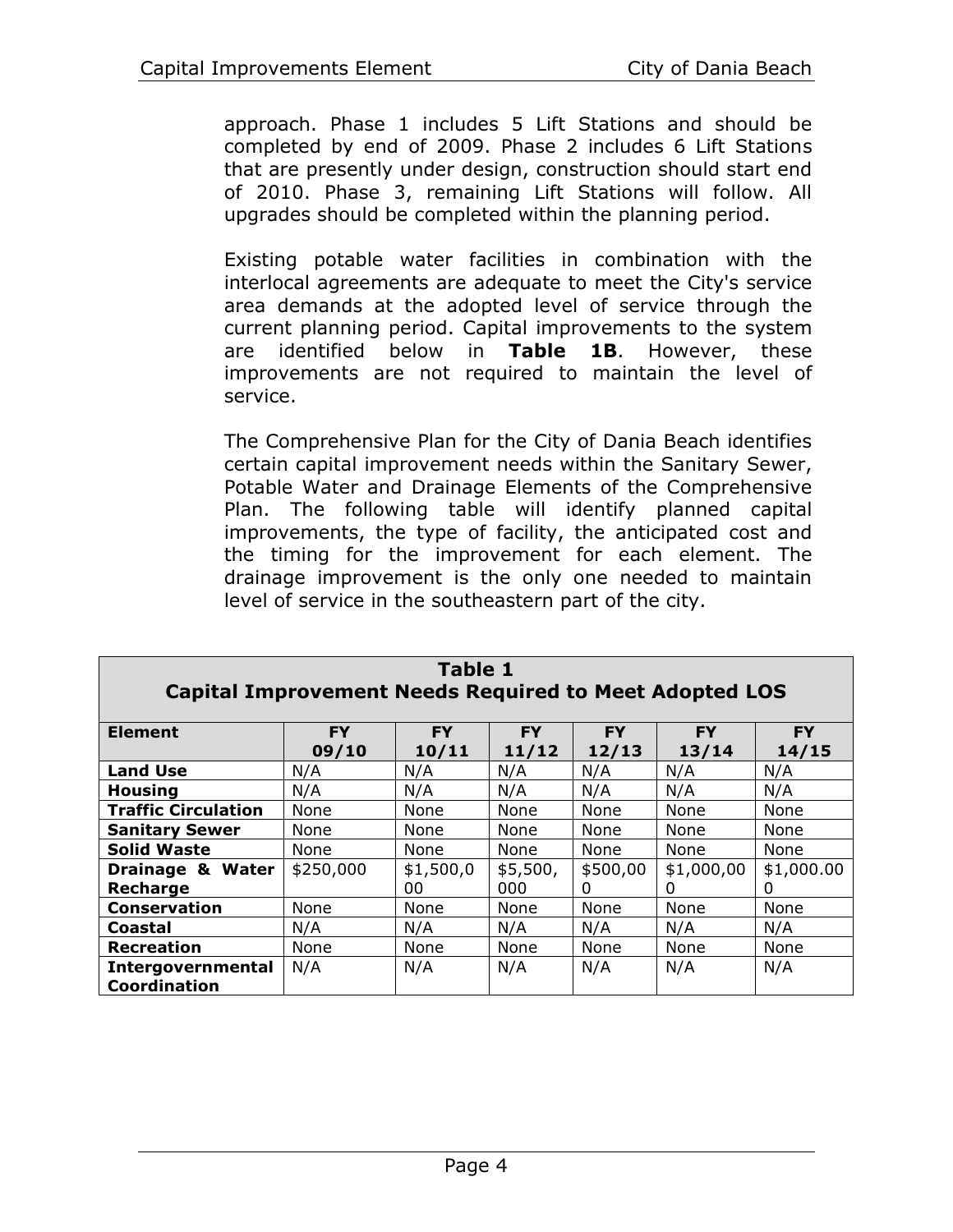approach. Phase 1 includes 5 Lift Stations and should be completed by end of 2009. Phase 2 includes 6 Lift Stations that are presently under design, construction should start end of 2010. Phase 3, remaining Lift Stations will follow. All upgrades should be completed within the planning period.

Existing potable water facilities in combination with the interlocal agreements are adequate to meet the City's service area demands at the adopted level of service through the current planning period. Capital improvements to the system are identified below in **Table 1B**. However, these improvements are not required to maintain the level of service.

The Comprehensive Plan for the City of Dania Beach identifies certain capital improvement needs within the Sanitary Sewer, Potable Water and Drainage Elements of the Comprehensive Plan. The following table will identify planned capital improvements, the type of facility, the anticipated cost and the timing for the improvement for each element. The drainage improvement is the only one needed to maintain level of service in the southeastern part of the city.

<span id="page-6-0"></span>

| <b>Element</b>             | <b>FY</b> | <b>FY</b> | <b>FY</b> | <b>FY</b> | <b>FY</b>  | <b>FY</b>  |
|----------------------------|-----------|-----------|-----------|-----------|------------|------------|
|                            | 09/10     | 10/11     | 11/12     | 12/13     | 13/14      | 14/15      |
| <b>Land Use</b>            | N/A       | N/A       | N/A       | N/A       | N/A        | N/A        |
| <b>Housing</b>             | N/A       | N/A       | N/A       | N/A       | N/A        | N/A        |
| <b>Traffic Circulation</b> | None      | None      | None      | None      | None       | None       |
| <b>Sanitary Sewer</b>      | None      | None      | None      | None      | None       | None       |
| <b>Solid Waste</b>         | None      | None      | None      | None      | None       | None       |
| Drainage & Water           | \$250,000 | \$1,500,0 | \$5,500,  | \$500,00  | \$1,000,00 | \$1,000.00 |
| Recharge                   |           | 00        | 000       | 0         | 0          | O          |
| <b>Conservation</b>        | None      | None      | None      | None      | None       | None       |
| Coastal                    | N/A       | N/A       | N/A       | N/A       | N/A        | N/A        |
| <b>Recreation</b>          | None      | None      | None      | None      | None       | None       |
| Intergovernmental          | N/A       | N/A       | N/A       | N/A       | N/A        | N/A        |
| Coordination               |           |           |           |           |            |            |

| Table 1                                                       |  |  |  |  |  |  |  |
|---------------------------------------------------------------|--|--|--|--|--|--|--|
| <b>Capital Improvement Needs Required to Meet Adopted LOS</b> |  |  |  |  |  |  |  |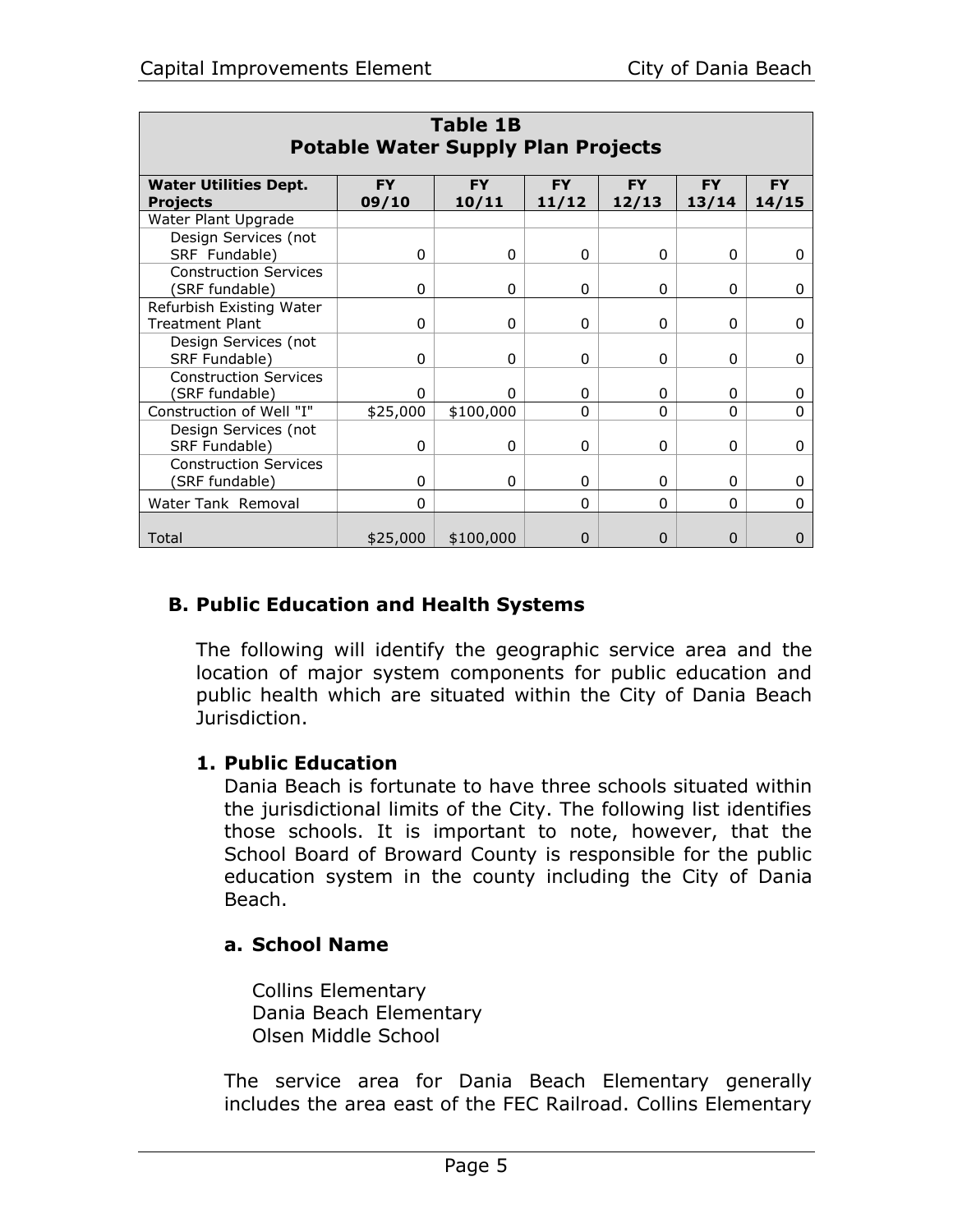| <b>Table 1B</b><br><b>Potable Water Supply Plan Projects</b> |                    |                    |                    |                    |                    |                    |  |  |  |  |  |
|--------------------------------------------------------------|--------------------|--------------------|--------------------|--------------------|--------------------|--------------------|--|--|--|--|--|
| <b>Water Utilities Dept.</b><br><b>Projects</b>              | <b>FY</b><br>09/10 | <b>FY</b><br>10/11 | <b>FY</b><br>11/12 | <b>FY</b><br>12/13 | <b>FY</b><br>13/14 | <b>FY</b><br>14/15 |  |  |  |  |  |
| Water Plant Upgrade                                          |                    |                    |                    |                    |                    |                    |  |  |  |  |  |
| Design Services (not<br>SRF Fundable)                        | 0                  | 0                  | $\Omega$           | 0                  | 0                  | 0                  |  |  |  |  |  |
| <b>Construction Services</b><br>(SRF fundable)               | 0                  | 0                  | 0                  | 0                  | 0                  | 0                  |  |  |  |  |  |
| Refurbish Existing Water<br><b>Treatment Plant</b>           | $\Omega$           | $\Omega$           | 0                  | 0                  | 0                  | 0                  |  |  |  |  |  |
| Design Services (not<br>SRF Fundable)                        | 0                  | 0                  | 0                  | 0                  | 0                  | 0                  |  |  |  |  |  |
| <b>Construction Services</b><br>(SRF fundable)               | 0                  | 0                  | 0                  | 0                  | 0                  | 0                  |  |  |  |  |  |
| Construction of Well "I"                                     | \$25,000           | \$100,000          | 0                  | $\Omega$           | $\Omega$           | $\Omega$           |  |  |  |  |  |
| Design Services (not<br>SRF Fundable)                        | 0                  | 0                  | 0                  | 0                  | 0                  | 0                  |  |  |  |  |  |
| <b>Construction Services</b><br>(SRF fundable)               | $\Omega$           | 0                  | O                  | 0                  | $\Omega$           | 0                  |  |  |  |  |  |
| Water Tank Removal                                           | 0                  |                    | 0                  | $\Omega$           | $\Omega$           | 0                  |  |  |  |  |  |
| Total                                                        | \$25,000           | \$100,000          | O                  | $\Omega$           | 0                  | 0                  |  |  |  |  |  |

# **B. Public Education and Health Systems**

The following will identify the geographic service area and the location of major system components for public education and public health which are situated within the City of Dania Beach Jurisdiction.

#### **1. Public Education**

Dania Beach is fortunate to have three schools situated within the jurisdictional limits of the City. The following list identifies those schools. It is important to note, however, that the School Board of Broward County is responsible for the public education system in the county including the City of Dania Beach.

#### **a. School Name**

Collins Elementary Dania Beach Elementary Olsen Middle School

The service area for Dania Beach Elementary generally includes the area east of the FEC Railroad. Collins Elementary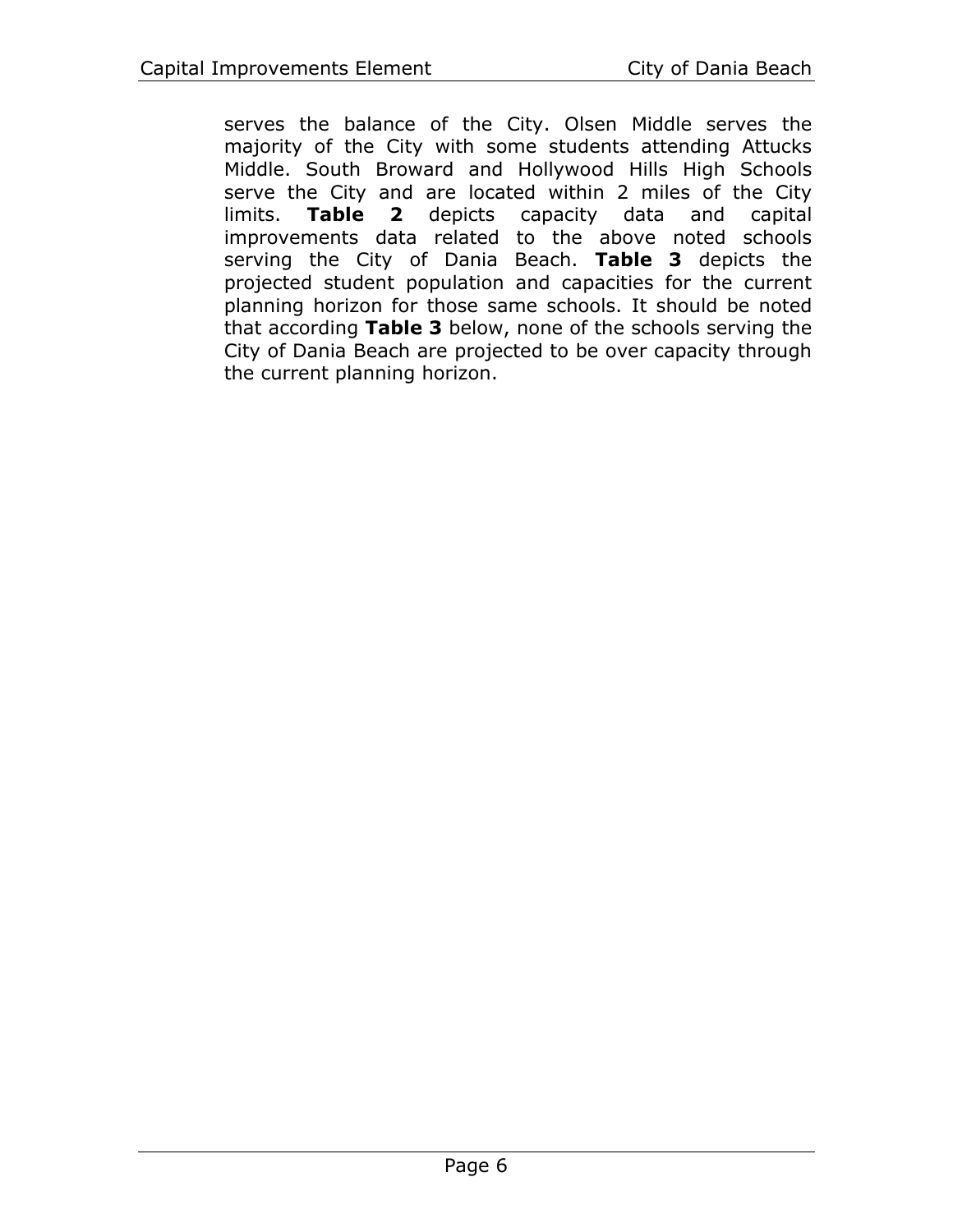serves the balance of the City. Olsen Middle serves the majority of the City with some students attending Attucks Middle. South Broward and Hollywood Hills High Schools serve the City and are located within 2 miles of the City limits. **[Table 2](#page-9-0)** depicts capacity data and capital improvements data related to the above noted schools serving the City of Dania Beach. **[Table 3](#page-10-0)** depicts the projected student population and capacities for the current planning horizon for those same schools. It should be noted that according **[Table 3](#page-10-0)** below, none of the schools serving the City of Dania Beach are projected to be over capacity through the current planning horizon.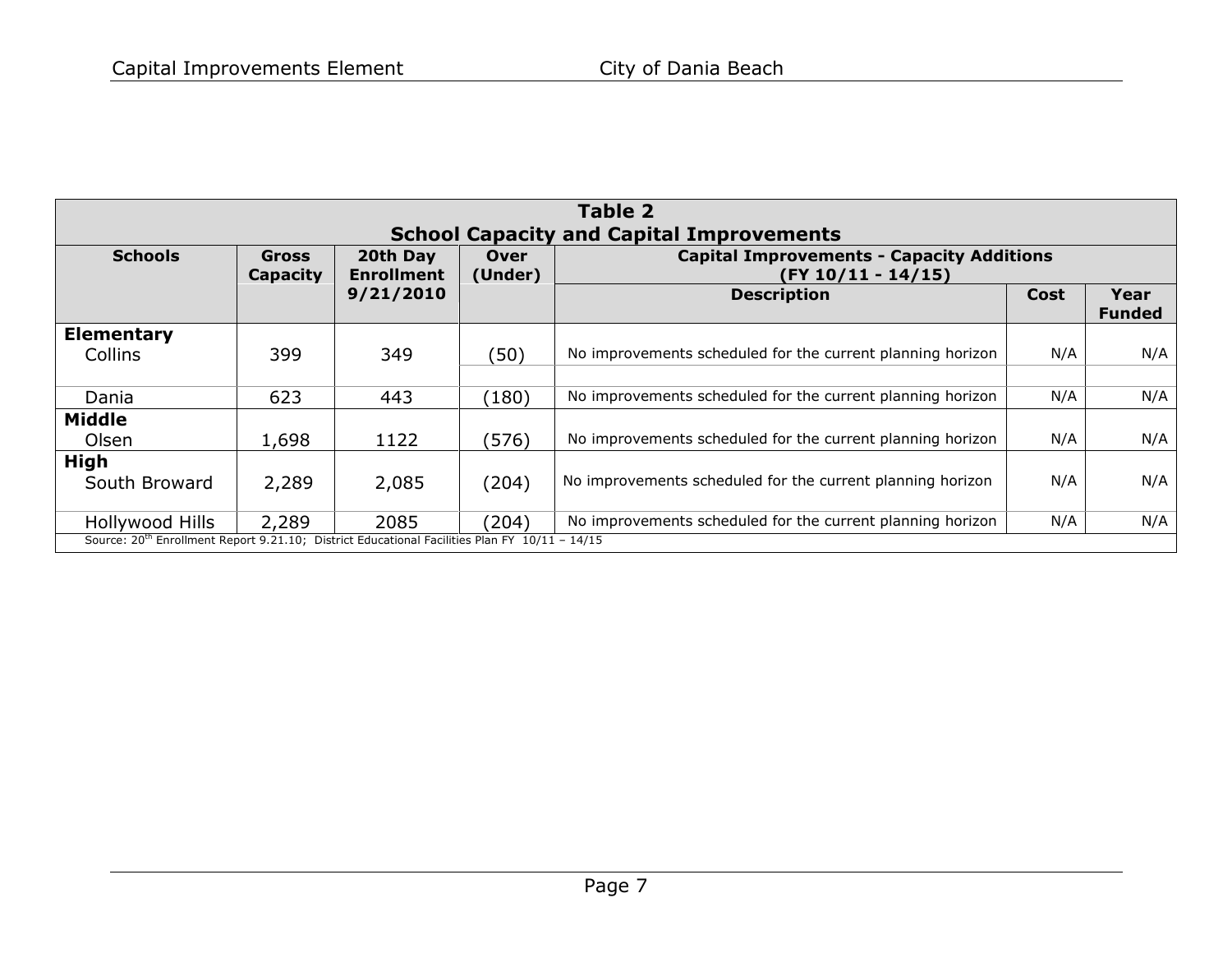<span id="page-9-0"></span>

|                                                                                                           | Table 2                  |                                                                          |       |                                                            |      |                       |  |  |  |  |  |  |
|-----------------------------------------------------------------------------------------------------------|--------------------------|--------------------------------------------------------------------------|-------|------------------------------------------------------------|------|-----------------------|--|--|--|--|--|--|
| <b>School Capacity and Capital Improvements</b>                                                           |                          |                                                                          |       |                                                            |      |                       |  |  |  |  |  |  |
| <b>Schools</b>                                                                                            | <b>Gross</b><br>Capacity | <b>Capital Improvements - Capacity Additions</b><br>$(FY 10/11 - 14/15)$ |       |                                                            |      |                       |  |  |  |  |  |  |
|                                                                                                           |                          | 9/21/2010                                                                |       | <b>Description</b>                                         | Cost | Year<br><b>Funded</b> |  |  |  |  |  |  |
| Elementary                                                                                                |                          |                                                                          |       |                                                            |      |                       |  |  |  |  |  |  |
| Collins                                                                                                   | 399                      | 349                                                                      | (50)  | No improvements scheduled for the current planning horizon | N/A  | N/A                   |  |  |  |  |  |  |
|                                                                                                           |                          |                                                                          |       |                                                            |      |                       |  |  |  |  |  |  |
| Dania                                                                                                     | 623                      | 443                                                                      | (180) | No improvements scheduled for the current planning horizon | N/A  | N/A                   |  |  |  |  |  |  |
| <b>Middle</b>                                                                                             |                          |                                                                          |       |                                                            |      |                       |  |  |  |  |  |  |
| Olsen                                                                                                     | 1,698                    | 1122                                                                     | (576) | No improvements scheduled for the current planning horizon | N/A  | N/A                   |  |  |  |  |  |  |
| <b>High</b>                                                                                               |                          |                                                                          |       |                                                            |      |                       |  |  |  |  |  |  |
| South Broward                                                                                             | 2,289                    | 2,085                                                                    | (204) | No improvements scheduled for the current planning horizon | N/A  | N/A                   |  |  |  |  |  |  |
|                                                                                                           |                          |                                                                          |       |                                                            |      |                       |  |  |  |  |  |  |
| Hollywood Hills                                                                                           | 2,289                    | 2085                                                                     | (204) | No improvements scheduled for the current planning horizon | N/A  | N/A                   |  |  |  |  |  |  |
| Source: 20 <sup>th</sup> Enrollment Report 9.21.10; District Educational Facilities Plan FY 10/11 - 14/15 |                          |                                                                          |       |                                                            |      |                       |  |  |  |  |  |  |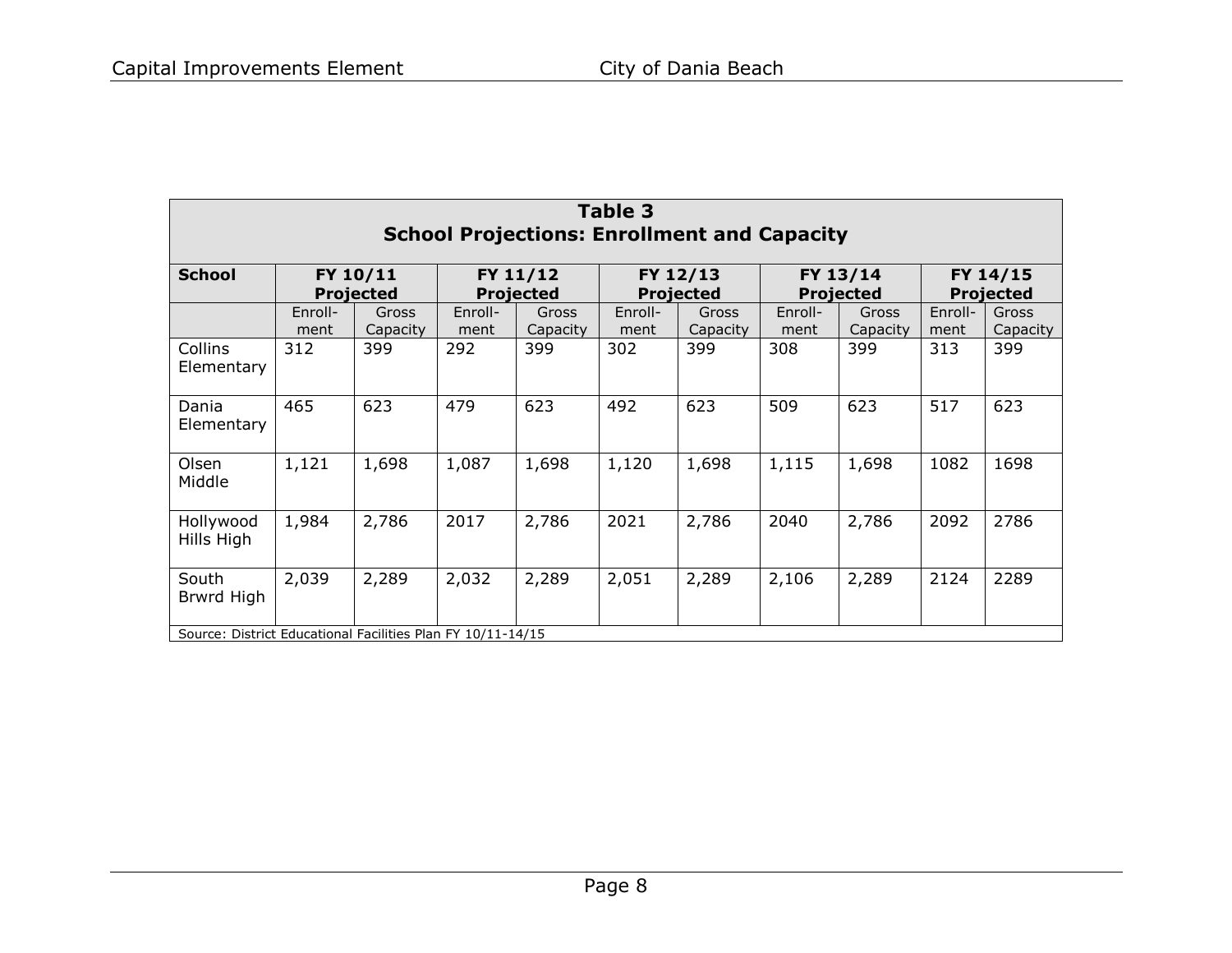<span id="page-10-0"></span>

| Table 3<br><b>School Projections: Enrollment and Capacity</b> |                              |                   |                              |                   |                              |                   |                              |                   |                              |                   |  |  |
|---------------------------------------------------------------|------------------------------|-------------------|------------------------------|-------------------|------------------------------|-------------------|------------------------------|-------------------|------------------------------|-------------------|--|--|
| <b>School</b>                                                 | FY 10/11<br><b>Projected</b> |                   | FY 11/12<br><b>Projected</b> |                   | FY 12/13<br><b>Projected</b> |                   | FY 13/14<br><b>Projected</b> |                   | FY 14/15<br><b>Projected</b> |                   |  |  |
|                                                               | Enroll-<br>ment              | Gross<br>Capacity | Enroll-<br>ment              | Gross<br>Capacity | Enroll-<br>ment              | Gross<br>Capacity | Enroll-<br>ment              | Gross<br>Capacity | Enroll-<br>ment              | Gross<br>Capacity |  |  |
| <b>Collins</b><br>Elementary                                  | 312                          | 399               | 292                          | 399               | 302                          | 399               | 308                          | 399               | 313                          | 399               |  |  |
| Dania<br>Elementary                                           | 465                          | 623               | 479                          | 623               | 492                          | 623               | 509                          | 623               | 517                          | 623               |  |  |
| Olsen<br>Middle                                               | 1,121                        | 1,698             | 1,087                        | 1,698             | 1,120                        | 1,698             | 1,115                        | 1,698             | 1082                         | 1698              |  |  |
| Hollywood<br>Hills High                                       | 1,984                        | 2,786             | 2017                         | 2,786             | 2021                         | 2,786             | 2040                         | 2,786             | 2092                         | 2786              |  |  |
| South<br>Brwrd High                                           | 2,039                        | 2,289             | 2,032                        | 2,289             | 2,051                        | 2,289             | 2,106                        | 2,289             | 2124                         | 2289              |  |  |
| Source: District Educational Facilities Plan FY 10/11-14/15   |                              |                   |                              |                   |                              |                   |                              |                   |                              |                   |  |  |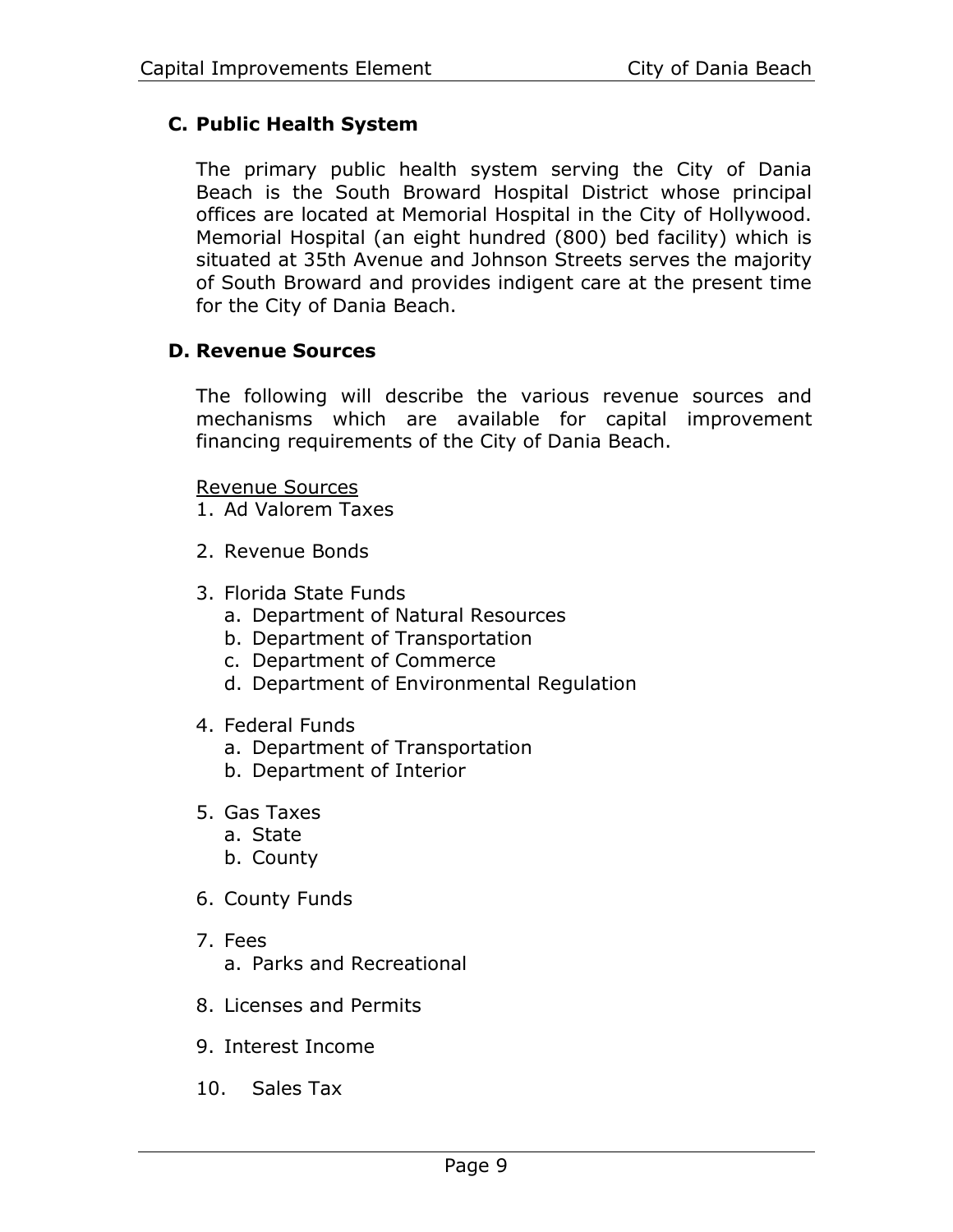# **C. Public Health System**

The primary public health system serving the City of Dania Beach is the South Broward Hospital District whose principal offices are located at Memorial Hospital in the City of Hollywood. Memorial Hospital (an eight hundred (800) bed facility) which is situated at 35th Avenue and Johnson Streets serves the majority of South Broward and provides indigent care at the present time for the City of Dania Beach.

# **D. Revenue Sources**

The following will describe the various revenue sources and mechanisms which are available for capital improvement financing requirements of the City of Dania Beach.

#### Revenue Sources

- 1. Ad Valorem Taxes
- 2. Revenue Bonds
- 3. Florida State Funds
	- a. Department of Natural Resources
	- b. Department of Transportation
	- c. Department of Commerce
	- d. Department of Environmental Regulation
- 4. Federal Funds
	- a. Department of Transportation
	- b. Department of Interior
- 5. Gas Taxes
	- a. State
	- b. County
- 6. County Funds
- 7. Fees a. Parks and Recreational
- 8. Licenses and Permits
- 9. Interest Income
- 10. Sales Tax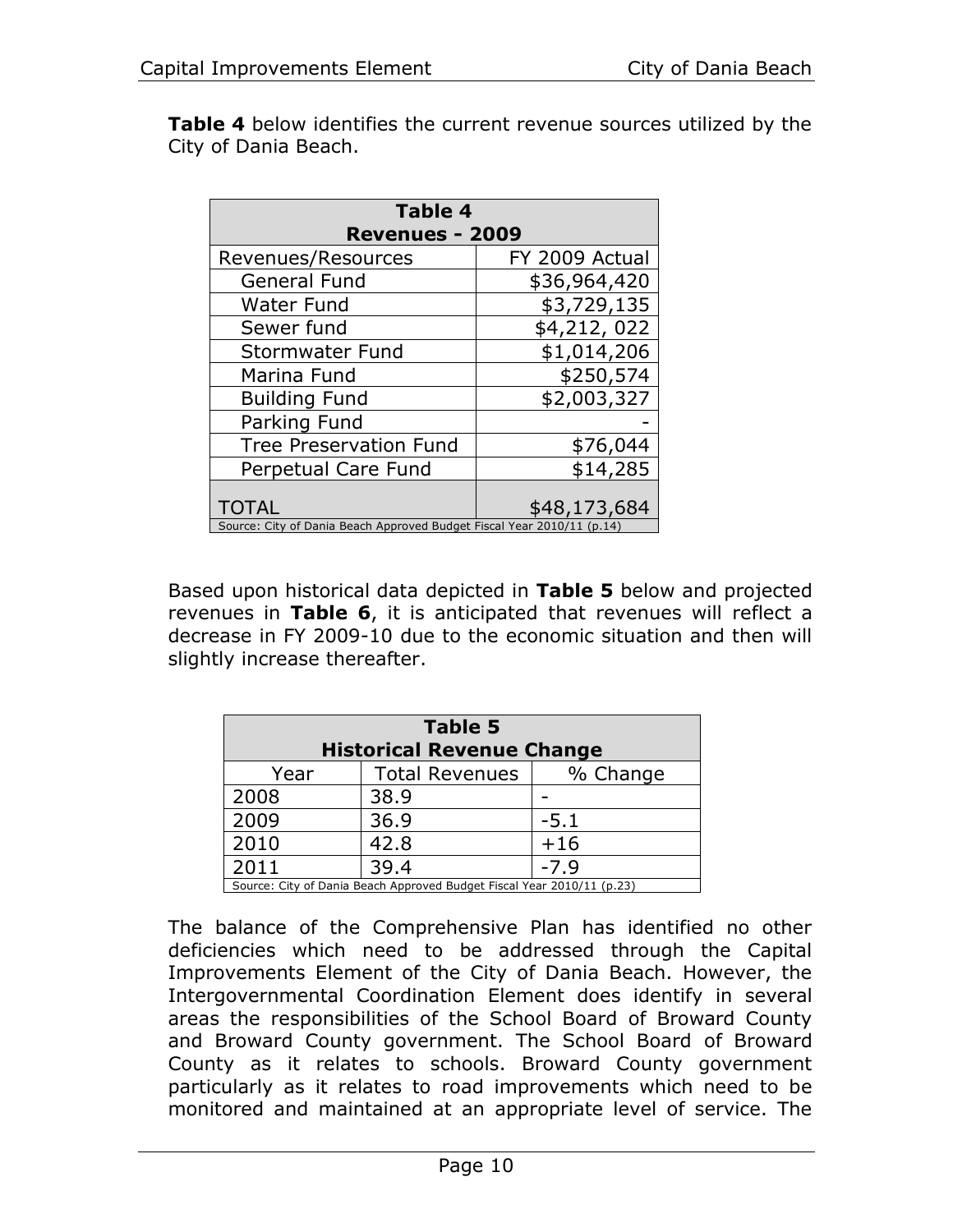**[Table 4](#page-12-0)** below identifies the current revenue sources utilized by the City of Dania Beach.

<span id="page-12-0"></span>

| <b>Table 4</b>                                                         |                |  |  |  |  |  |  |
|------------------------------------------------------------------------|----------------|--|--|--|--|--|--|
| <b>Revenues - 2009</b>                                                 |                |  |  |  |  |  |  |
| Revenues/Resources                                                     | FY 2009 Actual |  |  |  |  |  |  |
| <b>General Fund</b>                                                    | \$36,964,420   |  |  |  |  |  |  |
| <b>Water Fund</b>                                                      | \$3,729,135    |  |  |  |  |  |  |
| Sewer fund                                                             | \$4,212,022    |  |  |  |  |  |  |
| <b>Stormwater Fund</b>                                                 | \$1,014,206    |  |  |  |  |  |  |
| Marina Fund                                                            | \$250,574      |  |  |  |  |  |  |
| <b>Building Fund</b>                                                   | \$2,003,327    |  |  |  |  |  |  |
| Parking Fund                                                           |                |  |  |  |  |  |  |
| <b>Tree Preservation Fund</b>                                          | \$76,044       |  |  |  |  |  |  |
| Perpetual Care Fund                                                    | \$14,285       |  |  |  |  |  |  |
|                                                                        |                |  |  |  |  |  |  |
| <b>TOTAL</b>                                                           | \$48,173,684   |  |  |  |  |  |  |
| Source: City of Dania Beach Approved Budget Fiscal Year 2010/11 (p.14) |                |  |  |  |  |  |  |

Based upon historical data depicted in **[Table 5](#page-12-1)** below and projected revenues in **[Table 6](#page-16-0)**, it is anticipated that revenues will reflect a decrease in FY 2009-10 due to the economic situation and then will slightly increase thereafter.

<span id="page-12-1"></span>

| <b>Table 5</b><br><b>Historical Revenue Change</b> |                                                                        |          |  |  |  |  |  |
|----------------------------------------------------|------------------------------------------------------------------------|----------|--|--|--|--|--|
| Year                                               | <b>Total Revenues</b>                                                  | % Change |  |  |  |  |  |
| 2008                                               | 38.9                                                                   |          |  |  |  |  |  |
| 2009                                               | 36.9                                                                   | $-5.1$   |  |  |  |  |  |
| 2010                                               | 42.8                                                                   | $+16$    |  |  |  |  |  |
| 2011                                               | 39.4                                                                   | $-7.9$   |  |  |  |  |  |
|                                                    | Source: City of Dania Beach Approved Budget Fiscal Year 2010/11 (p.23) |          |  |  |  |  |  |

The balance of the Comprehensive Plan has identified no other deficiencies which need to be addressed through the Capital Improvements Element of the City of Dania Beach. However, the Intergovernmental Coordination Element does identify in several areas the responsibilities of the School Board of Broward County and Broward County government. The School Board of Broward County as it relates to schools. Broward County government particularly as it relates to road improvements which need to be monitored and maintained at an appropriate level of service. The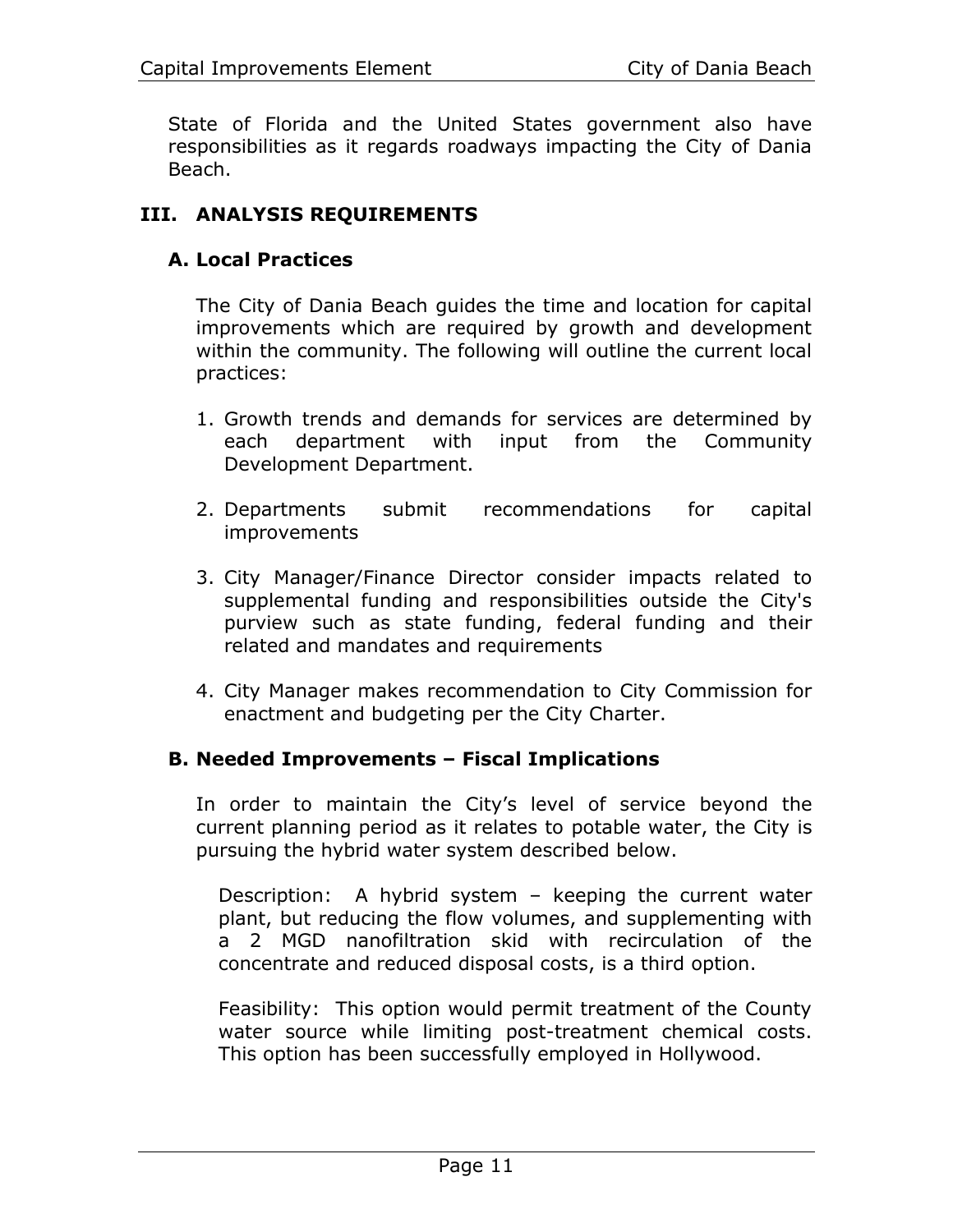State of Florida and the United States government also have responsibilities as it regards roadways impacting the City of Dania Beach.

# **III. ANALYSIS REQUIREMENTS**

# **A. Local Practices**

The City of Dania Beach guides the time and location for capital improvements which are required by growth and development within the community. The following will outline the current local practices:

- 1. Growth trends and demands for services are determined by each department with input from the Community Development Department.
- 2. Departments submit recommendations for capital improvements
- 3. City Manager/Finance Director consider impacts related to supplemental funding and responsibilities outside the City's purview such as state funding, federal funding and their related and mandates and requirements
- 4. City Manager makes recommendation to City Commission for enactment and budgeting per the City Charter.

#### **B. Needed Improvements – Fiscal Implications**

In order to maintain the City's level of service beyond the current planning period as it relates to potable water, the City is pursuing the hybrid water system described below.

Description: A hybrid system – keeping the current water plant, but reducing the flow volumes, and supplementing with a 2 MGD nanofiltration skid with recirculation of the concentrate and reduced disposal costs, is a third option.

Feasibility: This option would permit treatment of the County water source while limiting post-treatment chemical costs. This option has been successfully employed in Hollywood.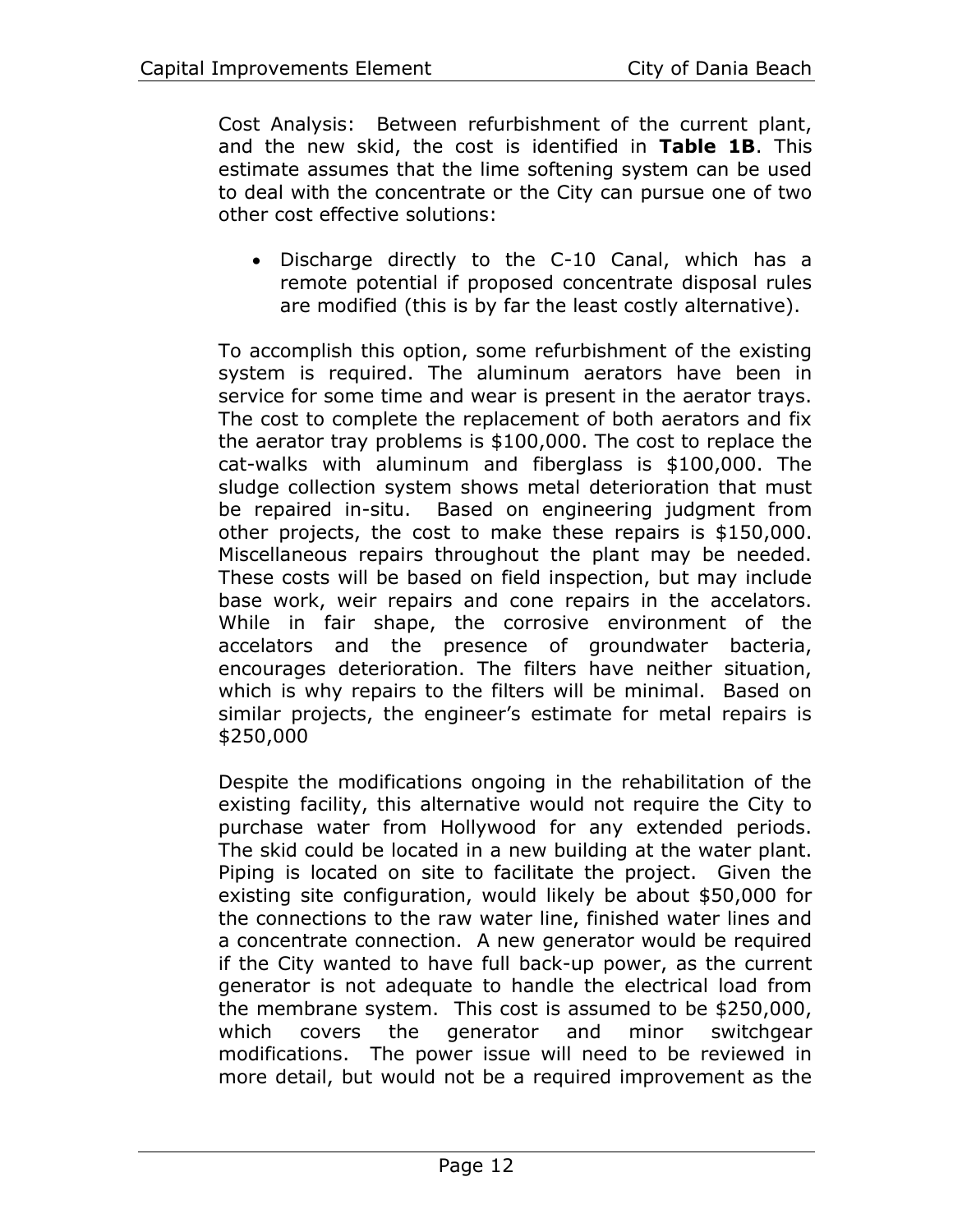Cost Analysis: Between refurbishment of the current plant, and the new skid, the cost is identified in **Table 1B**. This estimate assumes that the lime softening system can be used to deal with the concentrate or the City can pursue one of two other cost effective solutions:

• Discharge directly to the C-10 Canal, which has a remote potential if proposed concentrate disposal rules are modified (this is by far the least costly alternative).

To accomplish this option, some refurbishment of the existing system is required. The aluminum aerators have been in service for some time and wear is present in the aerator trays. The cost to complete the replacement of both aerators and fix the aerator tray problems is \$100,000. The cost to replace the cat-walks with aluminum and fiberglass is \$100,000. The sludge collection system shows metal deterioration that must be repaired in-situ. Based on engineering judgment from other projects, the cost to make these repairs is \$150,000. Miscellaneous repairs throughout the plant may be needed. These costs will be based on field inspection, but may include base work, weir repairs and cone repairs in the accelators. While in fair shape, the corrosive environment of the accelators and the presence of groundwater bacteria, encourages deterioration. The filters have neither situation, which is why repairs to the filters will be minimal. Based on similar projects, the engineer's estimate for metal repairs is \$250,000

Despite the modifications ongoing in the rehabilitation of the existing facility, this alternative would not require the City to purchase water from Hollywood for any extended periods. The skid could be located in a new building at the water plant. Piping is located on site to facilitate the project. Given the existing site configuration, would likely be about \$50,000 for the connections to the raw water line, finished water lines and a concentrate connection. A new generator would be required if the City wanted to have full back-up power, as the current generator is not adequate to handle the electrical load from the membrane system. This cost is assumed to be \$250,000, which covers the generator and minor switchgear modifications. The power issue will need to be reviewed in more detail, but would not be a required improvement as the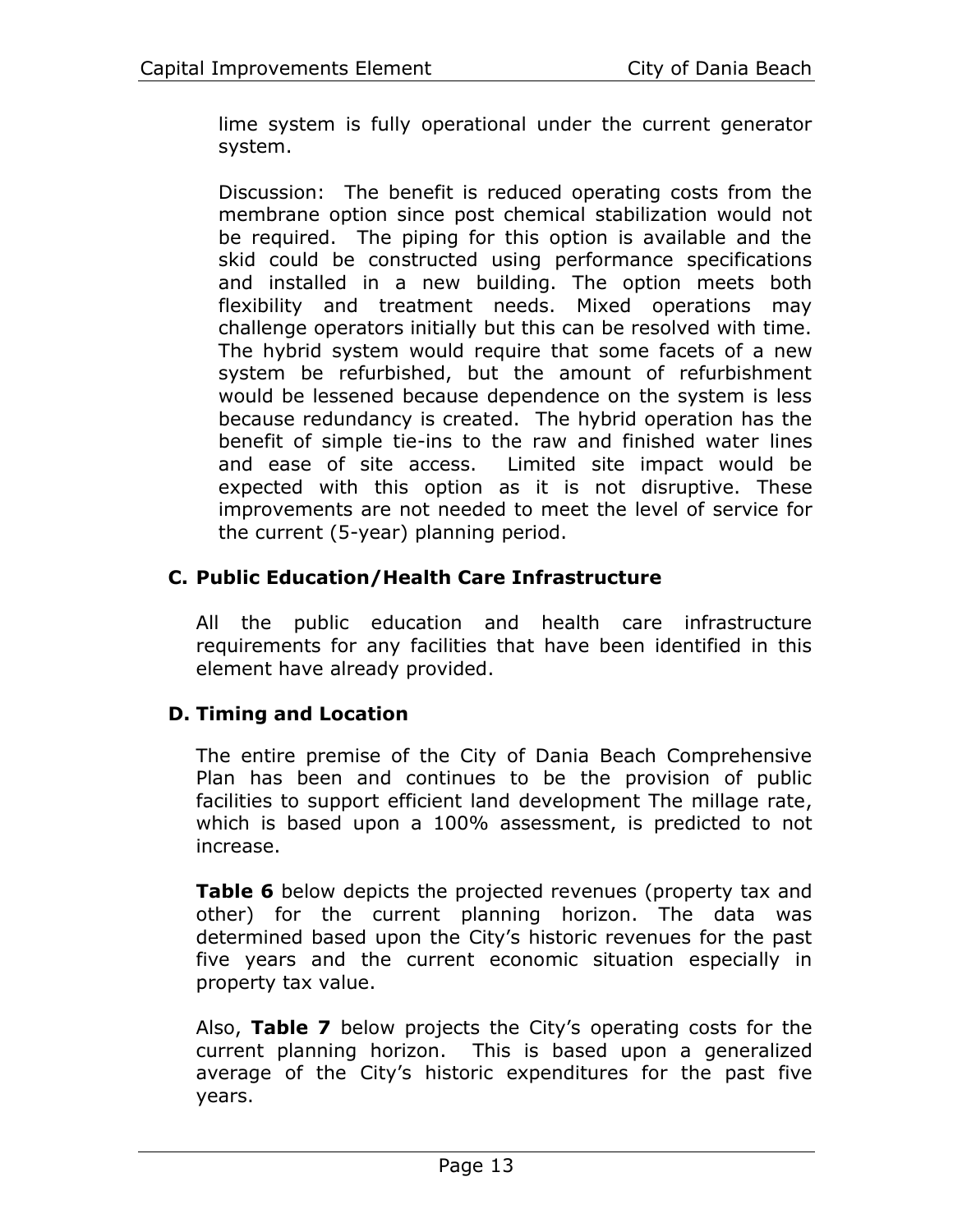lime system is fully operational under the current generator system.

Discussion: The benefit is reduced operating costs from the membrane option since post chemical stabilization would not be required. The piping for this option is available and the skid could be constructed using performance specifications and installed in a new building. The option meets both flexibility and treatment needs. Mixed operations may challenge operators initially but this can be resolved with time. The hybrid system would require that some facets of a new system be refurbished, but the amount of refurbishment would be lessened because dependence on the system is less because redundancy is created. The hybrid operation has the benefit of simple tie-ins to the raw and finished water lines and ease of site access. Limited site impact would be expected with this option as it is not disruptive. These improvements are not needed to meet the level of service for the current (5-year) planning period.

# **C. Public Education/Health Care Infrastructure**

All the public education and health care infrastructure requirements for any facilities that have been identified in this element have already provided.

# **D. Timing and Location**

The entire premise of the City of Dania Beach Comprehensive Plan has been and continues to be the provision of public facilities to support efficient land development The millage rate, which is based upon a 100% assessment, is predicted to not increase.

**[Table 6](#page-16-0)** below depicts the projected revenues (property tax and other) for the current planning horizon. The data was determined based upon the City's historic revenues for the past five years and the current economic situation especially in property tax value.

Also, **[Table 7](#page-17-0)** below projects the City's operating costs for the current planning horizon. This is based upon a generalized average of the City's historic expenditures for the past five years.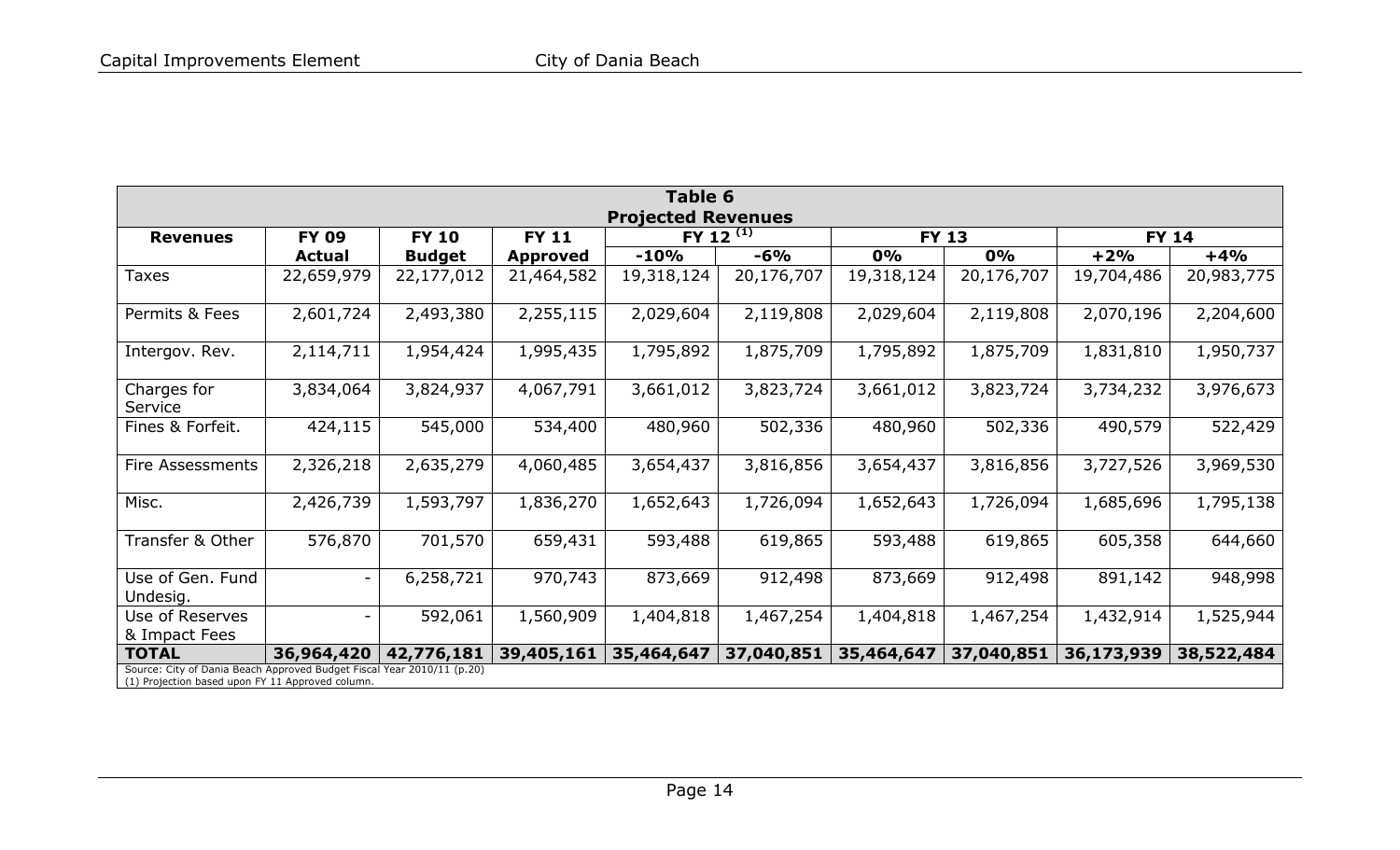<span id="page-16-0"></span>

| Table 6                                                                                                                    |                           |               |                 |            |                |            |              |            |              |  |  |  |  |
|----------------------------------------------------------------------------------------------------------------------------|---------------------------|---------------|-----------------|------------|----------------|------------|--------------|------------|--------------|--|--|--|--|
|                                                                                                                            | <b>Projected Revenues</b> |               |                 |            |                |            |              |            |              |  |  |  |  |
| <b>Revenues</b>                                                                                                            | <b>FY 09</b>              | <b>FY 10</b>  | <b>FY 11</b>    |            | FY 12 $^{(1)}$ |            | <b>FY 13</b> |            | <b>FY 14</b> |  |  |  |  |
|                                                                                                                            | <b>Actual</b>             | <b>Budget</b> | <b>Approved</b> | $-10%$     | $-6%$          | 0%         | 0%           | $+2%$      | $+4%$        |  |  |  |  |
| Taxes                                                                                                                      | 22,659,979                | 22,177,012    | 21,464,582      | 19,318,124 | 20,176,707     | 19,318,124 | 20,176,707   | 19,704,486 | 20,983,775   |  |  |  |  |
| Permits & Fees                                                                                                             | 2,601,724                 | 2,493,380     | 2,255,115       | 2,029,604  | 2,119,808      | 2,029,604  | 2,119,808    | 2,070,196  | 2,204,600    |  |  |  |  |
| Intergov. Rev.                                                                                                             | 2,114,711                 | 1,954,424     | 1,995,435       | 1,795,892  | 1,875,709      | 1,795,892  | 1,875,709    | 1,831,810  | 1,950,737    |  |  |  |  |
| Charges for<br>Service                                                                                                     | 3,834,064                 | 3,824,937     | 4,067,791       | 3,661,012  | 3,823,724      | 3,661,012  | 3,823,724    | 3,734,232  | 3,976,673    |  |  |  |  |
| Fines & Forfeit.                                                                                                           | 424,115                   | 545,000       | 534,400         | 480,960    | 502,336        | 480,960    | 502,336      | 490,579    | 522,429      |  |  |  |  |
| Fire Assessments                                                                                                           | 2,326,218                 | 2,635,279     | 4,060,485       | 3,654,437  | 3,816,856      | 3,654,437  | 3,816,856    | 3,727,526  | 3,969,530    |  |  |  |  |
| Misc.                                                                                                                      | 2,426,739                 | 1,593,797     | 1,836,270       | 1,652,643  | 1,726,094      | 1,652,643  | 1,726,094    | 1,685,696  | 1,795,138    |  |  |  |  |
| Transfer & Other                                                                                                           | 576,870                   | 701,570       | 659,431         | 593,488    | 619,865        | 593,488    | 619,865      | 605,358    | 644,660      |  |  |  |  |
| Use of Gen. Fund<br>Undesig.                                                                                               |                           | 6,258,721     | 970,743         | 873,669    | 912,498        | 873,669    | 912,498      | 891,142    | 948,998      |  |  |  |  |
| Use of Reserves<br>& Impact Fees                                                                                           | $\overline{\phantom{a}}$  | 592,061       | 1,560,909       | 1,404,818  | 1,467,254      | 1,404,818  | 1,467,254    | 1,432,914  | 1,525,944    |  |  |  |  |
| <b>TOTAL</b>                                                                                                               | 36,964,420                | 42,776,181    | 39,405,161      | 35,464,647 | 37,040,851     | 35,464,647 | 37,040,851   | 36,173,939 | 38,522,484   |  |  |  |  |
| Source: City of Dania Beach Approved Budget Fiscal Year 2010/11 (p.20)<br>(1) Projection based upon FY 11 Approved column. |                           |               |                 |            |                |            |              |            |              |  |  |  |  |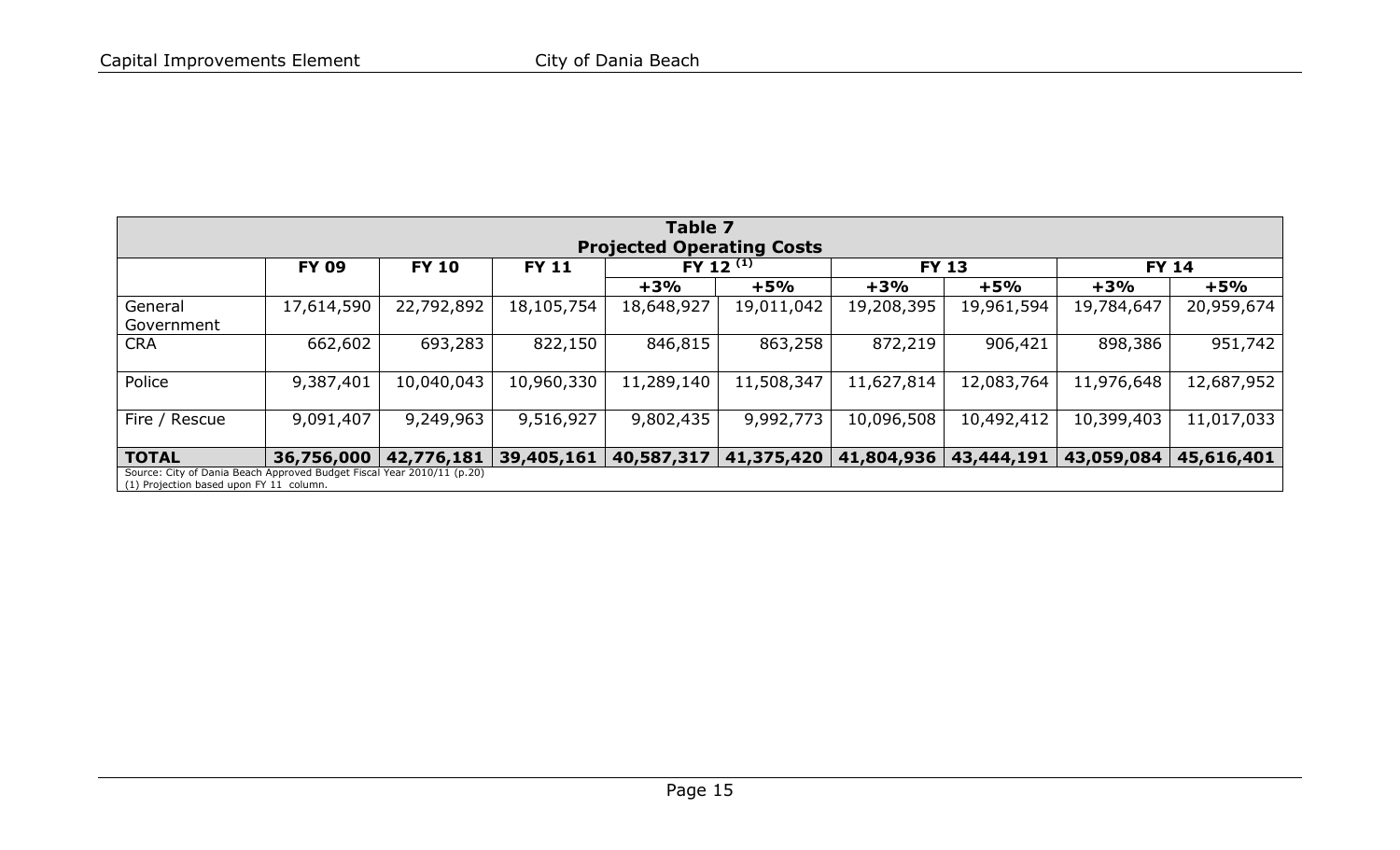<span id="page-17-0"></span>

| Table 7                                                                                                           |                                              |            |            |                         |                |            |              |              |            |  |  |  |
|-------------------------------------------------------------------------------------------------------------------|----------------------------------------------|------------|------------|-------------------------|----------------|------------|--------------|--------------|------------|--|--|--|
| <b>Projected Operating Costs</b>                                                                                  |                                              |            |            |                         |                |            |              |              |            |  |  |  |
|                                                                                                                   | <b>FY 09</b><br><b>FY 10</b><br><b>FY 11</b> |            |            |                         | FY 12 $^{(1)}$ |            | <b>FY 13</b> | <b>FY 14</b> |            |  |  |  |
|                                                                                                                   |                                              |            |            | $+3%$                   | $+5%$          | $+3%$      | $+5%$        | $+3%$        | $+5%$      |  |  |  |
| General<br>Government                                                                                             | 17,614,590                                   | 22,792,892 | 18,105,754 | 18,648,927              | 19,011,042     | 19,208,395 | 19,961,594   | 19,784,647   | 20,959,674 |  |  |  |
| <b>CRA</b>                                                                                                        | 662,602                                      | 693,283    | 822,150    | 846,815                 | 863,258        | 872,219    | 906,421      | 898,386      | 951,742    |  |  |  |
| Police                                                                                                            | 9,387,401                                    | 10,040,043 | 10,960,330 | 11,289,140              | 11,508,347     | 11,627,814 | 12,083,764   | 11,976,648   | 12,687,952 |  |  |  |
| Fire / Rescue                                                                                                     | 9,091,407                                    | 9,249,963  | 9,516,927  | 9,802,435               | 9,992,773      | 10,096,508 | 10,492,412   | 10,399,403   | 11,017,033 |  |  |  |
| <b>TOTAL</b>                                                                                                      | 36,756,000                                   | 42,776,181 |            | 39,405,161   40,587,317 | 41,375,420     | 41,804,936 | 43,444,191   | 43,059,084   | 45,616,401 |  |  |  |
| Source: City of Dania Beach Approved Budget Fiscal Year 2010/11 (p.20)<br>(1) Projection based upon FY 11 column. |                                              |            |            |                         |                |            |              |              |            |  |  |  |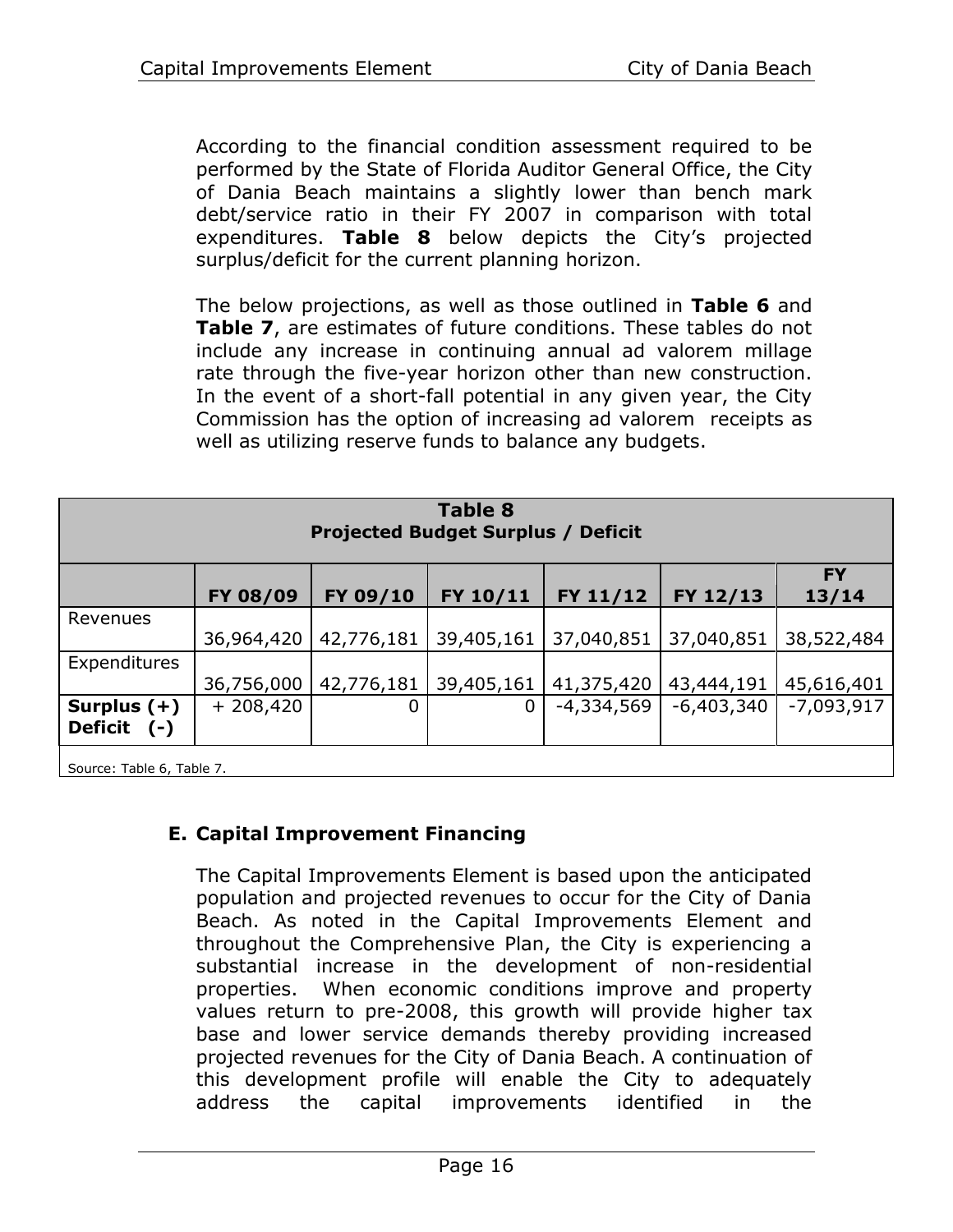According to the financial condition assessment required to be performed by the State of Florida Auditor General Office, the City of Dania Beach maintains a slightly lower than bench mark debt/service ratio in their FY 2007 in comparison with total expenditures. **[Table 8](#page-18-0)** below depicts the City's projected surplus/deficit for the current planning horizon.

The below projections, as well as those outlined in **[Table 6](#page-16-0)** and **[Table 7](#page-17-0)**, are estimates of future conditions. These tables do not include any increase in continuing annual ad valorem millage rate through the five-year horizon other than new construction. In the event of a short-fall potential in any given year, the City Commission has the option of increasing ad valorem receipts as well as utilizing reserve funds to balance any budgets.

<span id="page-18-0"></span>

| <b>Table 8</b><br><b>Projected Budget Surplus / Deficit</b> |            |            |            |              |              |                    |
|-------------------------------------------------------------|------------|------------|------------|--------------|--------------|--------------------|
|                                                             | FY 08/09   | FY 09/10   | FY 10/11   | FY 11/12     | FY 12/13     | <b>FY</b><br>13/14 |
| Revenues                                                    | 36,964,420 | 42,776,181 | 39,405,161 | 37,040,851   | 37,040,851   | 38,522,484         |
| Expenditures                                                | 36,756,000 | 42,776,181 | 39,405,161 | 41,375,420   | 43,444,191   | 45,616,401         |
| Surplus $(+)$<br><b>Deficit</b><br>( – )                    | $+208,420$ | O          | 0          | $-4,334,569$ | $-6,403,340$ | $-7,093,917$       |
|                                                             |            |            |            |              |              |                    |

Source[: Table 6,](#page-16-0) [Table 7.](#page-17-0)

# **E. Capital Improvement Financing**

The Capital Improvements Element is based upon the anticipated population and projected revenues to occur for the City of Dania Beach. As noted in the Capital Improvements Element and throughout the Comprehensive Plan, the City is experiencing a substantial increase in the development of non-residential properties. When economic conditions improve and property values return to pre-2008, this growth will provide higher tax base and lower service demands thereby providing increased projected revenues for the City of Dania Beach. A continuation of this development profile will enable the City to adequately address the capital improvements identified in the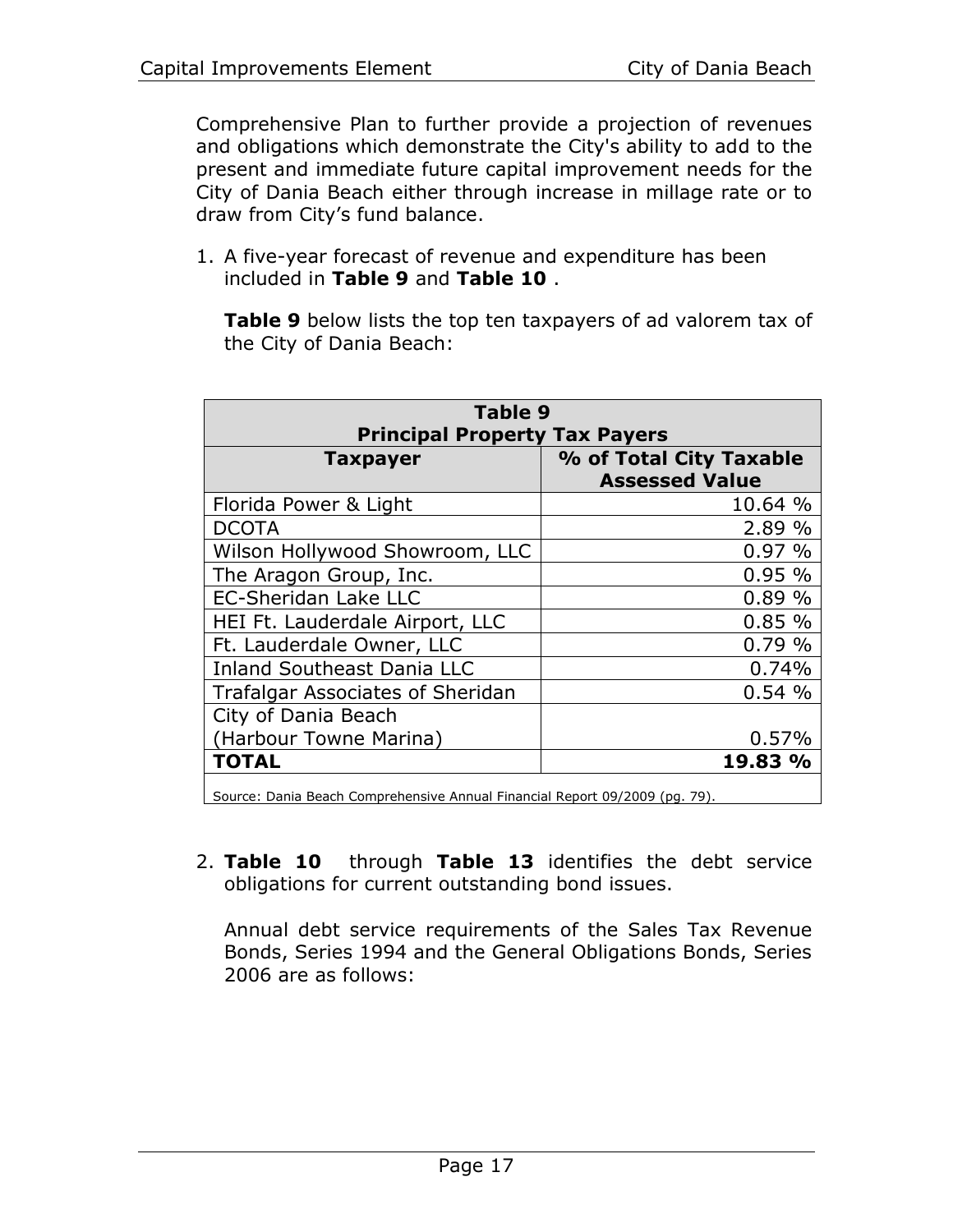Comprehensive Plan to further provide a projection of revenues and obligations which demonstrate the City's ability to add to the present and immediate future capital improvement needs for the City of Dania Beach either through increase in millage rate or to draw from City's fund balance.

1. A five-year forecast of revenue and expenditure has been included in **[Table 9](#page-19-0)** and **[Table 10](#page-20-0)** .

**[Table 9](#page-19-0)** below lists the top ten taxpayers of ad valorem tax of the City of Dania Beach:

<span id="page-19-0"></span>

| <b>Principal Property Tax Payers</b>             |
|--------------------------------------------------|
|                                                  |
| % of Total City Taxable<br><b>Assessed Value</b> |
| 10.64 %                                          |
| 2.89 %                                           |
| 0.97%                                            |
| 0.95%                                            |
| 0.89%                                            |
| 0.85%                                            |
| 0.79%                                            |
| 0.74%                                            |
| 0.54%                                            |
|                                                  |
| 0.57%                                            |
| 19.83 %                                          |
|                                                  |

Source: Dania Beach Comprehensive Annual Financial Report 09/2009 (pg. 79).

2. **[Table 10](#page-20-0)** through **[Table 13](#page-22-0)** identifies the debt service obligations for current outstanding bond issues.

Annual debt service requirements of the Sales Tax Revenue Bonds, Series 1994 and the General Obligations Bonds, Series 2006 are as follows: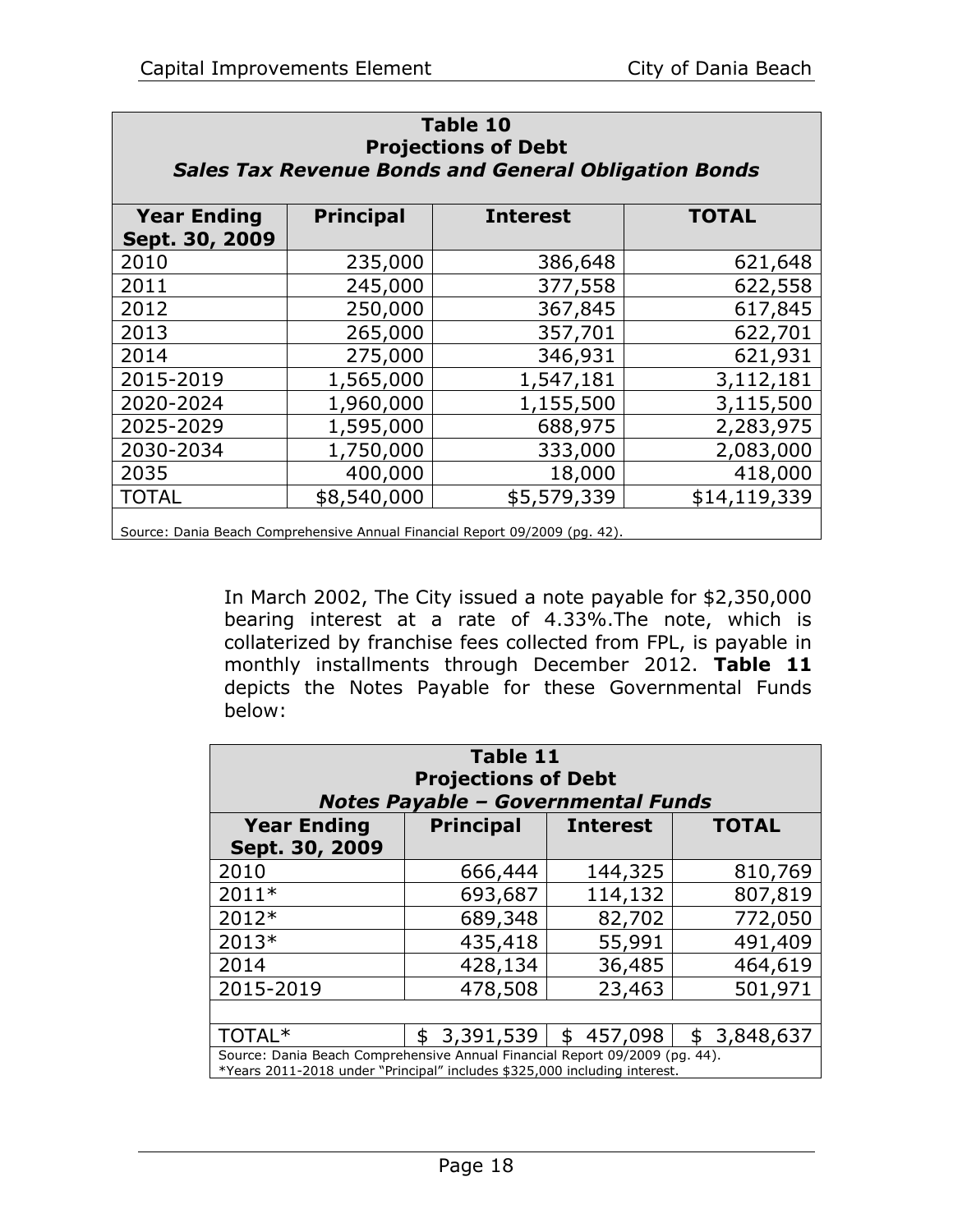<span id="page-20-0"></span>

| <b>Table 10</b><br><b>Projections of Debt</b><br><b>Sales Tax Revenue Bonds and General Obligation Bonds</b> |           |           |           |  |  |  |
|--------------------------------------------------------------------------------------------------------------|-----------|-----------|-----------|--|--|--|
| <b>Year Ending</b><br><b>Principal</b><br><b>TOTAL</b><br><b>Interest</b><br>Sept. 30, 2009                  |           |           |           |  |  |  |
| 2010                                                                                                         | 235,000   | 386,648   | 621,648   |  |  |  |
| 2011                                                                                                         | 245,000   | 377,558   | 622,558   |  |  |  |
| 2012                                                                                                         | 250,000   | 367,845   | 617,845   |  |  |  |
| 2013                                                                                                         | 265,000   | 357,701   | 622,701   |  |  |  |
| 2014                                                                                                         | 275,000   | 346,931   | 621,931   |  |  |  |
| 2015-2019                                                                                                    | 1,565,000 | 1,547,181 | 3,112,181 |  |  |  |
| 2020-2024                                                                                                    | 1,960,000 | 1,155,500 | 3,115,500 |  |  |  |
| 2025-2029                                                                                                    | 1,595,000 | 688,975   | 2,283,975 |  |  |  |
| 2030-2034                                                                                                    | 1,750,000 | 333,000   | 2,083,000 |  |  |  |
| 2035                                                                                                         | 400,000   | 18,000    | 418,000   |  |  |  |
| \$8,540,000<br>\$5,579,339<br><b>TOTAL</b><br>\$14,119,339                                                   |           |           |           |  |  |  |
| Source: Dania Beach Comprehensive Annual Financial Report 09/2009 (pq. 42).                                  |           |           |           |  |  |  |

In March 2002, The City issued a note payable for \$2,350,000 bearing interest at a rate of 4.33%.The note, which is collaterized by franchise fees collected from FPL, is payable in monthly installments through December 2012. **[Table 11](#page-20-1)** depicts the Notes Payable for these Governmental Funds below:

<span id="page-20-1"></span>

| Table 11<br><b>Projections of Debt</b><br><b>Notes Payable - Governmental Funds</b>                                                                                |                  |                 |                 |  |  |
|--------------------------------------------------------------------------------------------------------------------------------------------------------------------|------------------|-----------------|-----------------|--|--|
| <b>Year Ending</b><br>Sept. 30, 2009                                                                                                                               | <b>Principal</b> | <b>Interest</b> | <b>TOTAL</b>    |  |  |
| 2010                                                                                                                                                               | 666,444          | 144,325         | 810,769         |  |  |
| $2011*$                                                                                                                                                            | 693,687          | 114,132         | 807,819         |  |  |
| 2012*                                                                                                                                                              | 689,348          | 82,702          | 772,050         |  |  |
| 2013*                                                                                                                                                              | 435,418          | 55,991          | 491,409         |  |  |
| 2014                                                                                                                                                               | 428,134          | 36,485          | 464,619         |  |  |
| 2015-2019                                                                                                                                                          | 478,508          | 23,463          | 501,971         |  |  |
|                                                                                                                                                                    |                  |                 |                 |  |  |
| TOTAL*                                                                                                                                                             | 3,391,539<br>\$  | 457,098<br>\$   | 3,848,637<br>\$ |  |  |
| Source: Dania Beach Comprehensive Annual Financial Report 09/2009 (pg. 44).<br>$*V_{\text{ODE}}$ 2011, 2019 under "Dringinal" includes $*22500$ including interact |                  |                 |                 |  |  |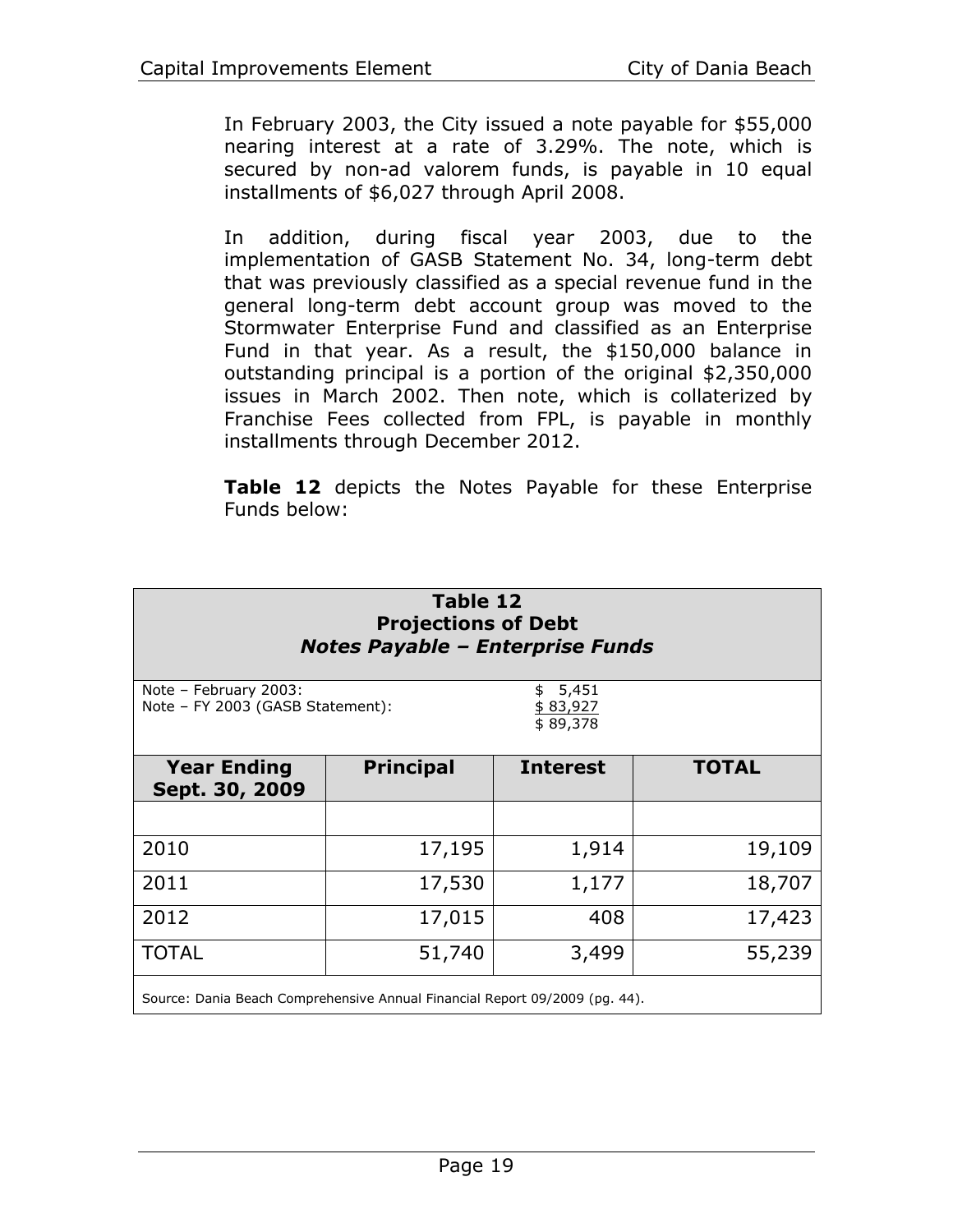In February 2003, the City issued a note payable for \$55,000 nearing interest at a rate of 3.29%. The note, which is secured by non-ad valorem funds, is payable in 10 equal installments of \$6,027 through April 2008.

In addition, during fiscal year 2003, due to the implementation of GASB Statement No. 34, long-term debt that was previously classified as a special revenue fund in the general long-term debt account group was moved to the Stormwater Enterprise Fund and classified as an Enterprise Fund in that year. As a result, the \$150,000 balance in outstanding principal is a portion of the original \$2,350,000 issues in March 2002. Then note, which is collaterized by Franchise Fees collected from FPL, is payable in monthly installments through December 2012.

**[Table 12](#page-21-0)** depicts the Notes Payable for these Enterprise Funds below:

<span id="page-21-0"></span>

| Table 12<br><b>Projections of Debt</b><br><b>Notes Payable - Enterprise Funds</b>          |                  |                 |              |  |  |  |
|--------------------------------------------------------------------------------------------|------------------|-----------------|--------------|--|--|--|
| Note - February 2003:<br>5,451<br>Note - FY 2003 (GASB Statement):<br>\$83,927<br>\$89,378 |                  |                 |              |  |  |  |
| <b>Year Ending</b><br>Sept. 30, 2009                                                       | <b>Principal</b> | <b>Interest</b> | <b>TOTAL</b> |  |  |  |
|                                                                                            |                  |                 |              |  |  |  |
| 2010                                                                                       | 17,195           | 1,914           | 19,109       |  |  |  |
| 2011                                                                                       | 17,530           | 1,177           | 18,707       |  |  |  |
| 2012                                                                                       | 17,015           | 408             | 17,423       |  |  |  |
| <b>TOTAL</b>                                                                               | 51,740           | 3,499           | 55,239       |  |  |  |
| Source: Dania Beach Comprehensive Annual Financial Report 09/2009 (pq. 44).                |                  |                 |              |  |  |  |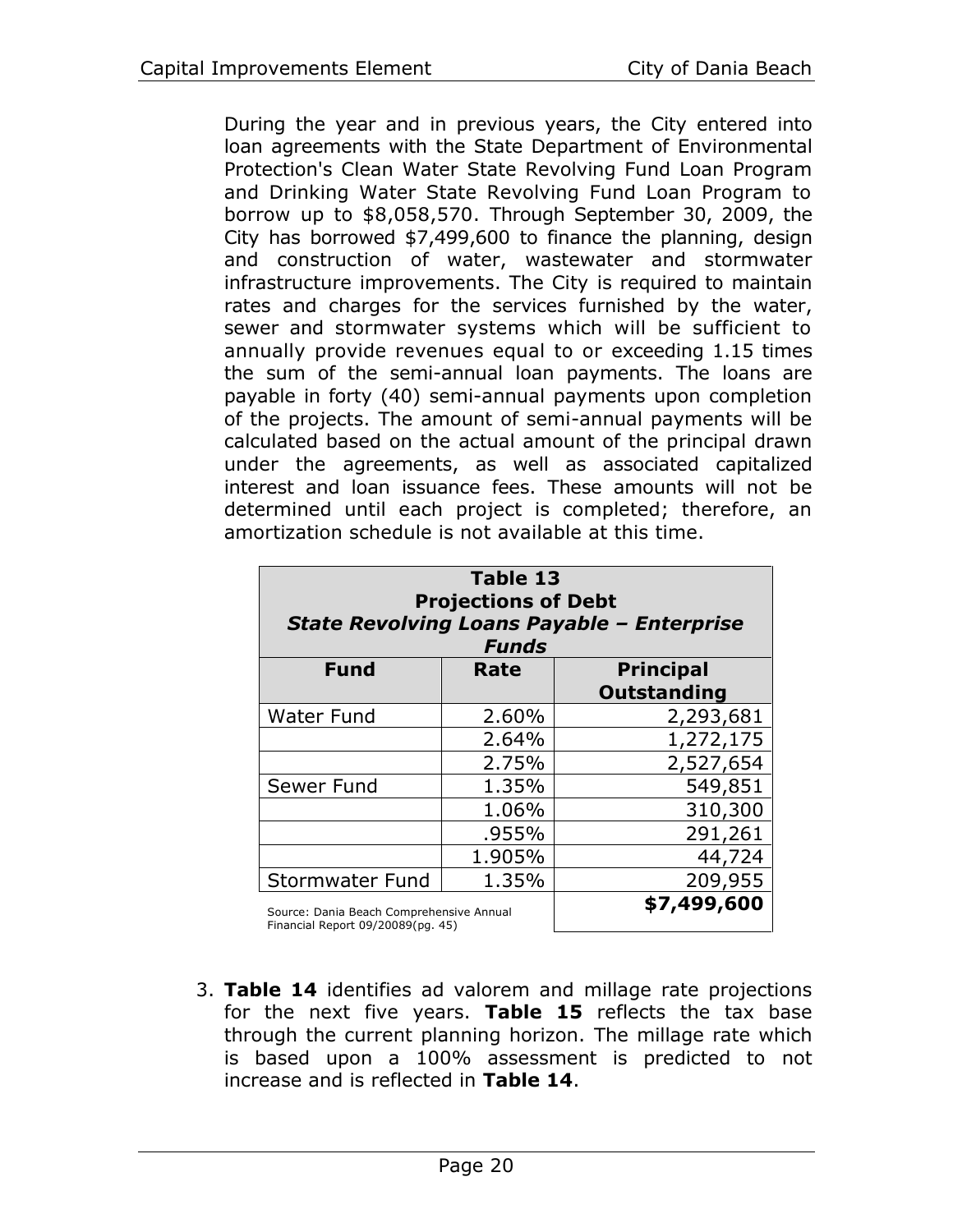During the year and in previous years, the City entered into loan agreements with the State Department of Environmental Protection's Clean Water State Revolving Fund Loan Program and Drinking Water State Revolving Fund Loan Program to borrow up to \$8,058,570. Through September 30, 2009, the City has borrowed \$7,499,600 to finance the planning, design and construction of water, wastewater and stormwater infrastructure improvements. The City is required to maintain rates and charges for the services furnished by the water, sewer and stormwater systems which will be sufficient to annually provide revenues equal to or exceeding 1.15 times the sum of the semi-annual loan payments. The loans are payable in forty (40) semi-annual payments upon completion of the projects. The amount of semi-annual payments will be calculated based on the actual amount of the principal drawn under the agreements, as well as associated capitalized interest and loan issuance fees. These amounts will not be determined until each project is completed; therefore, an amortization schedule is not available at this time.

<span id="page-22-0"></span>

| Table 13<br><b>Projections of Debt</b><br><b>State Revolving Loans Payable - Enterprise</b><br><b>Funds</b> |                                 |                    |  |  |  |
|-------------------------------------------------------------------------------------------------------------|---------------------------------|--------------------|--|--|--|
| <b>Fund</b>                                                                                                 | <b>Principal</b><br><b>Rate</b> |                    |  |  |  |
|                                                                                                             |                                 | <b>Outstanding</b> |  |  |  |
| <b>Water Fund</b>                                                                                           | 2.60%                           | 2,293,681          |  |  |  |
|                                                                                                             | 2.64%                           | 1,272,175          |  |  |  |
|                                                                                                             | 2.75%                           | 2,527,654          |  |  |  |
| Sewer Fund                                                                                                  | 1.35%                           | 549,851            |  |  |  |
|                                                                                                             | 1.06%                           | 310,300            |  |  |  |
|                                                                                                             | .955%                           | 291,261            |  |  |  |
|                                                                                                             | 1.905%                          | 44,724             |  |  |  |
| <b>Stormwater Fund</b>                                                                                      | 209,955                         |                    |  |  |  |
| Source: Dania Beach Comprehensive Annual                                                                    | \$7,499,600                     |                    |  |  |  |

Financial Report 09/20089(pg. 45)

3. **[Table 14](#page-23-0)** identifies ad valorem and millage rate projections for the next five years. **[Table 15](#page-23-1)** reflects the tax base through the current planning horizon. The millage rate which is based upon a 100% assessment is predicted to not increase and is reflected in **[Table 14](#page-23-0)**.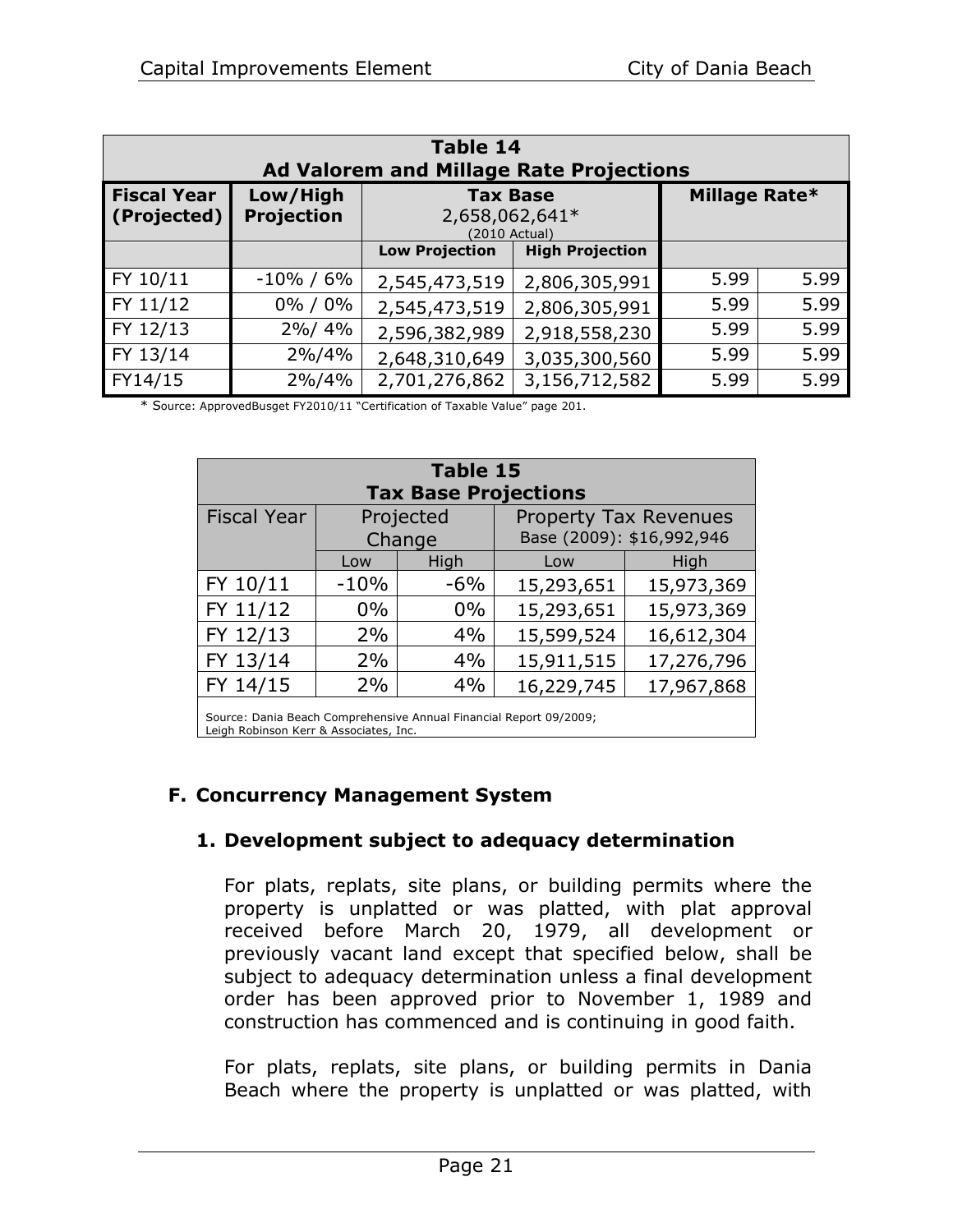<span id="page-23-0"></span>

| <b>Table 14</b><br><b>Ad Valorem and Millage Rate Projections</b> |                               |                                                                     |                        |      |      |  |
|-------------------------------------------------------------------|-------------------------------|---------------------------------------------------------------------|------------------------|------|------|--|
| <b>Fiscal Year</b><br>(Projected)                                 | Low/High<br><b>Projection</b> | Millage Rate*<br><b>Tax Base</b><br>2,658,062,641*<br>(2010 Actual) |                        |      |      |  |
|                                                                   |                               | <b>Low Projection</b>                                               | <b>High Projection</b> |      |      |  |
| FY 10/11                                                          | $-10\% / 6\%$                 | 2,545,473,519                                                       | 2,806,305,991          | 5.99 | 5.99 |  |
| FY 11/12                                                          | 0% / 0%                       | 2,545,473,519                                                       | 2,806,305,991          | 5.99 | 5.99 |  |
| FY 12/13                                                          | 2%/4%                         | 2,596,382,989                                                       | 2,918,558,230          | 5.99 | 5.99 |  |
| FY 13/14                                                          | 2%/4%                         | 2,648,310,649                                                       | 3,035,300,560          | 5.99 | 5.99 |  |
| FY14/15                                                           | 2%/4%                         | 2,701,276,862                                                       | 3,156,712,582          | 5.99 | 5.99 |  |

\* Source: ApprovedBusget FY2010/11 "Certification of Taxable Value" page 201.

<span id="page-23-1"></span>

| <b>Table 15</b><br><b>Tax Base Projections</b>                     |                                                                                  |       |            |            |  |  |
|--------------------------------------------------------------------|----------------------------------------------------------------------------------|-------|------------|------------|--|--|
| <b>Fiscal Year</b>                                                 | Projected<br><b>Property Tax Revenues</b><br>Base (2009): \$16,992,946<br>Change |       |            |            |  |  |
| High<br>High<br>Low<br>Low                                         |                                                                                  |       |            |            |  |  |
| FY 10/11                                                           | $-10%$                                                                           | $-6%$ | 15,293,651 | 15,973,369 |  |  |
| FY 11/12                                                           | $0\%$                                                                            | $0\%$ | 15,293,651 | 15,973,369 |  |  |
| FY 12/13<br>4%<br>2%<br>15,599,524                                 |                                                                                  |       |            | 16,612,304 |  |  |
| FY 13/14<br>4%<br>2%<br>15,911,515<br>17,276,796                   |                                                                                  |       |            |            |  |  |
| FY 14/15<br>4%<br>2%<br>16,229,745<br>17,967,868                   |                                                                                  |       |            |            |  |  |
| Source: Dania Beach Comprehensive Annual Financial Report 09/2009; |                                                                                  |       |            |            |  |  |

Leigh Robinson Kerr & Associates, Inc.

# **F. Concurrency Management System**

# **1. Development subject to adequacy determination**

For plats, replats, site plans, or building permits where the property is unplatted or was platted, with plat approval received before March 20, 1979, all development or previously vacant land except that specified below, shall be subject to adequacy determination unless a final development order has been approved prior to November 1, 1989 and construction has commenced and is continuing in good faith.

For plats, replats, site plans, or building permits in Dania Beach where the property is unplatted or was platted, with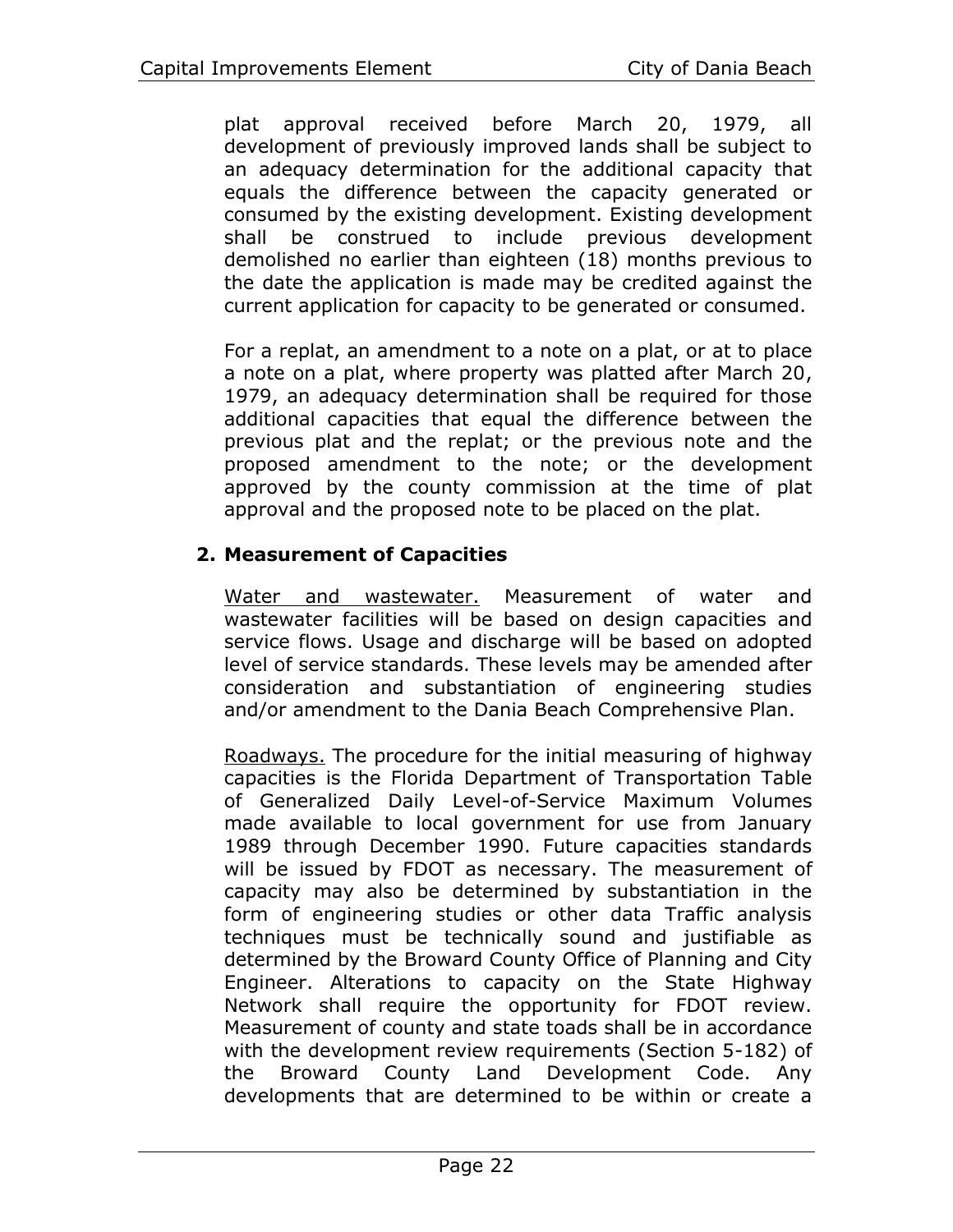plat approval received before March 20, 1979, all development of previously improved lands shall be subject to an adequacy determination for the additional capacity that equals the difference between the capacity generated or consumed by the existing development. Existing development shall be construed to include previous development demolished no earlier than eighteen (18) months previous to the date the application is made may be credited against the current application for capacity to be generated or consumed.

For a replat, an amendment to a note on a plat, or at to place a note on a plat, where property was platted after March 20, 1979, an adequacy determination shall be required for those additional capacities that equal the difference between the previous plat and the replat; or the previous note and the proposed amendment to the note; or the development approved by the county commission at the time of plat approval and the proposed note to be placed on the plat.

# **2. Measurement of Capacities**

Water and wastewater. Measurement of water and wastewater facilities will be based on design capacities and service flows. Usage and discharge will be based on adopted level of service standards. These levels may be amended after consideration and substantiation of engineering studies and/or amendment to the Dania Beach Comprehensive Plan.

Roadways. The procedure for the initial measuring of highway capacities is the Florida Department of Transportation Table of Generalized Daily Level-of-Service Maximum Volumes made available to local government for use from January 1989 through December 1990. Future capacities standards will be issued by FDOT as necessary. The measurement of capacity may also be determined by substantiation in the form of engineering studies or other data Traffic analysis techniques must be technically sound and justifiable as determined by the Broward County Office of Planning and City Engineer. Alterations to capacity on the State Highway Network shall require the opportunity for FDOT review. Measurement of county and state toads shall be in accordance with the development review requirements (Section 5-182) of the Broward County Land Development Code. Any developments that are determined to be within or create a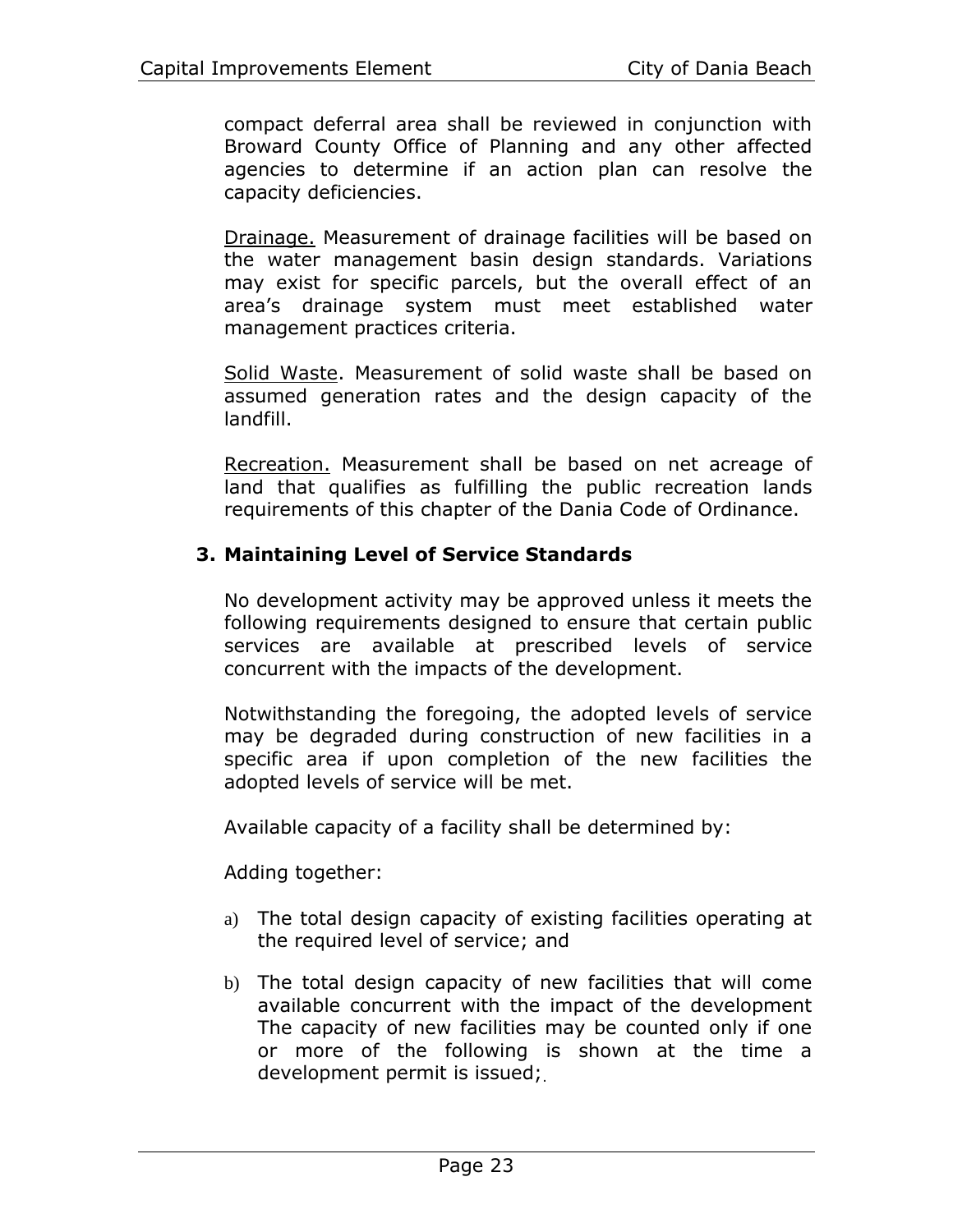compact deferral area shall be reviewed in conjunction with Broward County Office of Planning and any other affected agencies to determine if an action plan can resolve the capacity deficiencies.

Drainage. Measurement of drainage facilities will be based on the water management basin design standards. Variations may exist for specific parcels, but the overall effect of an area's drainage system must meet established water management practices criteria.

Solid Waste. Measurement of solid waste shall be based on assumed generation rates and the design capacity of the landfill.

Recreation. Measurement shall be based on net acreage of land that qualifies as fulfilling the public recreation lands requirements of this chapter of the Dania Code of Ordinance.

# **3. Maintaining Level of Service Standards**

No development activity may be approved unless it meets the following requirements designed to ensure that certain public services are available at prescribed levels of service concurrent with the impacts of the development.

Notwithstanding the foregoing, the adopted levels of service may be degraded during construction of new facilities in a specific area if upon completion of the new facilities the adopted levels of service will be met.

Available capacity of a facility shall be determined by:

Adding together:

- a) The total design capacity of existing facilities operating at the required level of service; and
- b) The total design capacity of new facilities that will come available concurrent with the impact of the development The capacity of new facilities may be counted only if one or more of the following is shown at the time a development permit is issued;.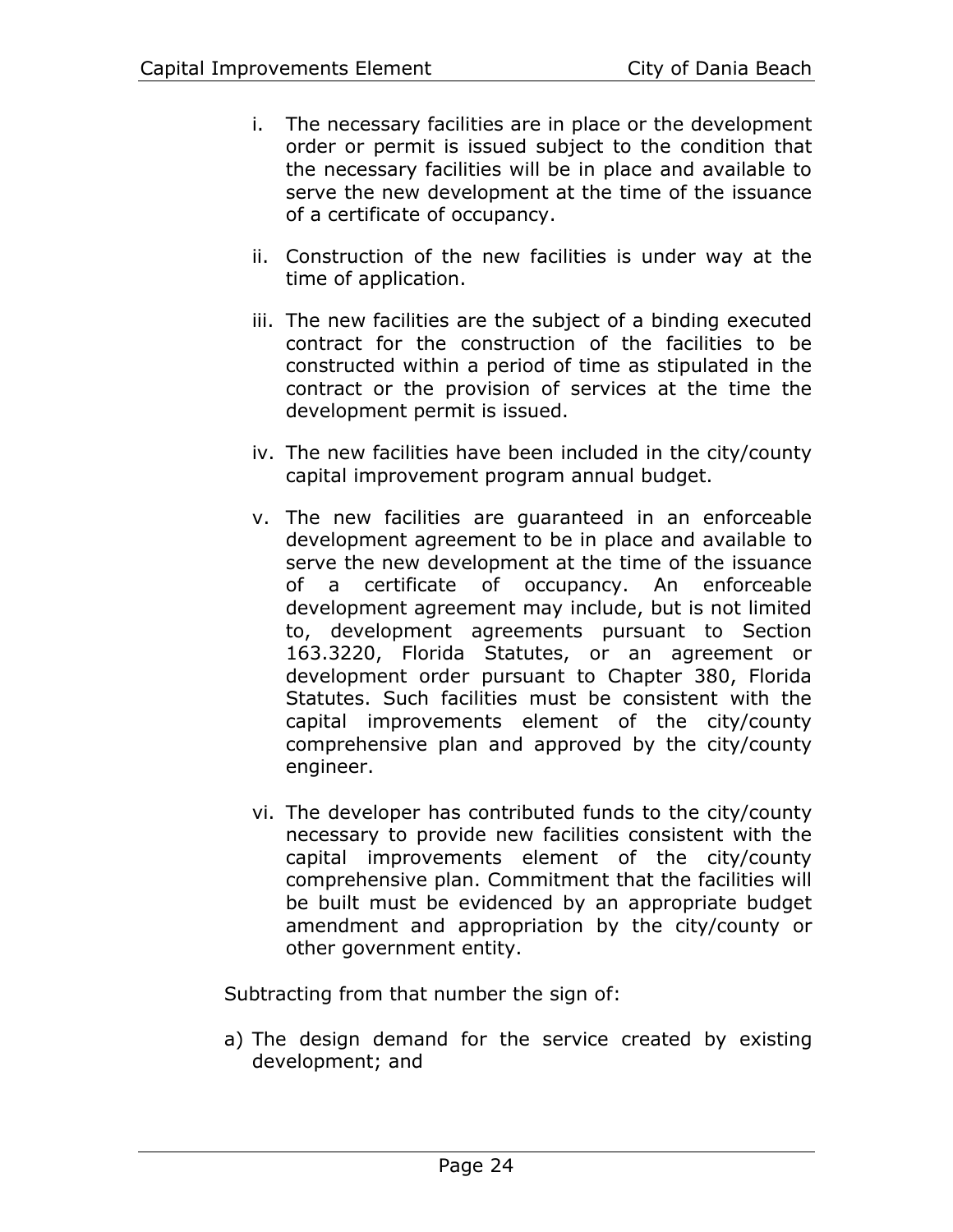- i. The necessary facilities are in place or the development order or permit is issued subject to the condition that the necessary facilities will be in place and available to serve the new development at the time of the issuance of a certificate of occupancy.
- ii. Construction of the new facilities is under way at the time of application.
- iii. The new facilities are the subject of a binding executed contract for the construction of the facilities to be constructed within a period of time as stipulated in the contract or the provision of services at the time the development permit is issued.
- iv. The new facilities have been included in the city/county capital improvement program annual budget.
- v. The new facilities are guaranteed in an enforceable development agreement to be in place and available to serve the new development at the time of the issuance of a certificate of occupancy. An enforceable development agreement may include, but is not limited to, development agreements pursuant to Section 163.3220, Florida Statutes, or an agreement or development order pursuant to Chapter 380, Florida Statutes. Such facilities must be consistent with the capital improvements element of the city/county comprehensive plan and approved by the city/county engineer.
- vi. The developer has contributed funds to the city/county necessary to provide new facilities consistent with the capital improvements element of the city/county comprehensive plan. Commitment that the facilities will be built must be evidenced by an appropriate budget amendment and appropriation by the city/county or other government entity.

Subtracting from that number the sign of:

a) The design demand for the service created by existing development; and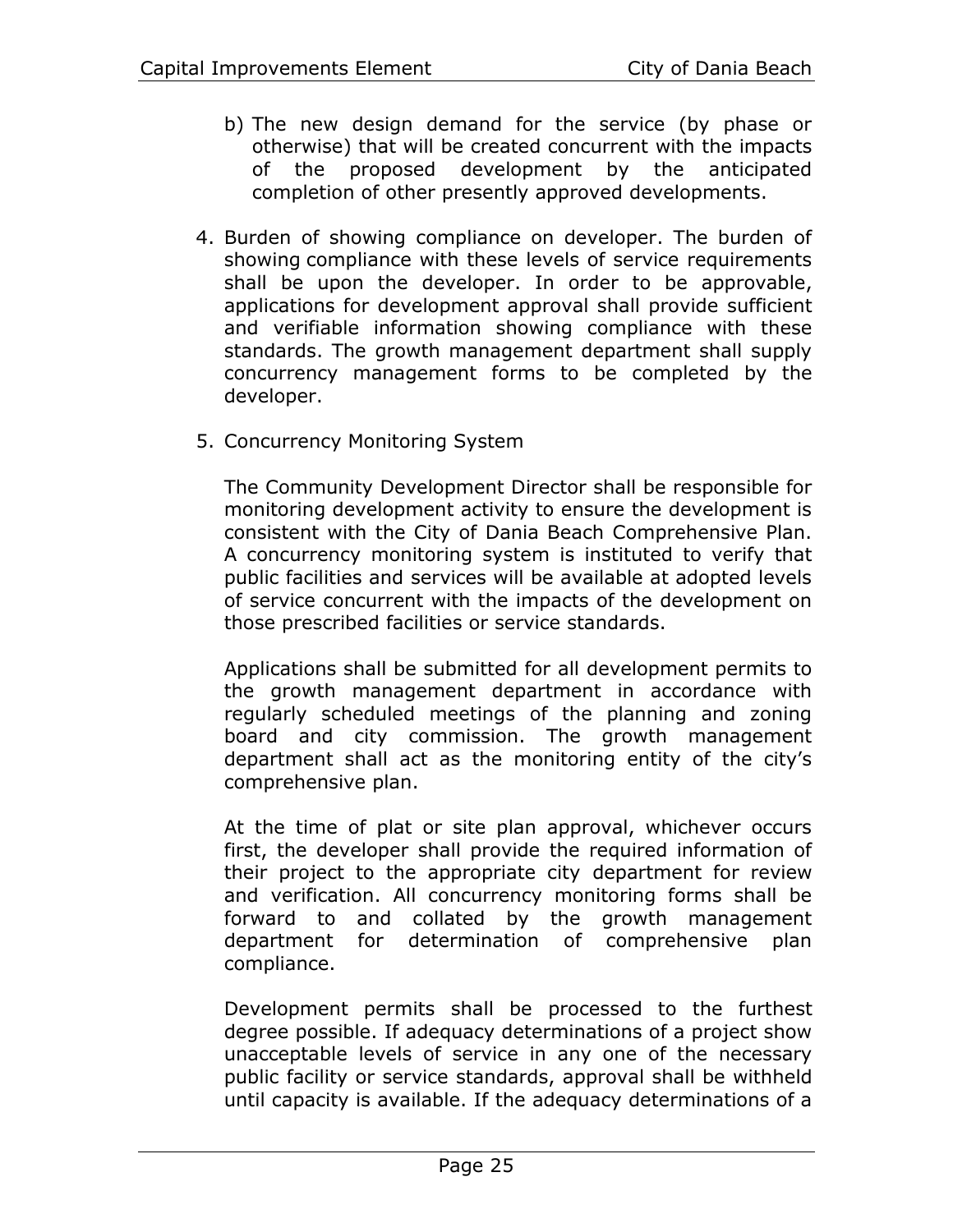- b) The new design demand for the service (by phase or otherwise) that will be created concurrent with the impacts of the proposed development by the anticipated completion of other presently approved developments.
- 4. Burden of showing compliance on developer. The burden of showing compliance with these levels of service requirements shall be upon the developer. In order to be approvable, applications for development approval shall provide sufficient and verifiable information showing compliance with these standards. The growth management department shall supply concurrency management forms to be completed by the developer.
- 5. Concurrency Monitoring System

The Community Development Director shall be responsible for monitoring development activity to ensure the development is consistent with the City of Dania Beach Comprehensive Plan. A concurrency monitoring system is instituted to verify that public facilities and services will be available at adopted levels of service concurrent with the impacts of the development on those prescribed facilities or service standards.

Applications shall be submitted for all development permits to the growth management department in accordance with regularly scheduled meetings of the planning and zoning board and city commission. The growth management department shall act as the monitoring entity of the city's comprehensive plan.

At the time of plat or site plan approval, whichever occurs first, the developer shall provide the required information of their project to the appropriate city department for review and verification. All concurrency monitoring forms shall be forward to and collated by the growth management department for determination of comprehensive plan compliance.

Development permits shall be processed to the furthest degree possible. If adequacy determinations of a project show unacceptable levels of service in any one of the necessary public facility or service standards, approval shall be withheld until capacity is available. If the adequacy determinations of a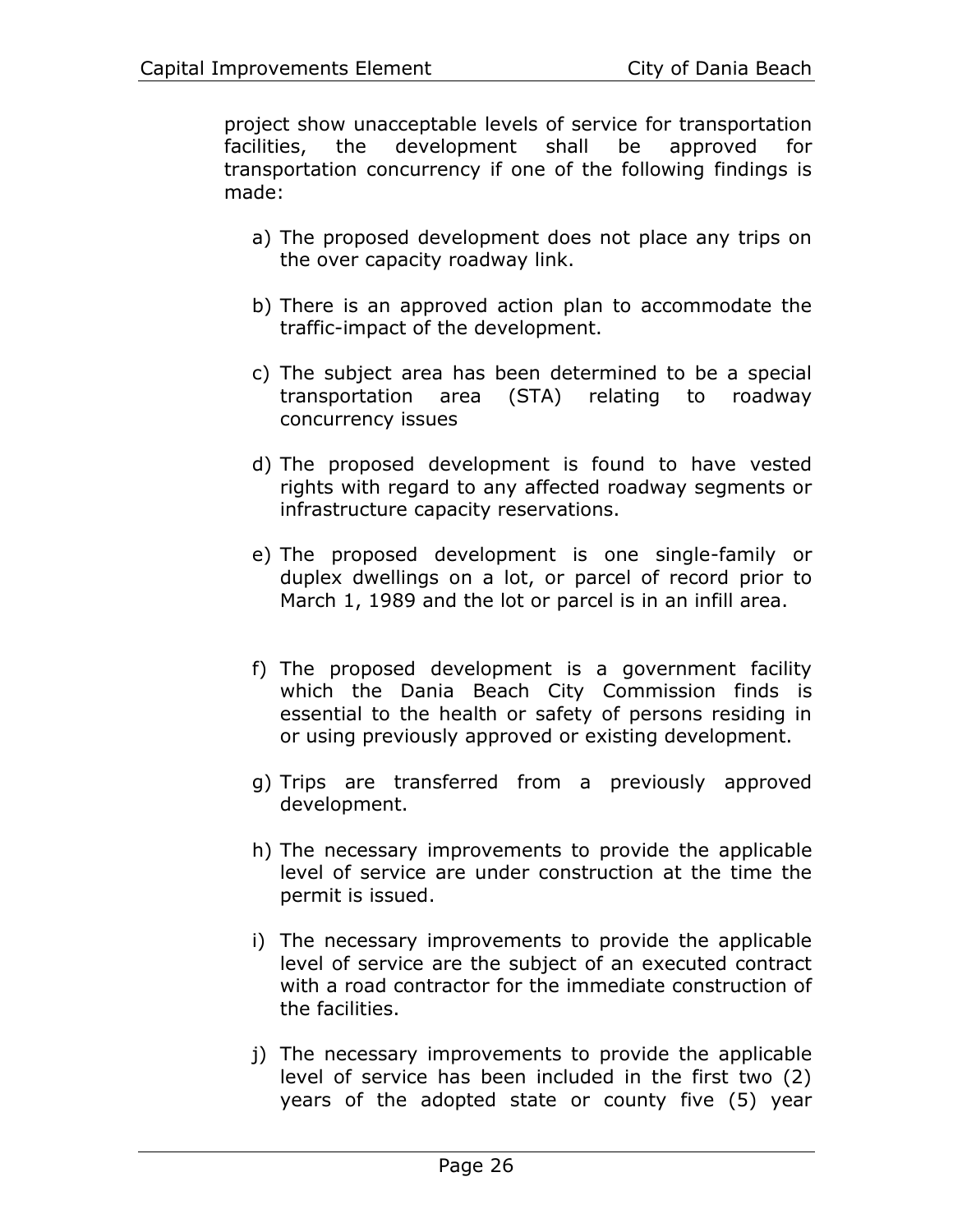project show unacceptable levels of service for transportation facilities, the development shall be approved for transportation concurrency if one of the following findings is made:

- a) The proposed development does not place any trips on the over capacity roadway link.
- b) There is an approved action plan to accommodate the traffic-impact of the development.
- c) The subject area has been determined to be a special transportation area (STA) relating to roadway concurrency issues
- d) The proposed development is found to have vested rights with regard to any affected roadway segments or infrastructure capacity reservations.
- e) The proposed development is one single-family or duplex dwellings on a lot, or parcel of record prior to March 1, 1989 and the lot or parcel is in an infill area.
- f) The proposed development is a government facility which the Dania Beach City Commission finds is essential to the health or safety of persons residing in or using previously approved or existing development.
- g) Trips are transferred from a previously approved development.
- h) The necessary improvements to provide the applicable level of service are under construction at the time the permit is issued.
- i) The necessary improvements to provide the applicable level of service are the subject of an executed contract with a road contractor for the immediate construction of the facilities.
- j) The necessary improvements to provide the applicable level of service has been included in the first two (2) years of the adopted state or county five (5) year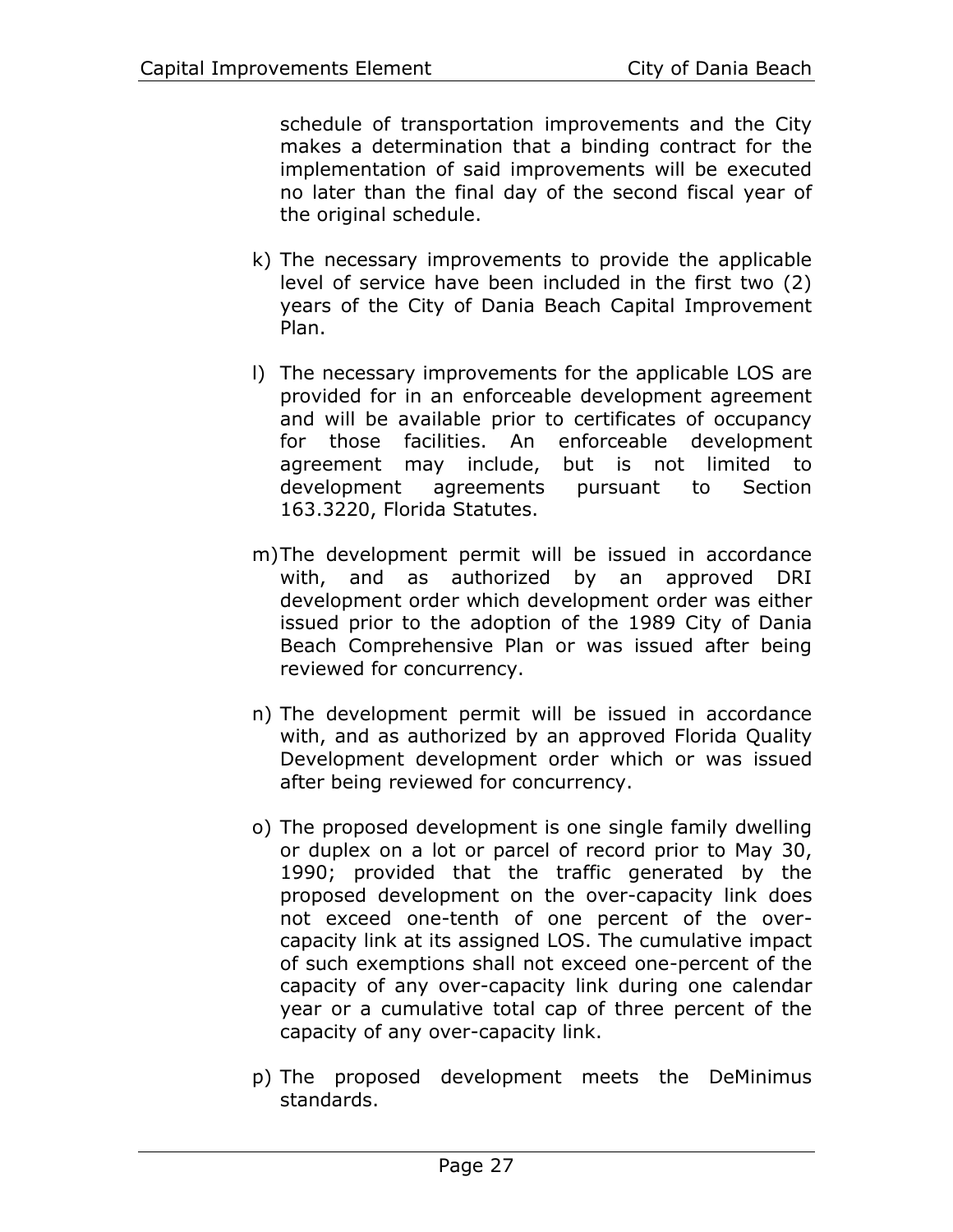schedule of transportation improvements and the City makes a determination that a binding contract for the implementation of said improvements will be executed no later than the final day of the second fiscal year of the original schedule.

- k) The necessary improvements to provide the applicable level of service have been included in the first two (2) years of the City of Dania Beach Capital Improvement Plan.
- l) The necessary improvements for the applicable LOS are provided for in an enforceable development agreement and will be available prior to certificates of occupancy for those facilities. An enforceable development agreement may include, but is not limited to development agreements pursuant to Section 163.3220, Florida Statutes.
- m)The development permit will be issued in accordance with, and as authorized by an approved DRI development order which development order was either issued prior to the adoption of the 1989 City of Dania Beach Comprehensive Plan or was issued after being reviewed for concurrency.
- n) The development permit will be issued in accordance with, and as authorized by an approved Florida Quality Development development order which or was issued after being reviewed for concurrency.
- o) The proposed development is one single family dwelling or duplex on a lot or parcel of record prior to May 30, 1990; provided that the traffic generated by the proposed development on the over-capacity link does not exceed one-tenth of one percent of the overcapacity link at its assigned LOS. The cumulative impact of such exemptions shall not exceed one-percent of the capacity of any over-capacity link during one calendar year or a cumulative total cap of three percent of the capacity of any over-capacity link.
- p) The proposed development meets the DeMinimus standards.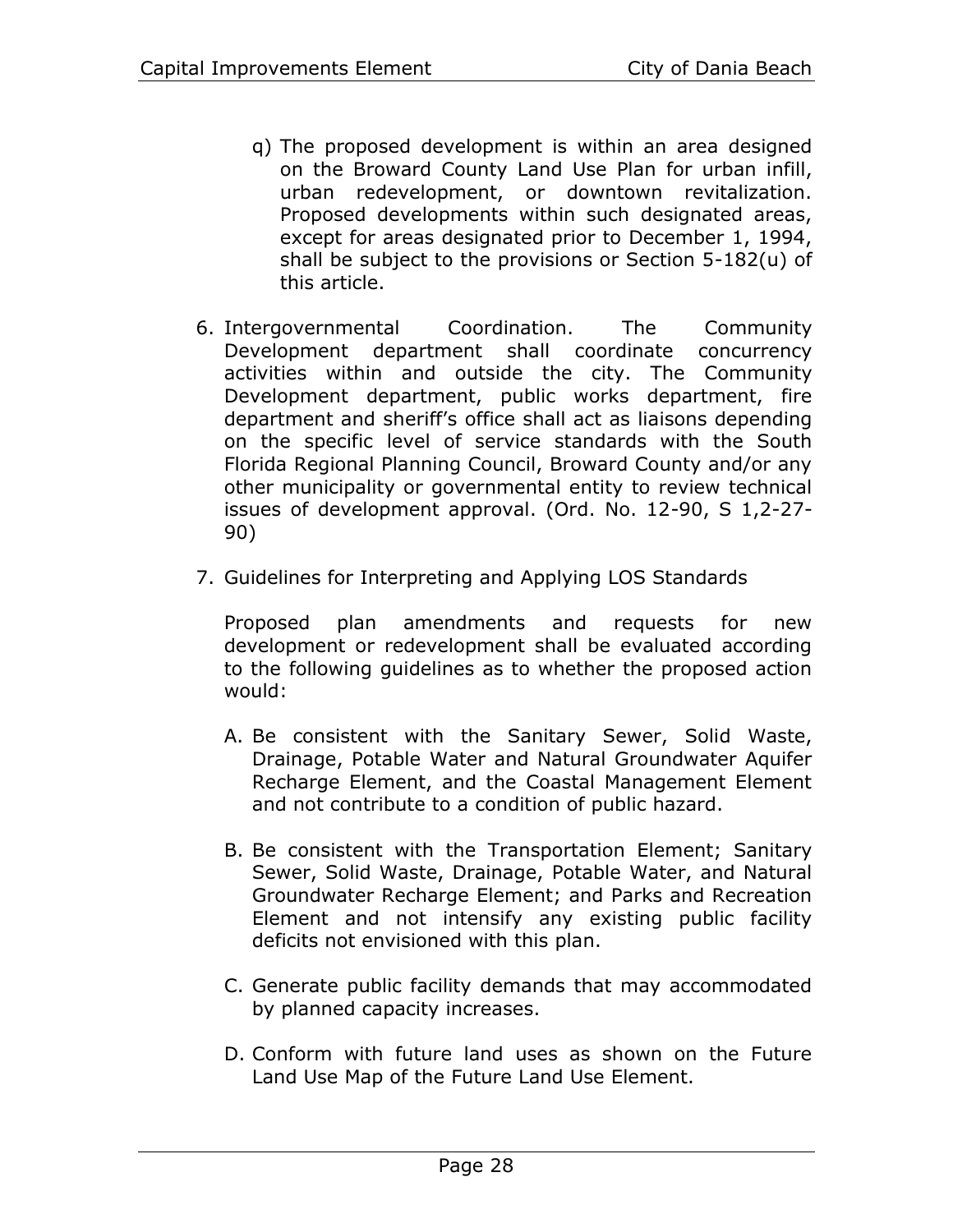- q) The proposed development is within an area designed on the Broward County Land Use Plan for urban infill, urban redevelopment, or downtown revitalization. Proposed developments within such designated areas, except for areas designated prior to December 1, 1994, shall be subject to the provisions or Section 5-182(u) of this article.
- 6. Intergovernmental Coordination. The Community Development department shall coordinate concurrency activities within and outside the city. The Community Development department, public works department, fire department and sheriff's office shall act as liaisons depending on the specific level of service standards with the South Florida Regional Planning Council, Broward County and/or any other municipality or governmental entity to review technical issues of development approval. (Ord. No. 12-90, S 1,2-27- 90)
- 7. Guidelines for Interpreting and Applying LOS Standards

Proposed plan amendments and requests for new development or redevelopment shall be evaluated according to the following guidelines as to whether the proposed action would:

- A. Be consistent with the Sanitary Sewer, Solid Waste, Drainage, Potable Water and Natural Groundwater Aquifer Recharge Element, and the Coastal Management Element and not contribute to a condition of public hazard.
- B. Be consistent with the Transportation Element; Sanitary Sewer, Solid Waste, Drainage, Potable Water, and Natural Groundwater Recharge Element; and Parks and Recreation Element and not intensify any existing public facility deficits not envisioned with this plan.
- C. Generate public facility demands that may accommodated by planned capacity increases.
- D. Conform with future land uses as shown on the Future Land Use Map of the Future Land Use Element.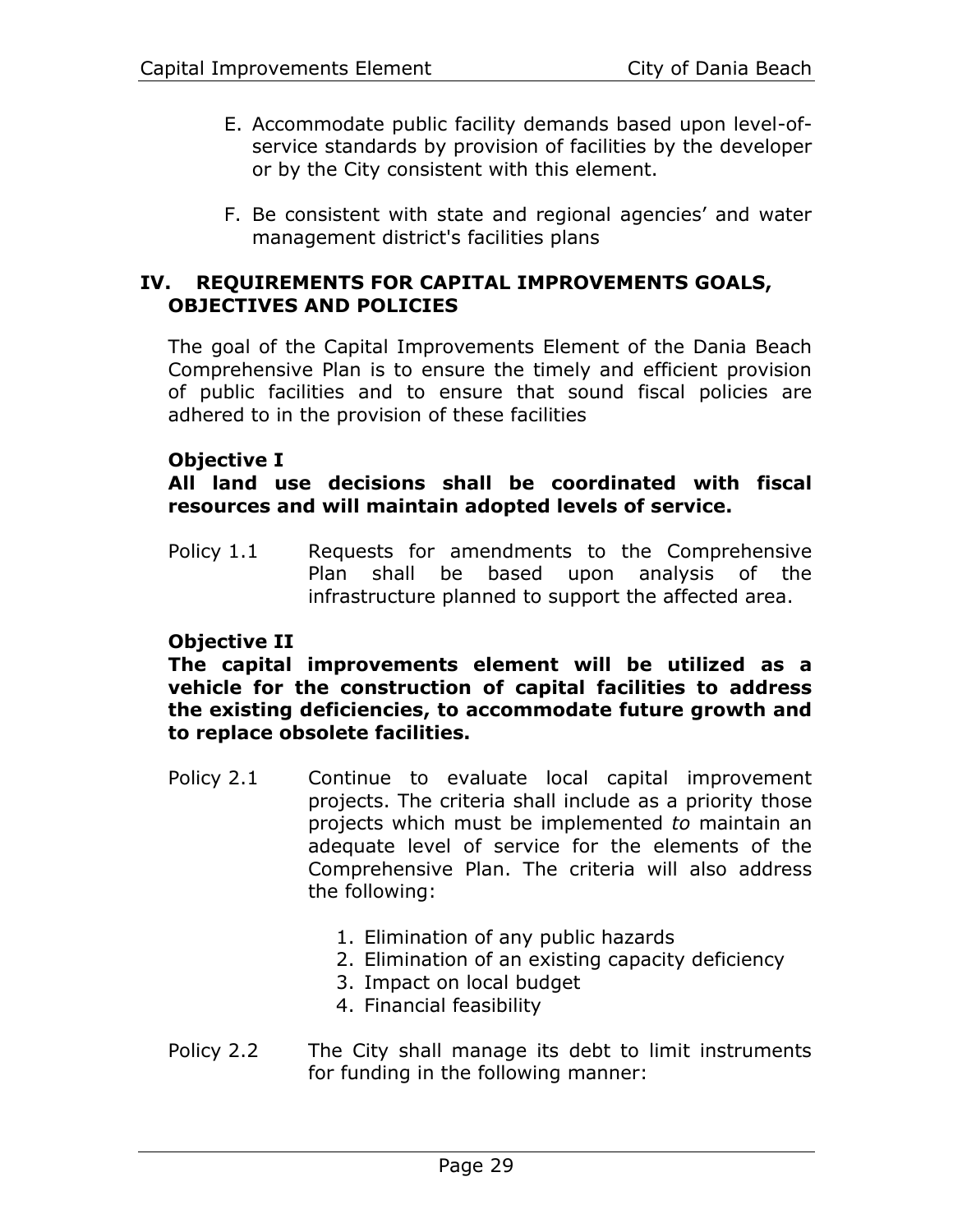- E. Accommodate public facility demands based upon level-ofservice standards by provision of facilities by the developer or by the City consistent with this element.
- F. Be consistent with state and regional agencies' and water management district's facilities plans

#### **IV. REQUIREMENTS FOR CAPITAL IMPROVEMENTS GOALS, OBJECTIVES AND POLICIES**

The goal of the Capital Improvements Element of the Dania Beach Comprehensive Plan is to ensure the timely and efficient provision of public facilities and to ensure that sound fiscal policies are adhered to in the provision of these facilities

# **Objective I**

#### **All land use decisions shall be coordinated with fiscal resources and will maintain adopted levels of service.**

Policy 1.1 Requests for amendments to the Comprehensive Plan shall be based upon analysis of the infrastructure planned to support the affected area.

#### **Objective II**

#### **The capital improvements element will be utilized as a vehicle for the construction of capital facilities to address the existing deficiencies, to accommodate future growth and to replace obsolete facilities.**

- Policy 2.1 Continue to evaluate local capital improvement projects. The criteria shall include as a priority those projects which must be implemented *to* maintain an adequate level of service for the elements of the Comprehensive Plan. The criteria will also address the following:
	- 1. Elimination of any public hazards
	- 2. Elimination of an existing capacity deficiency
	- 3. Impact on local budget
	- 4. Financial feasibility
- Policy 2.2 The City shall manage its debt to limit instruments for funding in the following manner: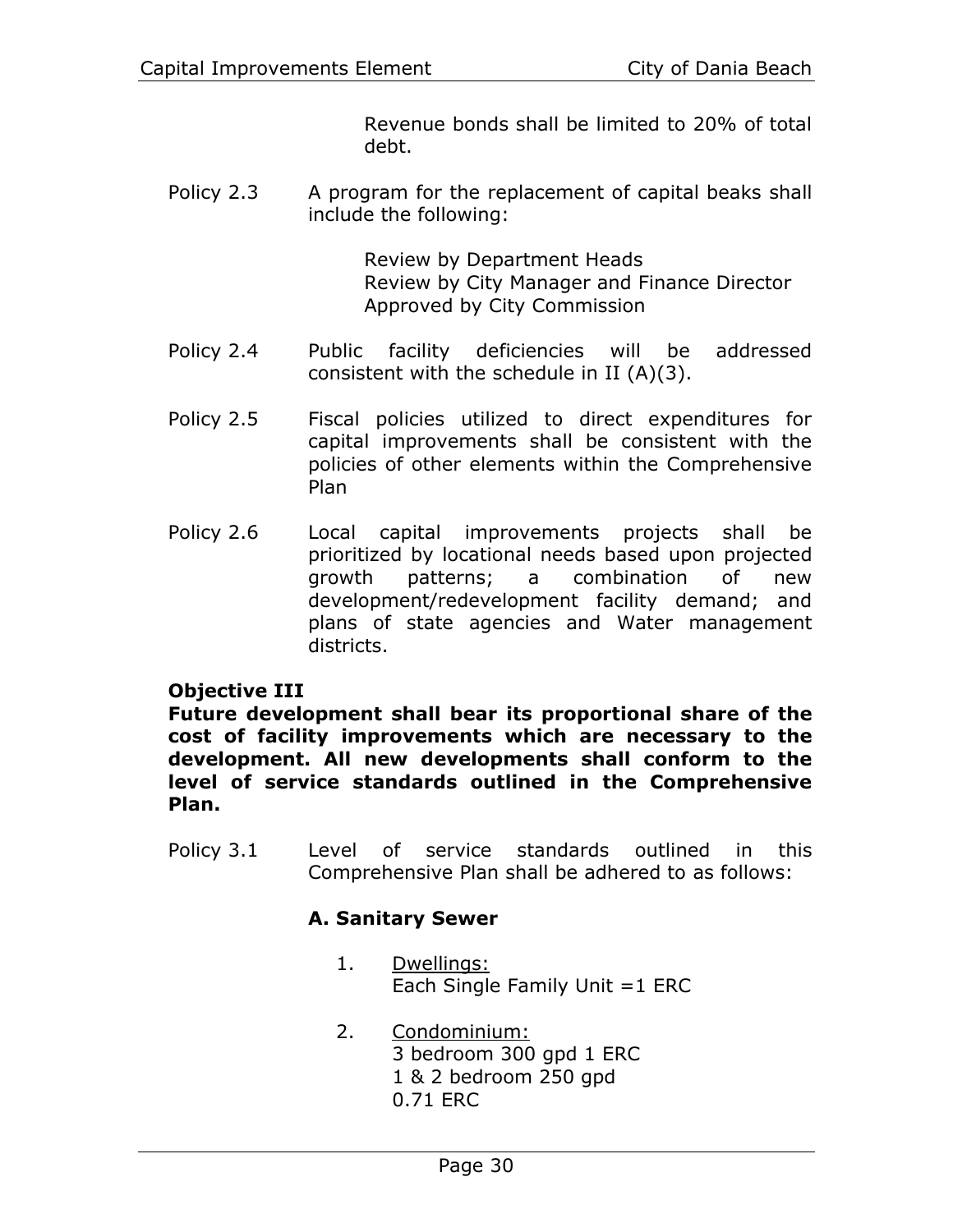Revenue bonds shall be limited to 20% of total debt.

Policy 2.3 A program for the replacement of capital beaks shall include the following:

> Review by Department Heads Review by City Manager and Finance Director Approved by City Commission

- Policy 2.4 Public facility deficiencies will be addressed consistent with the schedule in II (A)(3).
- Policy 2.5 Fiscal policies utilized to direct expenditures for capital improvements shall be consistent with the policies of other elements within the Comprehensive Plan
- Policy 2.6 Local capital improvements projects shall be prioritized by locational needs based upon projected growth patterns; a combination of new development/redevelopment facility demand; and plans of state agencies and Water management districts.

# **Objective III**

**Future development shall bear its proportional share of the cost of facility improvements which are necessary to the development. All new developments shall conform to the level of service standards outlined in the Comprehensive Plan.**

Policy 3.1 Level of service standards outlined in this Comprehensive Plan shall be adhered to as follows:

# **A. Sanitary Sewer**

- 1. Dwellings: Each Single Family Unit =1 ERC
- 2. Condominium: 3 bedroom 300 gpd 1 ERC 1 & 2 bedroom 250 gpd 0.71 ERC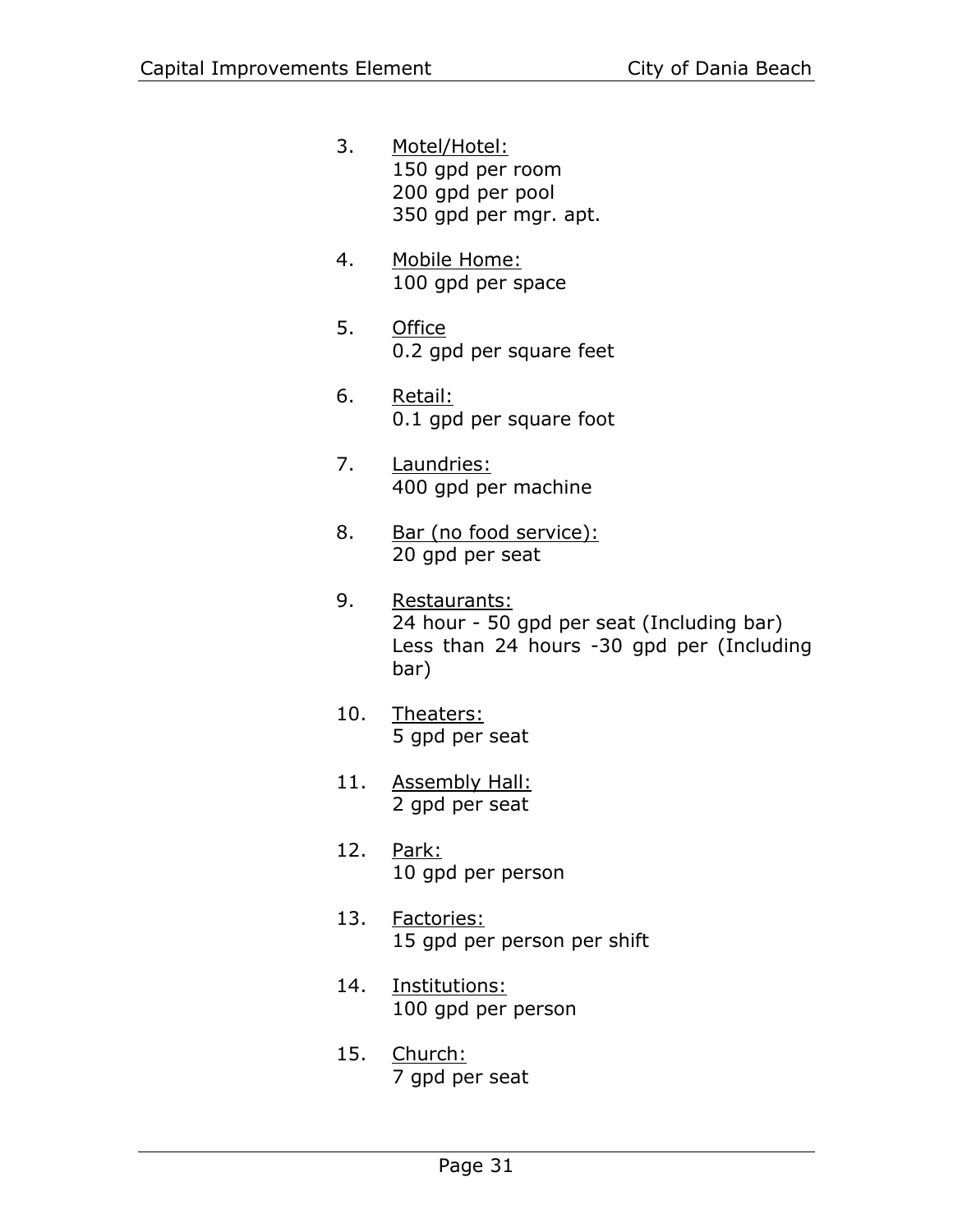- 3. Motel/Hotel: 150 gpd per room 200 gpd per pool 350 gpd per mgr. apt.
- 4. Mobile Home: 100 gpd per space
- 5. Office 0.2 gpd per square feet
- 6. Retail: 0.1 gpd per square foot
- 7. Laundries: 400 gpd per machine
- 8. Bar (no food service): 20 gpd per seat
- 9. Restaurants: 24 hour - 50 gpd per seat (Including bar) Less than 24 hours -30 gpd per (Including bar)
- 10. Theaters: 5 gpd per seat
- 11. Assembly Hall: 2 gpd per seat
- 12. Park: 10 gpd per person
- 13. Factories: 15 gpd per person per shift
- 14. Institutions: 100 gpd per person
- 15. Church: 7 gpd per seat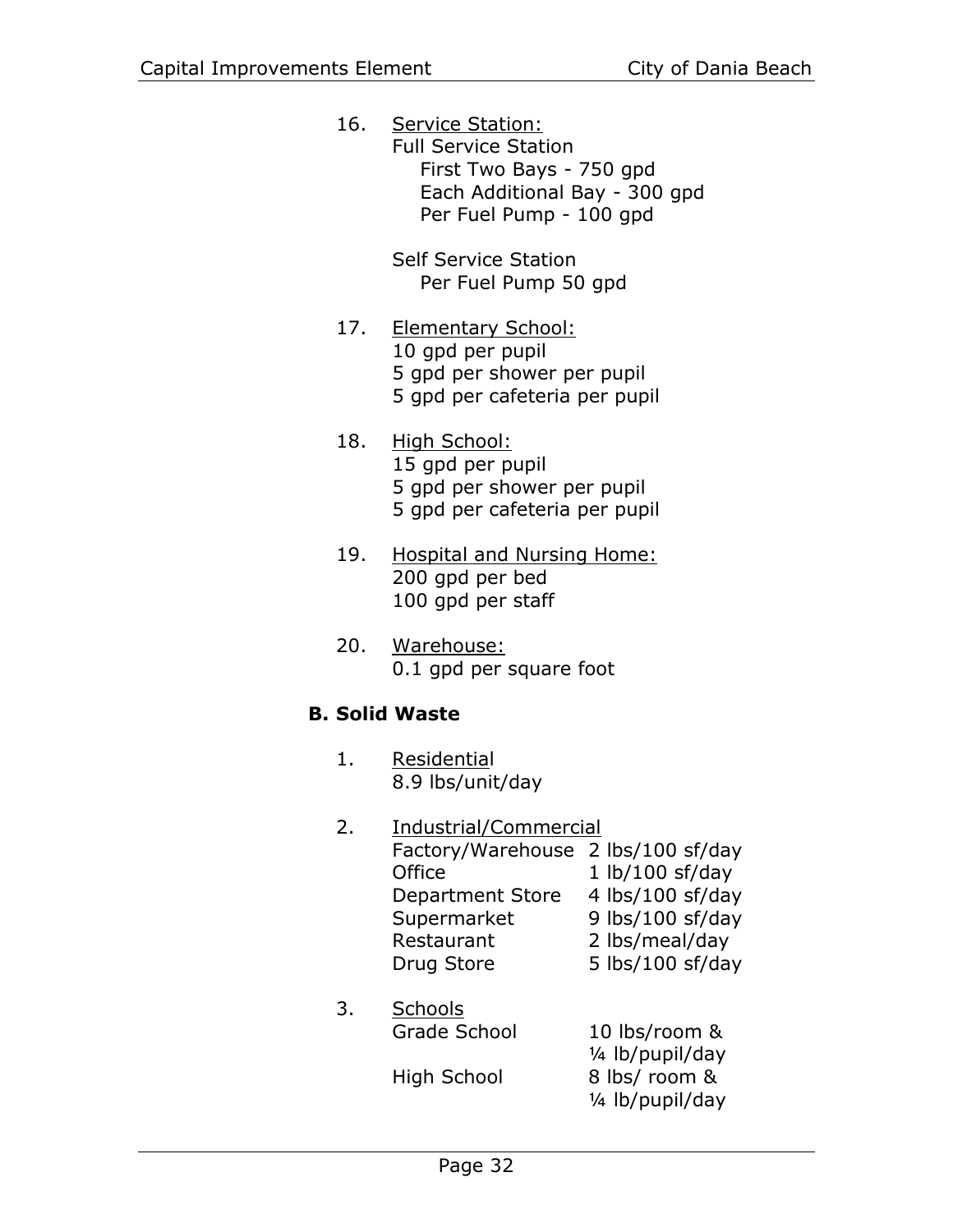16. Service Station: Full Service Station First Two Bays - 750 gpd Each Additional Bay - 300 gpd Per Fuel Pump - 100 gpd

> Self Service Station Per Fuel Pump 50 gpd

- 17. Elementary School: 10 gpd per pupil 5 gpd per shower per pupil 5 gpd per cafeteria per pupil
- 18. High School: 15 gpd per pupil 5 gpd per shower per pupil 5 gpd per cafeteria per pupil
- 19. Hospital and Nursing Home: 200 gpd per bed 100 gpd per staff
- 20. Warehouse: 0.1 gpd per square foot

# **B. Solid Waste**

- 1. Residential 8.9 lbs/unit/day
- 2. Industrial/Commercial Factory/Warehouse 2 lbs/100 sf/day Office 1 lb/100 sf/day Department Store 4 lbs/100 sf/day Supermarket 9 lbs/100 sf/day Restaurant 2 lbs/meal/day Drug Store 5 lbs/100 sf/day 3. Schools Grade School 10 lbs/room & ¼ lb/pupil/day

High School 8 lbs/ room & ¼ lb/pupil/day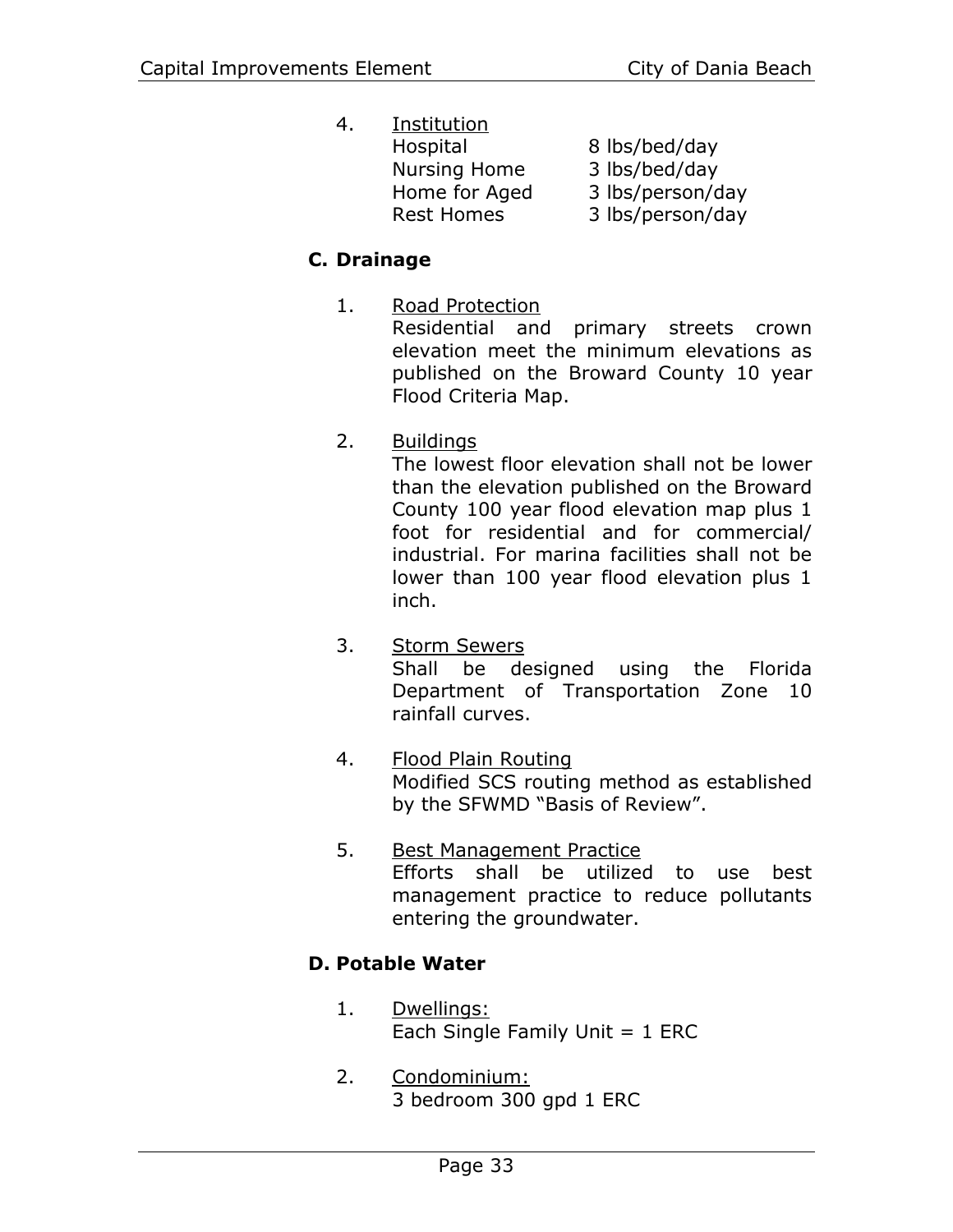4. Institution Hospital 8 lbs/bed/day Nursing Home 3 lbs/bed/day Home for Aged 3 lbs/person/day Rest Homes 3 lbs/person/day

# **C. Drainage**

- 1. Road Protection Residential and primary streets crown elevation meet the minimum elevations as published on the Broward County 10 year Flood Criteria Map.
- 2. Buildings

The lowest floor elevation shall not be lower than the elevation published on the Broward County 100 year flood elevation map plus 1 foot for residential and for commercial/ industrial. For marina facilities shall not be lower than 100 year flood elevation plus 1 inch.

- 3. Storm Sewers Shall be designed using the Florida Department of Transportation Zone 10 rainfall curves.
- 4. Flood Plain Routing Modified SCS routing method as established by the SFWMD "Basis of Review".
- 5. Best Management Practice Efforts shall be utilized to use best management practice to reduce pollutants entering the groundwater.

# **D. Potable Water**

- 1. Dwellings: Each Single Family Unit  $= 1$  ERC
- 2. Condominium: 3 bedroom 300 gpd 1 ERC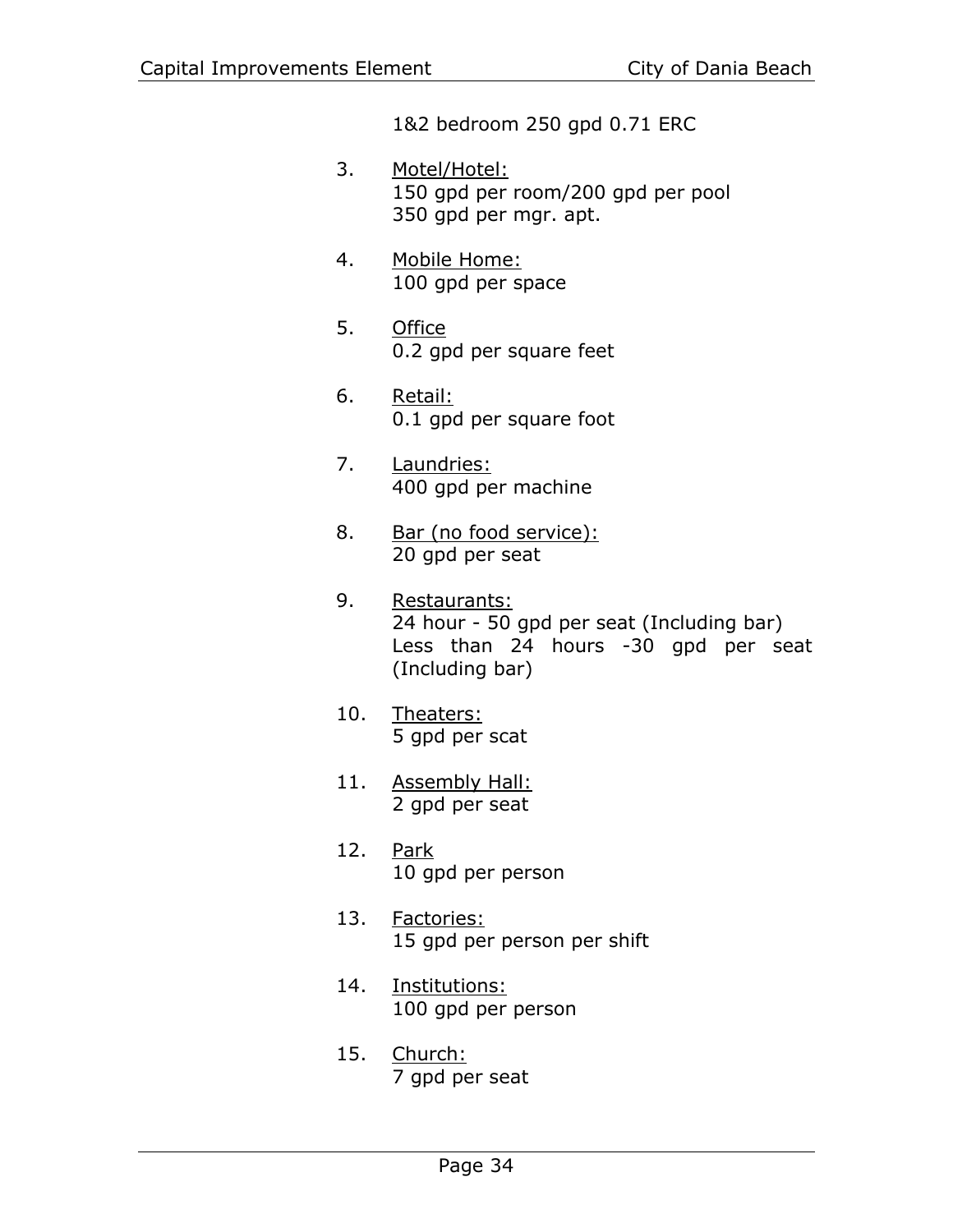1&2 bedroom 250 gpd 0.71 ERC

- 3. Motel/Hotel: 150 gpd per room/200 gpd per pool 350 gpd per mgr. apt.
- 4. Mobile Home: 100 gpd per space
- 5. Office 0.2 gpd per square feet
- 6. Retail: 0.1 gpd per square foot
- 7. Laundries: 400 gpd per machine
- 8. Bar (no food service): 20 gpd per seat
- 9. Restaurants: 24 hour - 50 gpd per seat (Including bar) Less than 24 hours -30 gpd per seat (Including bar)
- 10. Theaters: 5 gpd per scat
- 11. Assembly Hall: 2 gpd per seat
- 12. Park 10 gpd per person
- 13. Factories: 15 gpd per person per shift
- 14. Institutions: 100 gpd per person
- 15. Church: 7 gpd per seat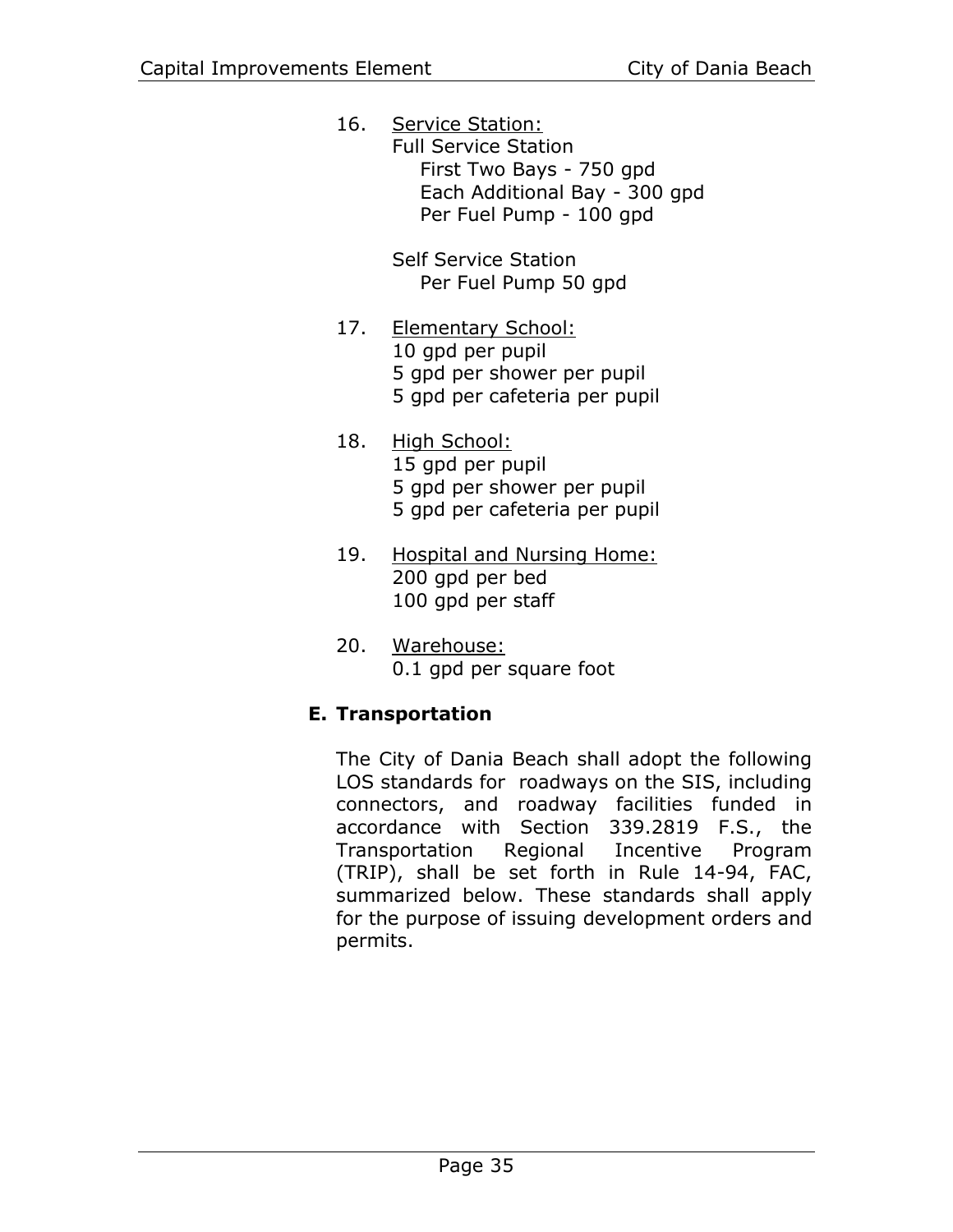16. Service Station: Full Service Station First Two Bays - 750 gpd Each Additional Bay - 300 gpd Per Fuel Pump - 100 gpd

> Self Service Station Per Fuel Pump 50 gpd

- 17. Elementary School: 10 gpd per pupil 5 gpd per shower per pupil 5 gpd per cafeteria per pupil
- 18. High School: 15 gpd per pupil 5 gpd per shower per pupil 5 gpd per cafeteria per pupil
- 19. Hospital and Nursing Home: 200 gpd per bed 100 gpd per staff
- 20. Warehouse: 0.1 gpd per square foot

# **E. Transportation**

The City of Dania Beach shall adopt the following LOS standards for roadways on the SIS, including connectors, and roadway facilities funded in accordance with Section 339.2819 F.S., the Transportation Regional Incentive Program (TRIP), shall be set forth in Rule 14-94, FAC, summarized below. These standards shall apply for the purpose of issuing development orders and permits.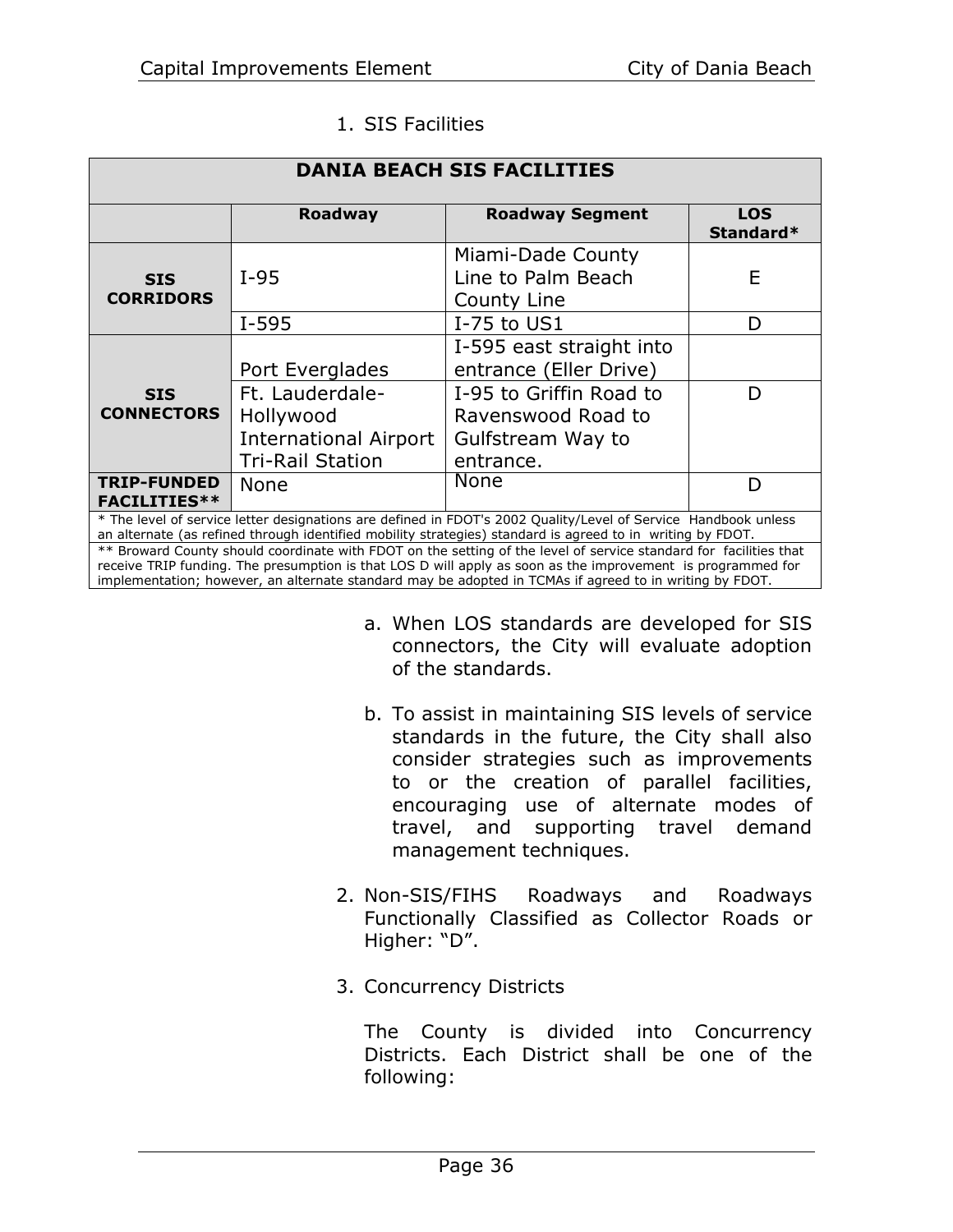| <b>DANIA BEACH SIS FACILITIES</b>                                                                                                                                                                                                                                                                                                           |                                                                                         |                                                                                 |                         |  |  |
|---------------------------------------------------------------------------------------------------------------------------------------------------------------------------------------------------------------------------------------------------------------------------------------------------------------------------------------------|-----------------------------------------------------------------------------------------|---------------------------------------------------------------------------------|-------------------------|--|--|
|                                                                                                                                                                                                                                                                                                                                             | <b>Roadway</b>                                                                          | <b>Roadway Segment</b>                                                          | <b>LOS</b><br>Standard* |  |  |
| <b>SIS</b><br><b>CORRIDORS</b>                                                                                                                                                                                                                                                                                                              | $I-95$                                                                                  | Miami-Dade County<br>Line to Palm Beach<br>County Line                          | E                       |  |  |
|                                                                                                                                                                                                                                                                                                                                             | $I-595$                                                                                 | I-75 to US1                                                                     | D                       |  |  |
|                                                                                                                                                                                                                                                                                                                                             | Port Everglades                                                                         | I-595 east straight into<br>entrance (Eller Drive)                              |                         |  |  |
| <b>SIS</b><br><b>CONNECTORS</b>                                                                                                                                                                                                                                                                                                             | Ft. Lauderdale-<br>Hollywood<br><b>International Airport</b><br><b>Tri-Rail Station</b> | I-95 to Griffin Road to<br>Ravenswood Road to<br>Gulfstream Way to<br>entrance. | D                       |  |  |
| <b>TRIP-FUNDED</b><br><b>FACILITIES**</b>                                                                                                                                                                                                                                                                                                   | <b>None</b>                                                                             | None                                                                            | D                       |  |  |
| * The level of service letter designations are defined in FDOT's 2002 Quality/Level of Service Handbook unless<br>an alternate (as refined through identified mobility strategies) standard is agreed to in writing by FDOT.                                                                                                                |                                                                                         |                                                                                 |                         |  |  |
| ** Broward County should coordinate with FDOT on the setting of the level of service standard for facilities that<br>receive TRIP funding. The presumption is that LOS D will apply as soon as the improvement is programmed for<br>implementation; however, an alternate standard may be adopted in TCMAs if agreed to in writing by FDOT. |                                                                                         |                                                                                 |                         |  |  |

#### 1. SIS Facilities

- a. When LOS standards are developed for SIS connectors, the City will evaluate adoption of the standards.
- b. To assist in maintaining SIS levels of service standards in the future, the City shall also consider strategies such as improvements to or the creation of parallel facilities, encouraging use of alternate modes of travel, and supporting travel demand management techniques.
- 2. Non-SIS/FIHS Roadways and Roadways Functionally Classified as Collector Roads or Higher: "D".
- 3. Concurrency Districts

The County is divided into Concurrency Districts. Each District shall be one of the following: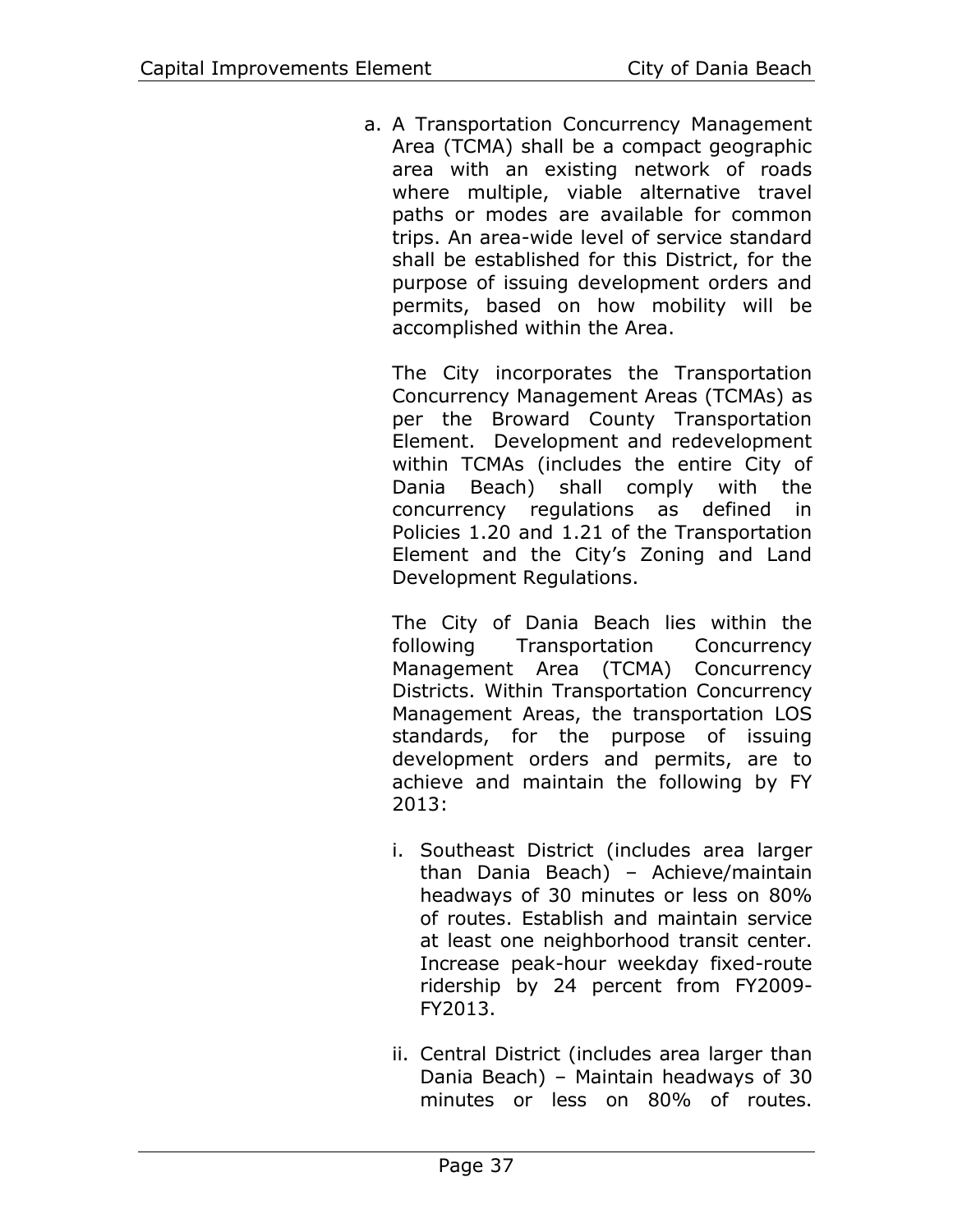a. A Transportation Concurrency Management Area (TCMA) shall be a compact geographic area with an existing network of roads where multiple, viable alternative travel paths or modes are available for common trips. An area-wide level of service standard shall be established for this District, for the purpose of issuing development orders and permits, based on how mobility will be accomplished within the Area.

The City incorporates the Transportation Concurrency Management Areas (TCMAs) as per the Broward County Transportation Element. Development and redevelopment within TCMAs (includes the entire City of Dania Beach) shall comply with the concurrency regulations as defined in Policies 1.20 and 1.21 of the Transportation Element and the City's Zoning and Land Development Regulations.

The City of Dania Beach lies within the following Transportation Concurrency Management Area (TCMA) Concurrency Districts. Within Transportation Concurrency Management Areas, the transportation LOS standards, for the purpose of issuing development orders and permits, are to achieve and maintain the following by FY 2013:

- i. Southeast District (includes area larger than Dania Beach) – Achieve/maintain headways of 30 minutes or less on 80% of routes. Establish and maintain service at least one neighborhood transit center. Increase peak-hour weekday fixed-route ridership by 24 percent from FY2009- FY2013.
- ii. Central District (includes area larger than Dania Beach) – Maintain headways of 30 minutes or less on 80% of routes.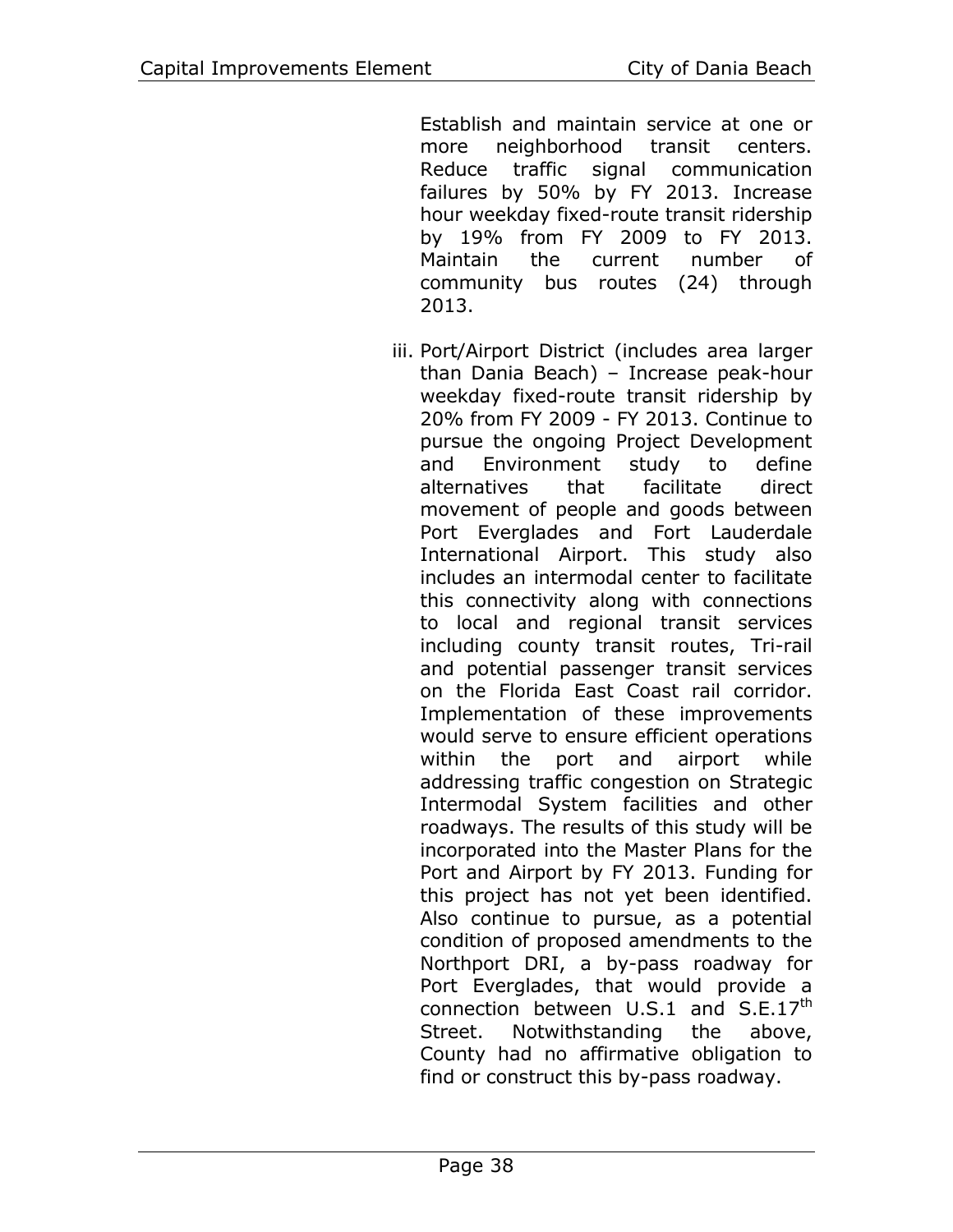Establish and maintain service at one or more neighborhood transit centers. Reduce traffic signal communication failures by 50% by FY 2013. Increase hour weekday fixed-route transit ridership by 19% from FY 2009 to FY 2013. Maintain the current number of community bus routes (24) through 2013.

iii. Port/Airport District (includes area larger than Dania Beach) – Increase peak-hour weekday fixed-route transit ridership by 20% from FY 2009 - FY 2013. Continue to pursue the ongoing Project Development and Environment study to define alternatives that facilitate direct movement of people and goods between Port Everglades and Fort Lauderdale International Airport. This study also includes an intermodal center to facilitate this connectivity along with connections to local and regional transit services including county transit routes, Tri-rail and potential passenger transit services on the Florida East Coast rail corridor. Implementation of these improvements would serve to ensure efficient operations within the port and airport while addressing traffic congestion on Strategic Intermodal System facilities and other roadways. The results of this study will be incorporated into the Master Plans for the Port and Airport by FY 2013. Funding for this project has not yet been identified. Also continue to pursue, as a potential condition of proposed amendments to the Northport DRI, a by-pass roadway for Port Everglades, that would provide a connection between  $U.S.1$  and  $S.E.17<sup>th</sup>$ Street. Notwithstanding the above, County had no affirmative obligation to find or construct this by-pass roadway.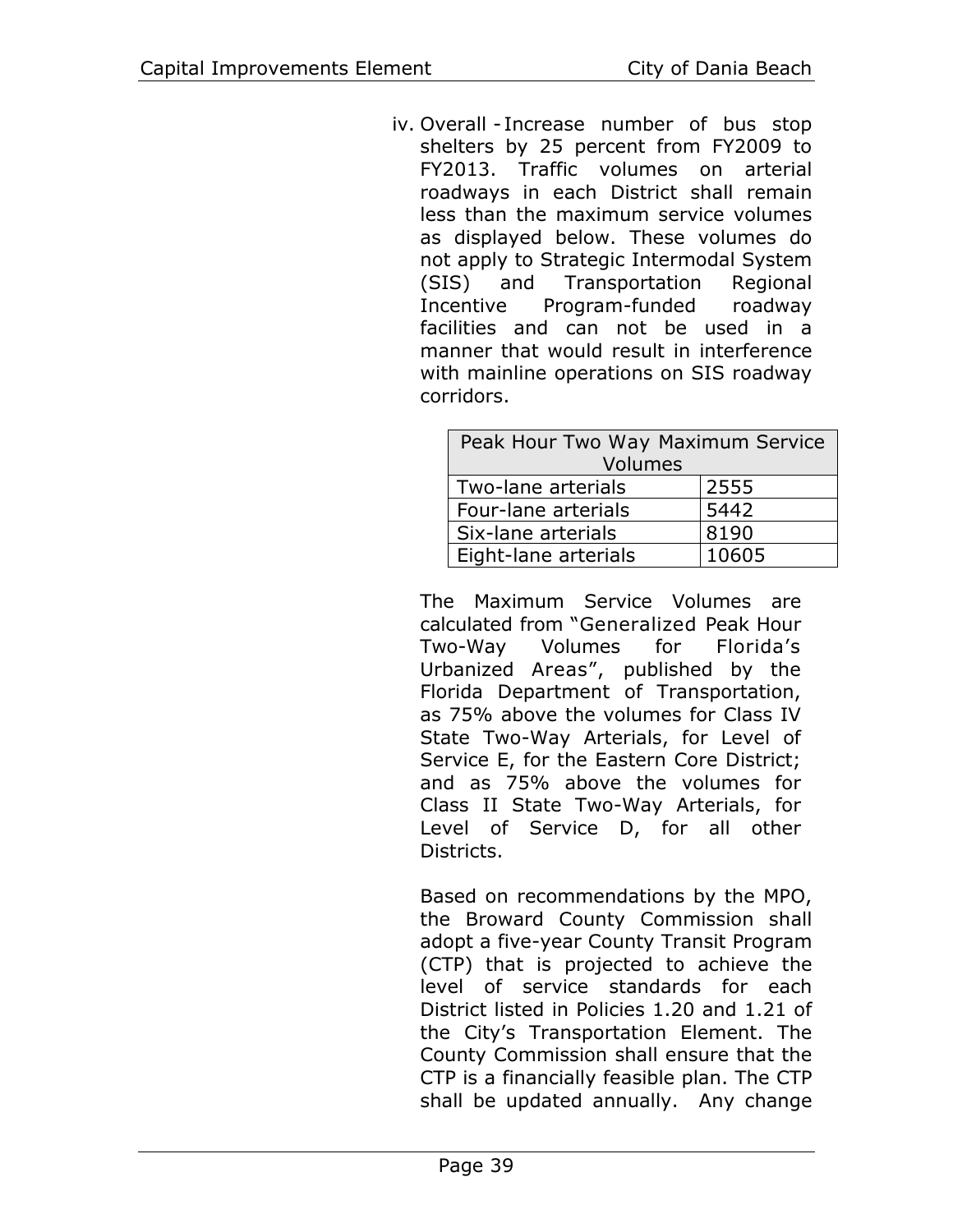iv. Overall - Increase number of bus stop shelters by 25 percent from FY2009 to FY2013. Traffic volumes on arterial roadways in each District shall remain less than the maximum service volumes as displayed below. These volumes do not apply to Strategic Intermodal System (SIS) and Transportation Regional Incentive Program-funded roadway facilities and can not be used in a manner that would result in interference with mainline operations on SIS roadway corridors.

| Peak Hour Two Way Maximum Service |       |  |  |  |
|-----------------------------------|-------|--|--|--|
| Volumes                           |       |  |  |  |
| Two-lane arterials                | 2555  |  |  |  |
| Four-lane arterials               | 5442  |  |  |  |
| Six-lane arterials                | 8190  |  |  |  |
| Eight-lane arterials              | 10605 |  |  |  |

The Maximum Service Volumes are calculated from "Generalized Peak Hour Two-Way Volumes for Florida's Urbanized Areas", published by the Florida Department of Transportation, as 75% above the volumes for Class IV State Two-Way Arterials, for Level of Service E, for the Eastern Core District; and as 75% above the volumes for Class II State Two-Way Arterials, for Level of Service D, for all other Districts.

Based on recommendations by the MPO, the Broward County Commission shall adopt a five-year County Transit Program (CTP) that is projected to achieve the level of service standards for each District listed in Policies 1.20 and 1.21 of the City's Transportation Element. The County Commission shall ensure that the CTP is a financially feasible plan. The CTP shall be updated annually. Any change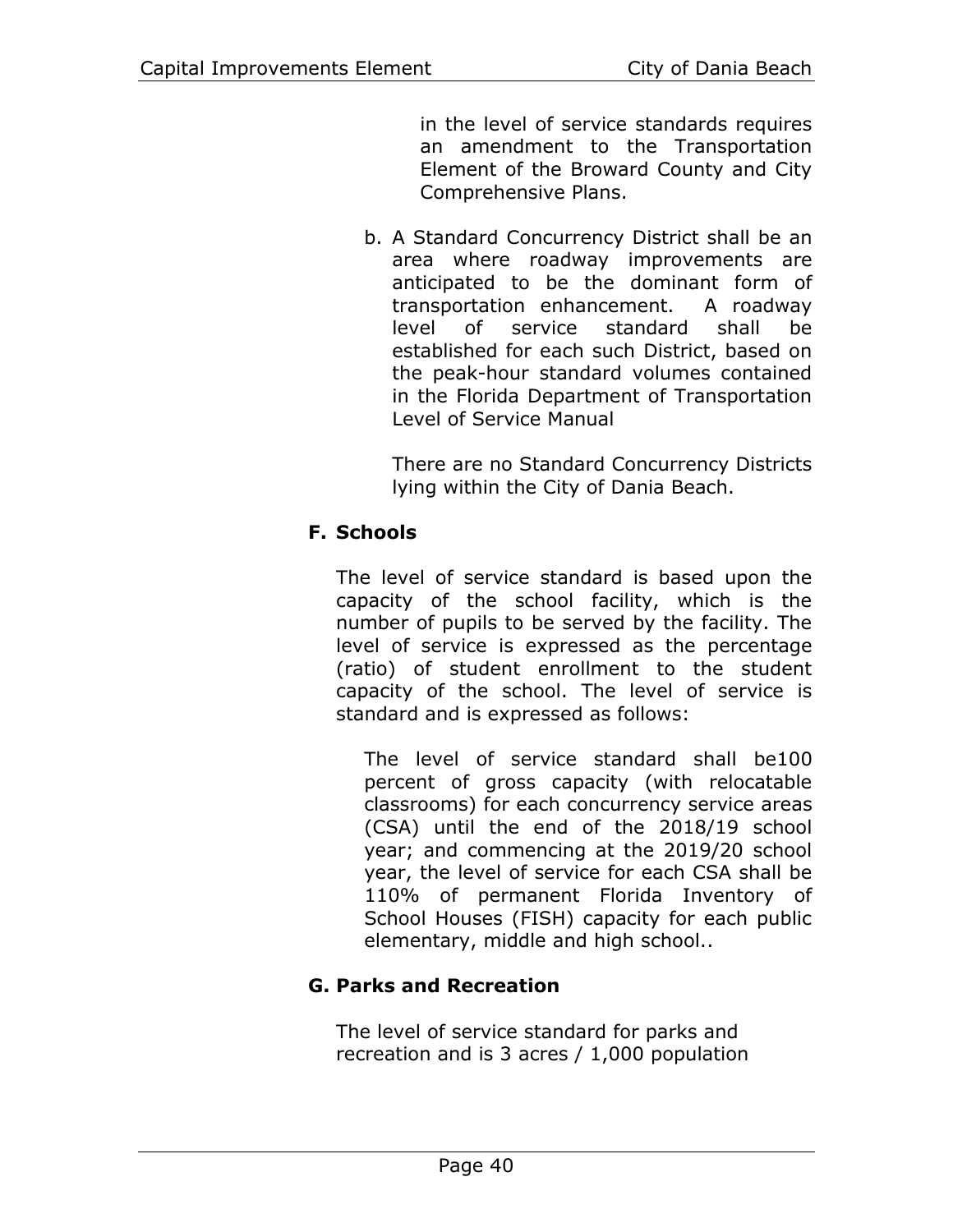in the level of service standards requires an amendment to the Transportation Element of the Broward County and City Comprehensive Plans.

b. A Standard Concurrency District shall be an area where roadway improvements are anticipated to be the dominant form of transportation enhancement. A roadway level of service standard shall be established for each such District, based on the peak-hour standard volumes contained in the Florida Department of Transportation Level of Service Manual

There are no Standard Concurrency Districts lying within the City of Dania Beach.

# **F. Schools**

The level of service standard is based upon the capacity of the school facility, which is the number of pupils to be served by the facility. The level of service is expressed as the percentage (ratio) of student enrollment to the student capacity of the school. The level of service is standard and is expressed as follows:

The level of service standard shall be100 percent of gross capacity (with relocatable classrooms) for each concurrency service areas (CSA) until the end of the 2018/19 school year; and commencing at the 2019/20 school year, the level of service for each CSA shall be 110% of permanent Florida Inventory of School Houses (FISH) capacity for each public elementary, middle and high school..

# **G. Parks and Recreation**

The level of service standard for parks and recreation and is 3 acres / 1,000 population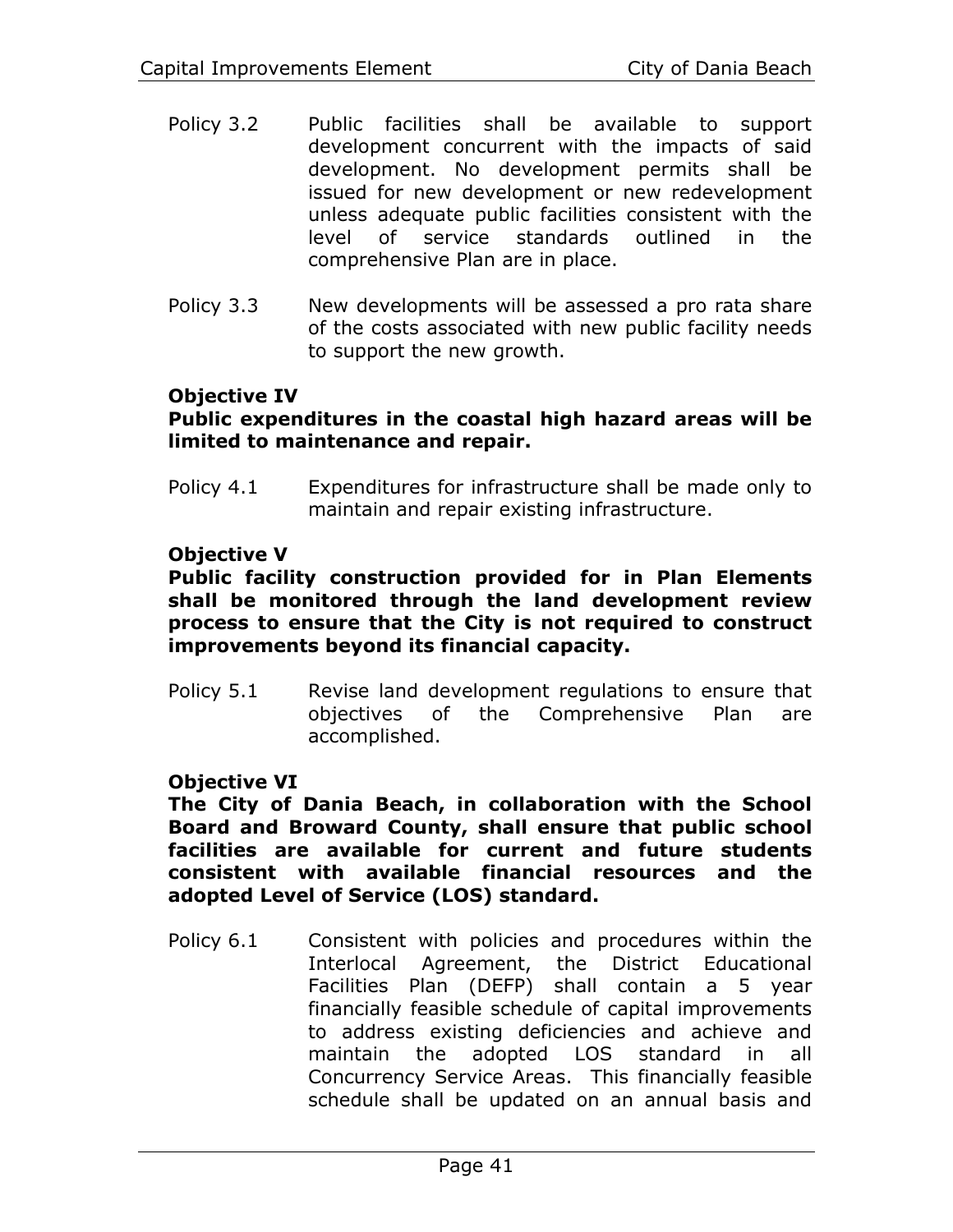- Policy 3.2 Public facilities shall be available to support development concurrent with the impacts of said development. No development permits shall be issued for new development or new redevelopment unless adequate public facilities consistent with the level of service standards outlined in the comprehensive Plan are in place.
- Policy 3.3 New developments will be assessed a pro rata share of the costs associated with new public facility needs to support the new growth.

# **Objective IV**

#### **Public expenditures in the coastal high hazard areas will be limited to maintenance and repair.**

Policy 4.1 Expenditures for infrastructure shall be made only to maintain and repair existing infrastructure.

#### **Objective V**

#### **Public facility construction provided for in Plan Elements shall be monitored through the land development review process to ensure that the City is not required to construct improvements beyond its financial capacity.**

Policy 5.1 Revise land development regulations to ensure that objectives of the Comprehensive Plan are accomplished.

#### **Objective VI**

**The City of Dania Beach, in collaboration with the School Board and Broward County, shall ensure that public school facilities are available for current and future students consistent with available financial resources and the adopted Level of Service (LOS) standard.**

Policy 6.1 Consistent with policies and procedures within the Interlocal Agreement, the District Educational Facilities Plan (DEFP) shall contain a 5 year financially feasible schedule of capital improvements to address existing deficiencies and achieve and maintain the adopted LOS standard in all Concurrency Service Areas. This financially feasible schedule shall be updated on an annual basis and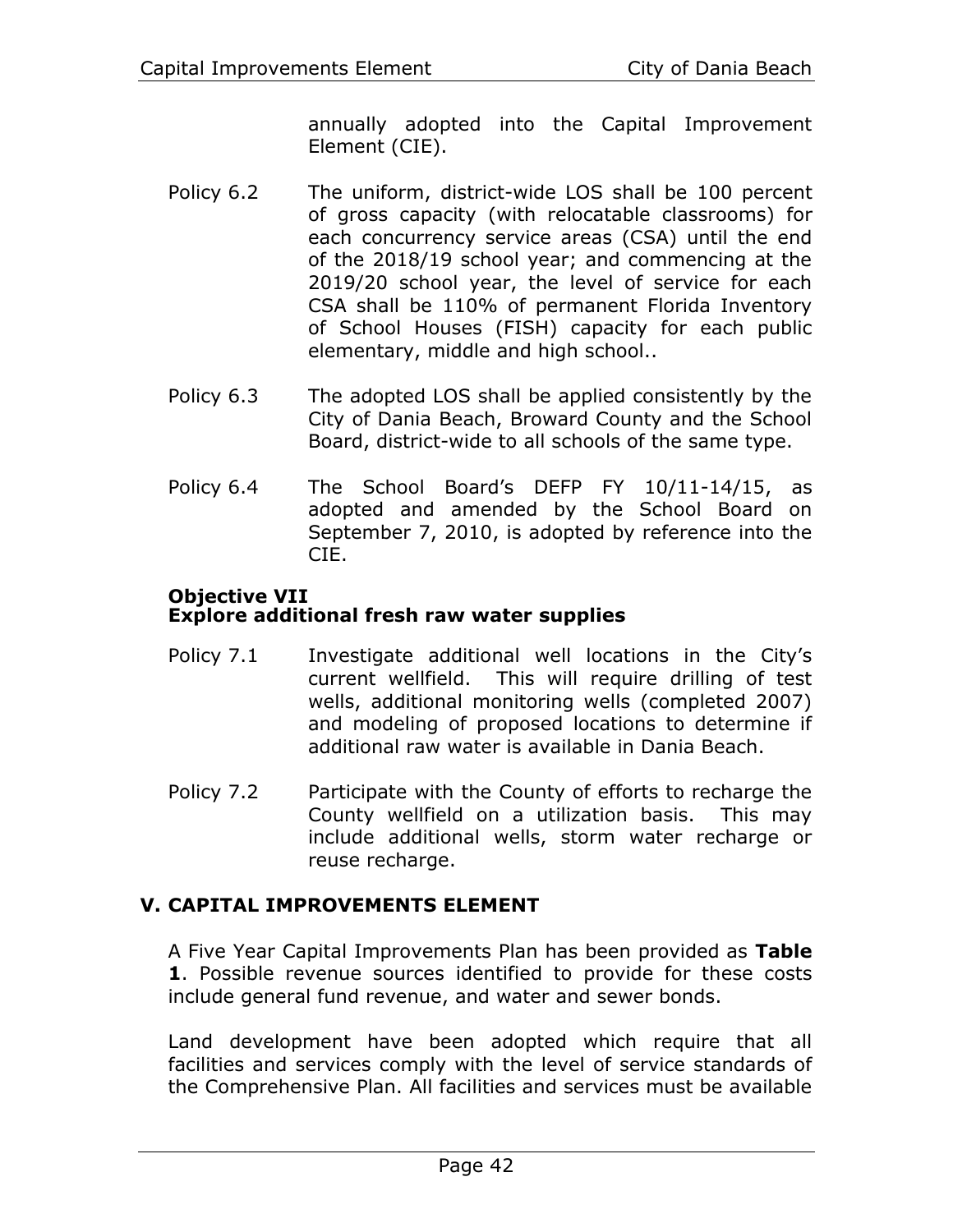annually adopted into the Capital Improvement Element (CIE).

- Policy 6.2 The uniform, district-wide LOS shall be 100 percent of gross capacity (with relocatable classrooms) for each concurrency service areas (CSA) until the end of the 2018/19 school year; and commencing at the 2019/20 school year, the level of service for each CSA shall be 110% of permanent Florida Inventory of School Houses (FISH) capacity for each public elementary, middle and high school..
- Policy 6.3 The adopted LOS shall be applied consistently by the City of Dania Beach, Broward County and the School Board, district-wide to all schools of the same type.
- Policy 6.4 The School Board's DEFP FY 10/11-14/15, as adopted and amended by the School Board on September 7, 2010, is adopted by reference into the CIE.

#### **Objective VII Explore additional fresh raw water supplies**

- Policy 7.1 Investigate additional well locations in the City's current wellfield. This will require drilling of test wells, additional monitoring wells (completed 2007) and modeling of proposed locations to determine if additional raw water is available in Dania Beach.
- Policy 7.2 Participate with the County of efforts to recharge the County wellfield on a utilization basis. This may include additional wells, storm water recharge or reuse recharge.

# **V. CAPITAL IMPROVEMENTS ELEMENT**

A Five Year Capital Improvements Plan has been provided as **[Table](#page-6-0)  [1](#page-6-0)**. Possible revenue sources identified to provide for these costs include general fund revenue, and water and sewer bonds.

Land development have been adopted which require that all facilities and services comply with the level of service standards of the Comprehensive Plan. All facilities and services must be available